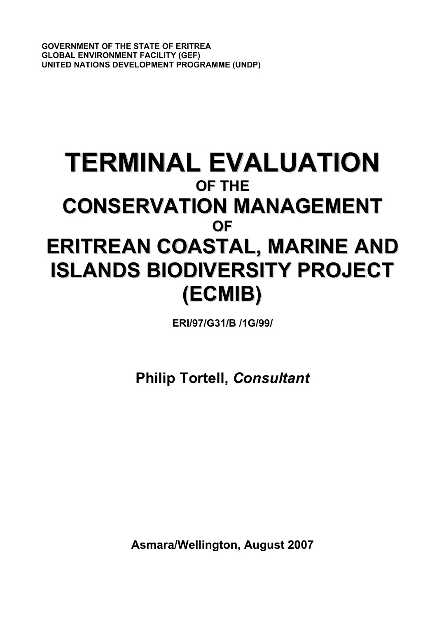**GOVERNMENT OF THE STATE OF ERITREA GLOBAL ENVIRONMENT FACILITY (GEF) UNITED NATIONS DEVELOPMENT PROGRAMME (UNDP)**

# **TERMINAL EVALUATION OF THE CONSERVATION MANAGEMENT OF ERITREAN COASTAL, MARINE AND ISLANDS BIODIVERSITY PROJECT (ECMIB)**

**ERI/97/G31/B /1G/99/**

**Philip Tortell,** *Consultant*

**Asmara/Wellington, August 2007**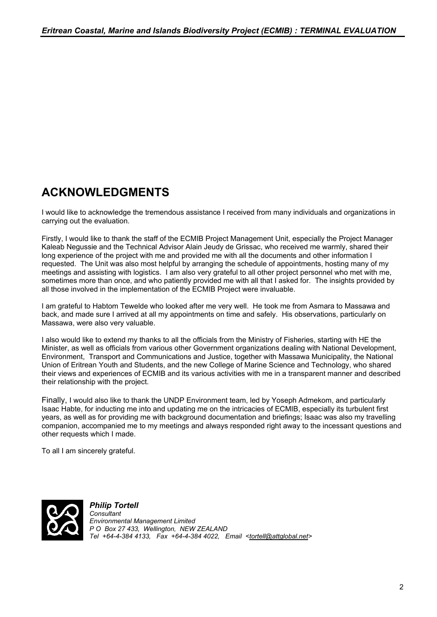# **ACKNOWLEDGMENTS**

I would like to acknowledge the tremendous assistance I received from many individuals and organizations in carrying out the evaluation.

Firstly, I would like to thank the staff of the ECMIB Project Management Unit, especially the Project Manager Kaleab Negussie and the Technical Advisor Alain Jeudy de Grissac, who received me warmly, shared their long experience of the project with me and provided me with all the documents and other information I requested. The Unit was also most helpful by arranging the schedule of appointments, hosting many of my meetings and assisting with logistics. I am also very grateful to all other project personnel who met with me, sometimes more than once, and who patiently provided me with all that I asked for. The insights provided by all those involved in the implementation of the ECMIB Project were invaluable.

I am grateful to Habtom Tewelde who looked after me very well. He took me from Asmara to Massawa and back, and made sure I arrived at all my appointments on time and safely. His observations, particularly on Massawa, were also very valuable.

I also would like to extend my thanks to all the officials from the Ministry of Fisheries, starting with HE the Minister, as well as officials from various other Government organizations dealing with National Development, Environment, Transport and Communications and Justice, together with Massawa Municipality, the National Union of Eritrean Youth and Students, and the new College of Marine Science and Technology, who shared their views and experiences of ECMIB and its various activities with me in a transparent manner and described their relationship with the project.

Finally, I would also like to thank the UNDP Environment team, led by Yoseph Admekom, and particularly Isaac Habte, for inducting me into and updating me on the intricacies of ECMIB, especially its turbulent first years, as well as for providing me with background documentation and briefings; Isaac was also my travelling companion, accompanied me to my meetings and always responded right away to the incessant questions and other requests which I made.

To all I am sincerely grateful.



*Philip Tortell Consultant Environmental Management Limited P O Box 27 433, Wellington, NEW ZEALAND Tel +64-4-384 4133, Fax +64-4-384 4022, Email [<tortell@attglobal.net>](mailto:tortell@attglobal.net)*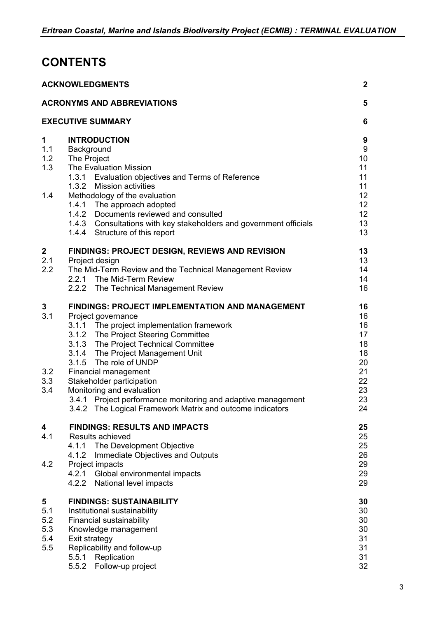# **CONTENTS**

|                                      | <b>ACKNOWLEDGMENTS</b>                                                                                                                                                                                                                                                                                                                                                                                                                                                                    | $\mathbf{2}$                                                                |
|--------------------------------------|-------------------------------------------------------------------------------------------------------------------------------------------------------------------------------------------------------------------------------------------------------------------------------------------------------------------------------------------------------------------------------------------------------------------------------------------------------------------------------------------|-----------------------------------------------------------------------------|
|                                      | <b>ACRONYMS AND ABBREVIATIONS</b>                                                                                                                                                                                                                                                                                                                                                                                                                                                         | 5                                                                           |
|                                      | <b>EXECUTIVE SUMMARY</b>                                                                                                                                                                                                                                                                                                                                                                                                                                                                  | 6                                                                           |
| 1<br>1.1<br>1.2<br>1.3<br>1.4        | <b>INTRODUCTION</b><br>Background<br>The Project<br><b>The Evaluation Mission</b><br>1.3.1 Evaluation objectives and Terms of Reference<br>1.3.2 Mission activities<br>Methodology of the evaluation<br>1.4.1 The approach adopted<br>1.4.2 Documents reviewed and consulted<br>1.4.3 Consultations with key stakeholders and government officials<br>1.4.4 Structure of this report                                                                                                      | 9<br>$\boldsymbol{9}$<br>10<br>11<br>11<br>11<br>12<br>12<br>12<br>13<br>13 |
| $\boldsymbol{2}$<br>2.1<br>2.2       | <b>FINDINGS: PROJECT DESIGN, REVIEWS AND REVISION</b><br>Project design<br>The Mid-Term Review and the Technical Management Review<br>2.2.1 The Mid-Term Review<br>2.2.2 The Technical Management Review                                                                                                                                                                                                                                                                                  | 13<br>13<br>14<br>14<br>16                                                  |
| 3<br>3.1<br>3.2<br>3.3<br>3.4        | <b>FINDINGS: PROJECT IMPLEMENTATION AND MANAGEMENT</b><br>Project governance<br>3.1.1 The project implementation framework<br>3.1.2 The Project Steering Committee<br>3.1.3 The Project Technical Committee<br>3.1.4 The Project Management Unit<br>3.1.5 The role of UNDP<br>Financial management<br>Stakeholder participation<br>Monitoring and evaluation<br>3.4.1 Project performance monitoring and adaptive management<br>3.4.2 The Logical Framework Matrix and outcome indicators | 16<br>16<br>16<br>17<br>18<br>18<br>20<br>21<br>22<br>23<br>23<br>24        |
| 4<br>4.1<br>4.2                      | <b>FINDINGS: RESULTS AND IMPACTS</b><br><b>Results achieved</b><br>The Development Objective<br>4.1.1<br>Immediate Objectives and Outputs<br>4.1.2<br>Project impacts<br>4.2.1 Global environmental impacts<br>4.2.2 National level impacts                                                                                                                                                                                                                                               | 25<br>25<br>25<br>26<br>29<br>29<br>29                                      |
| 5<br>5.1<br>5.2<br>5.3<br>5.4<br>5.5 | <b>FINDINGS: SUSTAINABILITY</b><br>Institutional sustainability<br><b>Financial sustainability</b><br>Knowledge management<br>Exit strategy<br>Replicability and follow-up<br>5.5.1 Replication<br>5.5.2<br>Follow-up project                                                                                                                                                                                                                                                             | 30<br>30<br>30<br>30<br>31<br>31<br>31<br>32                                |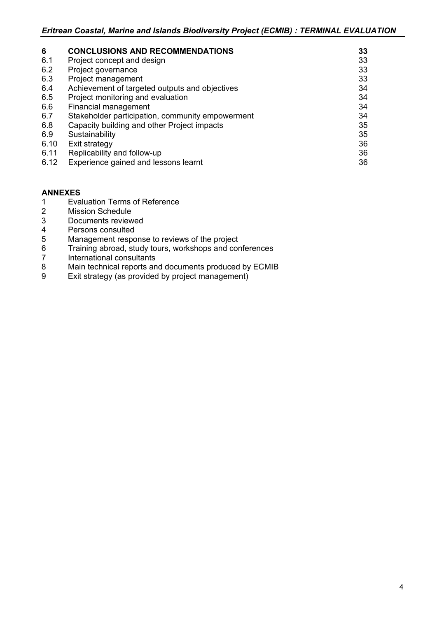| 6    | <b>CONCLUSIONS AND RECOMMENDATIONS</b>           | 33 |
|------|--------------------------------------------------|----|
| 6.1  | Project concept and design                       | 33 |
| 6.2  | Project governance                               | 33 |
| 6.3  | Project management                               | 33 |
| 6.4  | Achievement of targeted outputs and objectives   | 34 |
| 6.5  | Project monitoring and evaluation                | 34 |
| 6.6  | Financial management                             | 34 |
| 6.7  | Stakeholder participation, community empowerment | 34 |
| 6.8  | Capacity building and other Project impacts      | 35 |
| 6.9  | Sustainability                                   | 35 |
| 6.10 | Exit strategy                                    | 36 |
| 6.11 | Replicability and follow-up                      | 36 |
| 6.12 | Experience gained and lessons learnt             | 36 |

### **ANNEXES**

- 1 Evaluation Terms of Reference<br>2 Mission Schedule
- 2 Mission Schedule<br>3 Documents review
- 3 Documents reviewed<br>4 Persons consulted
- 4 Persons consulted<br>5 Management respo
- 5 Management response to reviews of the project<br>6 Training abroad, study tours, workshops and cor
- 6 Training abroad, study tours, workshops and conferences
- 7 International consultants
- 8 Main technical reports and documents produced by ECMIB
- 9 Exit strategy (as provided by project management)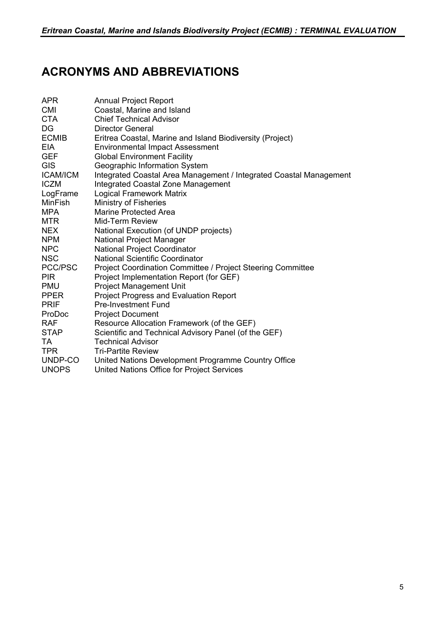# **ACRONYMS AND ABBREVIATIONS**

| APR             | <b>Annual Project Report</b>                                       |
|-----------------|--------------------------------------------------------------------|
| CMI             | Coastal, Marine and Island                                         |
| <b>CTA</b>      | <b>Chief Technical Advisor</b>                                     |
| DG              | <b>Director General</b>                                            |
| <b>ECMIB</b>    | Eritrea Coastal, Marine and Island Biodiversity (Project)          |
| EIA             | <b>Environmental Impact Assessment</b>                             |
| <b>GEF</b>      | <b>Global Environment Facility</b>                                 |
| <b>GIS</b>      | Geographic Information System                                      |
| <b>ICAM/ICM</b> | Integrated Coastal Area Management / Integrated Coastal Management |
| <b>ICZM</b>     | Integrated Coastal Zone Management                                 |
| LogFrame        | <b>Logical Framework Matrix</b>                                    |
| <b>MinFish</b>  | <b>Ministry of Fisheries</b>                                       |
| MPA             | <b>Marine Protected Area</b>                                       |
| MTR             | Mid-Term Review                                                    |
| <b>NEX</b>      | National Execution (of UNDP projects)                              |
| <b>NPM</b>      | National Project Manager                                           |
| N <sub>PC</sub> | <b>National Project Coordinator</b>                                |
| <b>NSC</b>      | <b>National Scientific Coordinator</b>                             |
| PCC/PSC         | Project Coordination Committee / Project Steering Committee        |
| <b>PIR</b>      | Project Implementation Report (for GEF)                            |
| <b>PMU</b>      | <b>Project Management Unit</b>                                     |
| <b>PPER</b>     | <b>Project Progress and Evaluation Report</b>                      |
| <b>PRIF</b>     | <b>Pre-Investment Fund</b>                                         |
| ProDoc          | <b>Project Document</b>                                            |
| <b>RAF</b>      | Resource Allocation Framework (of the GEF)                         |
| STAP            | Scientific and Technical Advisory Panel (of the GEF)               |
| TA.             | <b>Technical Advisor</b>                                           |
| <b>TPR</b>      | <b>Tri-Partite Review</b>                                          |
| UNDP-CO         | United Nations Development Programme Country Office                |
| <b>UNOPS</b>    | United Nations Office for Project Services                         |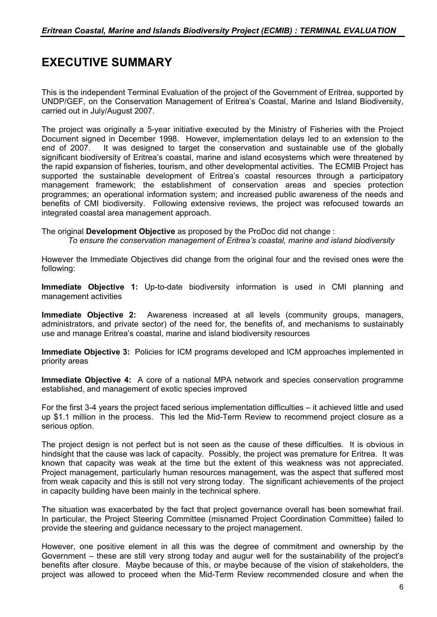# **EXECUTIVE SUMMARY**

This is the independent Terminal Evaluation of the project of the Government of Eritrea, supported by UNDP/GEF, on the Conservation Management of Eritrea's Coastal, Marine and Island Biodiversity, carried out in July/August 2007.

The project was originally a 5-year initiative executed by the Ministry of Fisheries with the Project Document signed in December 1998. However, implementation delays led to an extension to the It was designed to target the conservation and sustainable use of the globally significant biodiversity of Eritrea's coastal, marine and island ecosystems which were threatened by the rapid expansion of fisheries, tourism, and other developmental activities. The ECMIB Project has supported the sustainable development of Eritrea's coastal resources through a participatory management framework; the establishment of conservation areas and species protection programmes; an operational information system; and increased public awareness of the needs and benefits of CMI biodiversity. Following extensive reviews, the project was refocused towards an integrated coastal area management approach.

The original **Development Objective** as proposed by the ProDoc did not change :

*To ensure the conservation management of Eritrea's coastal, marine and island biodiversity*

However the Immediate Objectives did change from the original four and the revised ones were the following:

**Immediate Objective 1:** Up-to-date biodiversity information is used in CMI planning and management activities

**Immediate Objective 2:** Awareness increased at all levels (community groups, managers, administrators, and private sector) of the need for, the benefits of, and mechanisms to sustainably use and manage Eritrea's coastal, marine and island biodiversity resources

**Immediate Objective 3:** Policies for ICM programs developed and ICM approaches implemented in priority areas

**Immediate Objective 4:** A core of a national MPA network and species conservation programme established, and management of exotic species improved

For the first 3-4 years the project faced serious implementation difficulties – it achieved little and used up \$1.1 million in the process. This led the Mid-Term Review to recommend project closure as a serious option.

The project design is not perfect but is not seen as the cause of these difficulties. It is obvious in hindsight that the cause was lack of capacity. Possibly, the project was premature for Eritrea. It was known that capacity was weak at the time but the extent of this weakness was not appreciated. Project management, particularly human resources management, was the aspect that suffered most from weak capacity and this is still not very strong today. The significant achievements of the project in capacity building have been mainly in the technical sphere.

The situation was exacerbated by the fact that project governance overall has been somewhat frail. In particular, the Project Steering Committee (misnamed Project Coordination Committee) failed to provide the steering and guidance necessary to the project management.

However, one positive element in all this was the degree of commitment and ownership by the Government – these are still very strong today and augur well for the sustainability of the project's benefits after closure. Maybe because of this, or maybe because of the vision of stakeholders, the project was allowed to proceed when the Mid-Term Review recommended closure and when the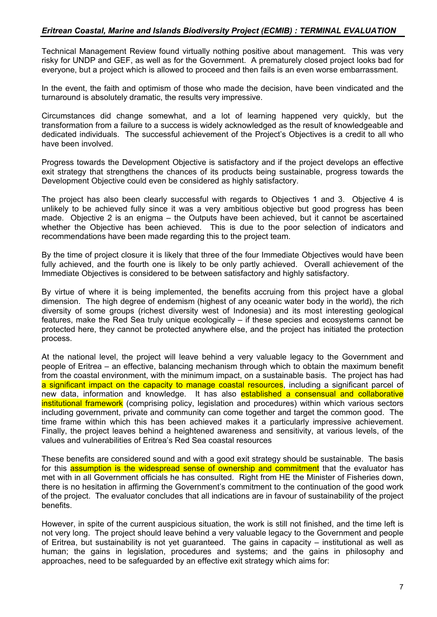Technical Management Review found virtually nothing positive about management. This was very risky for UNDP and GEF, as well as for the Government. A prematurely closed project looks bad for everyone, but a project which is allowed to proceed and then fails is an even worse embarrassment.

In the event, the faith and optimism of those who made the decision, have been vindicated and the turnaround is absolutely dramatic, the results very impressive.

Circumstances did change somewhat, and a lot of learning happened very quickly, but the transformation from a failure to a success is widely acknowledged as the result of knowledgeable and dedicated individuals. The successful achievement of the Project's Objectives is a credit to all who have been involved.

Progress towards the Development Objective is satisfactory and if the project develops an effective exit strategy that strengthens the chances of its products being sustainable, progress towards the Development Objective could even be considered as highly satisfactory.

The project has also been clearly successful with regards to Objectives 1 and 3. Objective 4 is unlikely to be achieved fully since it was a very ambitious objective but good progress has been made. Objective 2 is an enigma – the Outputs have been achieved, but it cannot be ascertained whether the Objective has been achieved. This is due to the poor selection of indicators and recommendations have been made regarding this to the project team.

By the time of project closure it is likely that three of the four Immediate Objectives would have been fully achieved, and the fourth one is likely to be only partly achieved. Overall achievement of the Immediate Objectives is considered to be between satisfactory and highly satisfactory.

By virtue of where it is being implemented, the benefits accruing from this project have a global dimension. The high degree of endemism (highest of any oceanic water body in the world), the rich diversity of some groups (richest diversity west of Indonesia) and its most interesting geological features, make the Red Sea truly unique ecologically – if these species and ecosystems cannot be protected here, they cannot be protected anywhere else, and the project has initiated the protection process.

At the national level, the project will leave behind a very valuable legacy to the Government and people of Eritrea – an effective, balancing mechanism through which to obtain the maximum benefit from the coastal environment, with the minimum impact, on a sustainable basis. The project has had a significant impact on the capacity to manage coastal resources, including a significant parcel of new data, information and knowledge. It has also established a consensual and collaborative institutional framework (comprising policy, legislation and procedures) within which various sectors including government, private and community can come together and target the common good. The time frame within which this has been achieved makes it a particularly impressive achievement. Finally, the project leaves behind a heightened awareness and sensitivity, at various levels, of the values and vulnerabilities of Eritrea's Red Sea coastal resources

These benefits are considered sound and with a good exit strategy should be sustainable. The basis for this assumption is the widespread sense of ownership and commitment that the evaluator has met with in all Government officials he has consulted. Right from HE the Minister of Fisheries down, there is no hesitation in affirming the Government's commitment to the continuation of the good work of the project. The evaluator concludes that all indications are in favour of sustainability of the project benefits.

However, in spite of the current auspicious situation, the work is still not finished, and the time left is not very long. The project should leave behind a very valuable legacy to the Government and people of Eritrea, but sustainability is not yet guaranteed. The gains in capacity – institutional as well as human; the gains in legislation, procedures and systems; and the gains in philosophy and approaches, need to be safeguarded by an effective exit strategy which aims for: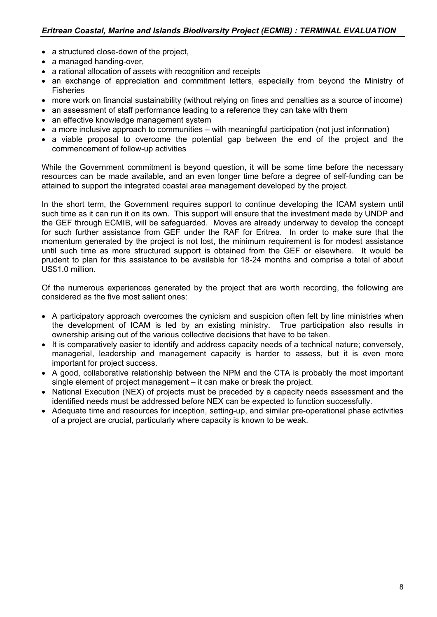- a structured close-down of the project,
- a managed handing-over,
- a rational allocation of assets with recognition and receipts
- an exchange of appreciation and commitment letters, especially from beyond the Ministry of **Fisheries**
- more work on financial sustainability (without relying on fines and penalties as a source of income)
- an assessment of staff performance leading to a reference they can take with them
- an effective knowledge management system
- a more inclusive approach to communities with meaningful participation (not just information)
- a viable proposal to overcome the potential gap between the end of the project and the commencement of follow-up activities

While the Government commitment is beyond question, it will be some time before the necessary resources can be made available, and an even longer time before a degree of self-funding can be attained to support the integrated coastal area management developed by the project.

In the short term, the Government requires support to continue developing the ICAM system until such time as it can run it on its own. This support will ensure that the investment made by UNDP and the GEF through ECMIB, will be safeguarded. Moves are already underway to develop the concept for such further assistance from GEF under the RAF for Eritrea. In order to make sure that the momentum generated by the project is not lost, the minimum requirement is for modest assistance until such time as more structured support is obtained from the GEF or elsewhere. It would be prudent to plan for this assistance to be available for 18-24 months and comprise a total of about US\$1.0 million.

Of the numerous experiences generated by the project that are worth recording, the following are considered as the five most salient ones:

- A participatory approach overcomes the cynicism and suspicion often felt by line ministries when the development of ICAM is led by an existing ministry. True participation also results in ownership arising out of the various collective decisions that have to be taken.
- It is comparatively easier to identify and address capacity needs of a technical nature; conversely, managerial, leadership and management capacity is harder to assess, but it is even more important for project success.
- A good, collaborative relationship between the NPM and the CTA is probably the most important single element of project management – it can make or break the project.
- National Execution (NEX) of projects must be preceded by a capacity needs assessment and the identified needs must be addressed before NEX can be expected to function successfully.
- Adequate time and resources for inception, setting-up, and similar pre-operational phase activities of a project are crucial, particularly where capacity is known to be weak.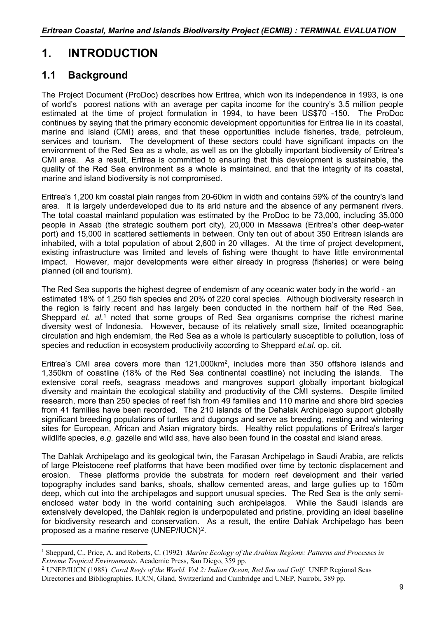# **1. INTRODUCTION**

# **1.1 Background**

 $\overline{a}$ 

The Project Document (ProDoc) describes how Eritrea, which won its independence in 1993, is one of world's poorest nations with an average per capita income for the country's 3.5 million people estimated at the time of project formulation in 1994, to have been US\$70 -150. The ProDoc continues by saying that the primary economic development opportunities for Eritrea lie in its coastal, marine and island (CMI) areas, and that these opportunities include fisheries, trade, petroleum, services and tourism. The development of these sectors could have significant impacts on the environment of the Red Sea as a whole, as well as on the globally important biodiversity of Eritrea's CMI area. As a result, Eritrea is committed to ensuring that this development is sustainable, the quality of the Red Sea environment as a whole is maintained, and that the integrity of its coastal, marine and island biodiversity is not compromised.

Eritrea's 1,200 km coastal plain ranges from 20-60km in width and contains 59% of the country's land area. It is largely underdeveloped due to its arid nature and the absence of any permanent rivers. The total coastal mainland population was estimated by the ProDoc to be 73,000, including 35,000 people in Assab (the strategic southern port city), 20,000 in Massawa (Eritrea's other deep-water port) and 15,000 in scattered settlements in between. Only ten out of about 350 Eritrean islands are inhabited, with a total population of about 2,600 in 20 villages. At the time of project development, existing infrastructure was limited and levels of fishing were thought to have little environmental impact. However, major developments were either already in progress (fisheries) or were being planned (oil and tourism).

The Red Sea supports the highest degree of endemism of any oceanic water body in the world - an estimated 18% of 1,250 fish species and 20% of 220 coral species. Although biodiversity research in the region is fairly recent and has largely been conducted in the northern half of the Red Sea, Sheppard *et. al*.[1](#page-8-0) noted that some groups of Red Sea organisms comprise the richest marine diversity west of Indonesia. However, because of its relatively small size, limited oceanographic circulation and high endemism, the Red Sea as a whole is particularly susceptible to pollution, loss of species and reduction in ecosystem productivity according to Sheppard *et.al.* op. cit.

Eritrea's CMI area covers more than 121,000km2, includes more than 350 offshore islands and 1,350km of coastline (18% of the Red Sea continental coastline) not including the islands. The extensive coral reefs, seagrass meadows and mangroves support globally important biological diversity and maintain the ecological stability and productivity of the CMI systems. Despite limited research, more than 250 species of reef fish from 49 families and 110 marine and shore bird species from 41 families have been recorded. The 210 islands of the Dehalak Archipelago support globally significant breeding populations of turtles and dugongs and serve as breeding, nesting and wintering sites for European, African and Asian migratory birds. Healthy relict populations of Eritrea's larger wildlife species, e.g. gazelle and wild ass, have also been found in the coastal and island areas.

The Dahlak Archipelago and its geological twin, the Farasan Archipelago in Saudi Arabia, are relicts of large Pleistocene reef platforms that have been modified over time by tectonic displacement and erosion. These platforms provide the substrata for modern reef development and their varied topography includes sand banks, shoals, shallow cemented areas, and large gullies up to 150m deep, which cut into the archipelagos and support unusual species. The Red Sea is the only semienclosed water body in the world containing such archipelagos. While the Saudi islands are extensively developed, the Dahlak region is underpopulated and pristine, providing an ideal baseline for biodiversity research and conservation. As a result, the entire Dahlak Archipelago has been proposed as a marine reserve (UNEP/IUCN)<sup>[2](#page-8-1)</sup>.

<span id="page-8-0"></span><sup>1</sup> Sheppard, C., Price, A. and Roberts, C. (1992) *Marine Ecology of the Arabian Regions: Patterns and Processes in Extreme Tropical Environments*. Academic Press, San Diego, 359 pp.

<span id="page-8-1"></span><sup>2</sup> UNEP/IUCN (1988) *Coral Reefs of the World. Vol 2: Indian Ocean, Red Sea and Gulf.* UNEP Regional Seas Directories and Bibliographies. IUCN, Gland, Switzerland and Cambridge and UNEP, Nairobi, 389 pp.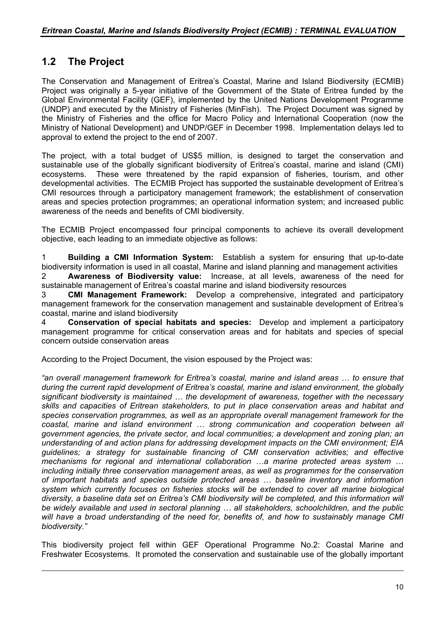# **1.2 The Project**

 $\overline{a}$ 

The Conservation and Management of Eritrea's Coastal, Marine and Island Biodiversity (ECMIB) Project was originally a 5-year initiative of the Government of the State of Eritrea funded by the Global Environmental Facility (GEF), implemented by the United Nations Development Programme (UNDP) and executed by the Ministry of Fisheries (MinFish). The Project Document was signed by the Ministry of Fisheries and the office for Macro Policy and International Cooperation (now the Ministry of National Development) and UNDP/GEF in December 1998. Implementation delays led to approval to extend the project to the end of 2007.

The project, with a total budget of US\$5 million, is designed to target the conservation and sustainable use of the globally significant biodiversity of Eritrea's coastal, marine and island (CMI) ecosystems. These were threatened by the rapid expansion of fisheries, tourism, and other developmental activities. The ECMIB Project has supported the sustainable development of Eritrea's CMI resources through a participatory management framework; the establishment of conservation areas and species protection programmes; an operational information system; and increased public awareness of the needs and benefits of CMI biodiversity.

The ECMIB Project encompassed four principal components to achieve its overall development objective, each leading to an immediate objective as follows:

1 **Building a CMI Information System:** Establish a system for ensuring that up-to-date biodiversity information is used in all coastal, Marine and island planning and management activities 2 **Awareness of Biodiversity value:** Increase, at all levels, awareness of the need for sustainable management of Eritrea's coastal marine and island biodiversity resources

3 **CMI Management Framework:** Develop a comprehensive, integrated and participatory management framework for the conservation management and sustainable development of Eritrea's coastal, marine and island biodiversity

4 **Conservation of special habitats and species:** Develop and implement a participatory management programme for critical conservation areas and for habitats and species of special concern outside conservation areas

According to the Project Document, the vision espoused by the Project was:

*"an overall management framework for Eritrea's coastal, marine and island areas … to ensure that during the current rapid development of Eritrea's coastal, marine and island environment, the globally significant biodiversity is maintained … the development of awareness, together with the necessary skills and capacities of Eritrean stakeholders, to put in place conservation areas and habitat and species conservation programmes, as well as an appropriate overall management framework for the coastal, marine and island environment … strong communication and cooperation between all government agencies, the private sector, and local communities; a development and zoning plan; an understanding of and action plans for addressing development impacts on the CMI environment; EIA guidelines; a strategy for sustainable financing of CMI conservation activities; and effective mechanisms for regional and international collaboration …a marine protected areas system … including initially three conservation management areas, as well as programmes for the conservation of important habitats and species outside protected areas … baseline inventory and information system which currently focuses on fisheries stocks will be extended to cover all marine biological diversity, a baseline data set on Eritrea's CMI biodiversity will be completed, and this information will be widely available and used in sectoral planning … all stakeholders, schoolchildren, and the public will have a broad understanding of the need for, benefits of, and how to sustainably manage CMI biodiversity."*

This biodiversity project fell within GEF Operational Programme No.2: Coastal Marine and Freshwater Ecosystems. It promoted the conservation and sustainable use of the globally important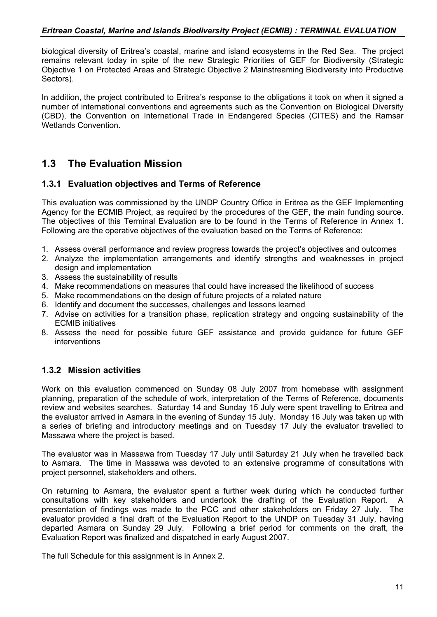biological diversity of Eritrea's coastal, marine and island ecosystems in the Red Sea. The project remains relevant today in spite of the new Strategic Priorities of GEF for Biodiversity (Strategic Objective 1 on Protected Areas and Strategic Objective 2 Mainstreaming Biodiversity into Productive Sectors).

In addition, the project contributed to Eritrea's response to the obligations it took on when it signed a number of international conventions and agreements such as the Convention on Biological Diversity (CBD), the Convention on International Trade in Endangered Species (CITES) and the Ramsar Wetlands Convention.

# **1.3 The Evaluation Mission**

## **1.3.1 Evaluation objectives and Terms of Reference**

This evaluation was commissioned by the UNDP Country Office in Eritrea as the GEF Implementing Agency for the ECMIB Project, as required by the procedures of the GEF, the main funding source. The objectives of this Terminal Evaluation are to be found in the Terms of Reference in Annex 1. Following are the operative objectives of the evaluation based on the Terms of Reference:

- 1. Assess overall performance and review progress towards the project's objectives and outcomes
- 2. Analyze the implementation arrangements and identify strengths and weaknesses in project design and implementation
- 3. Assess the sustainability of results
- 4. Make recommendations on measures that could have increased the likelihood of success
- 5. Make recommendations on the design of future projects of a related nature
- 6. Identify and document the successes, challenges and lessons learned
- 7. Advise on activities for a transition phase, replication strategy and ongoing sustainability of the ECMIB initiatives
- 8. Assess the need for possible future GEF assistance and provide guidance for future GEF interventions

## **1.3.2 Mission activities**

Work on this evaluation commenced on Sunday 08 July 2007 from homebase with assignment planning, preparation of the schedule of work, interpretation of the Terms of Reference, documents review and websites searches. Saturday 14 and Sunday 15 July were spent travelling to Eritrea and the evaluator arrived in Asmara in the evening of Sunday 15 July. Monday 16 July was taken up with a series of briefing and introductory meetings and on Tuesday 17 July the evaluator travelled to Massawa where the project is based.

The evaluator was in Massawa from Tuesday 17 July until Saturday 21 July when he travelled back to Asmara. The time in Massawa was devoted to an extensive programme of consultations with project personnel, stakeholders and others.

On returning to Asmara, the evaluator spent a further week during which he conducted further consultations with key stakeholders and undertook the drafting of the Evaluation Report. A presentation of findings was made to the PCC and other stakeholders on Friday 27 July. The evaluator provided a final draft of the Evaluation Report to the UNDP on Tuesday 31 July, having departed Asmara on Sunday 29 July. Following a brief period for comments on the draft, the Evaluation Report was finalized and dispatched in early August 2007.

The full Schedule for this assignment is in Annex 2.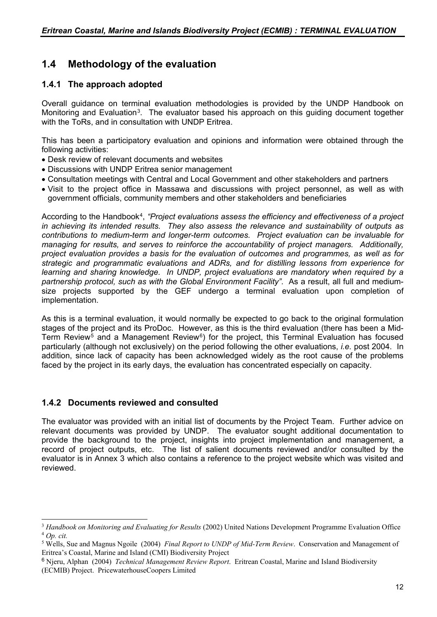# **1.4 Methodology of the evaluation**

# **1.4.1 The approach adopted**

Overall guidance on terminal evaluation methodologies is provided by the UNDP Handbook on Monitoring and Evaluation<sup>3</sup>. The evaluator based his approach on this quiding document together with the ToRs, and in consultation with UNDP Eritrea.

This has been a participatory evaluation and opinions and information were obtained through the following activities:

- Desk review of relevant documents and websites
- Discussions with UNDP Eritrea senior management
- Consultation meetings with Central and Local Government and other stakeholders and partners
- Visit to the project office in Massawa and discussions with project personnel, as well as with government officials, community members and other stakeholders and beneficiaries

According to the Handbook[4](#page-11-1), *"Project evaluations assess the efficiency and effectiveness of a project in achieving its intended results. They also assess the relevance and sustainability of outputs as contributions to medium-term and longer-term outcomes. Project evaluation can be invaluable for managing for results, and serves to reinforce the accountability of project managers. Additionally, project evaluation provides a basis for the evaluation of outcomes and programmes, as well as for strategic and programmatic evaluations and ADRs, and for distilling lessons from experience for learning and sharing knowledge. In UNDP, project evaluations are mandatory when required by a partnership protocol, such as with the Global Environment Facility"*. As a result, all full and mediumsize projects supported by the GEF undergo a terminal evaluation upon completion of implementation.

As this is a terminal evaluation, it would normally be expected to go back to the original formulation stages of the project and its ProDoc. However, as this is the third evaluation (there has been a Mid-Term Review<sup>[5](#page-11-2)</sup> and a Management Review<sup>[6](#page-11-3)</sup>) for the project, this Terminal Evaluation has focused particularly (although not exclusively) on the period following the other evaluations, *i.e.* post 2004. In addition, since lack of capacity has been acknowledged widely as the root cause of the problems faced by the project in its early days, the evaluation has concentrated especially on capacity.

# **1.4.2 Documents reviewed and consulted**

 $\overline{a}$ 

The evaluator was provided with an initial list of documents by the Project Team. Further advice on relevant documents was provided by UNDP. The evaluator sought additional documentation to provide the background to the project, insights into project implementation and management, a record of project outputs, etc. The list of salient documents reviewed and/or consulted by the evaluator is in Annex 3 which also contains a reference to the project website which was visited and reviewed.

<span id="page-11-0"></span><sup>3</sup> *Handbook on Monitoring and Evaluating for Results* (2002) United Nations Development Programme Evaluation Office <sup>4</sup> *Op. cit.*

<span id="page-11-2"></span><span id="page-11-1"></span><sup>5</sup> Wells, Sue and Magnus Ngoile (2004) *Final Report to UNDP of Mid-Term Review*. Conservation and Management of Eritrea's Coastal, Marine and Island (CMI) Biodiversity Project

<span id="page-11-3"></span><sup>6</sup> Njeru, Alphan (2004) *Technical Management Review Report*. Eritrean Coastal, Marine and Island Biodiversity (ECMIB) Project. PricewaterhouseCoopers Limited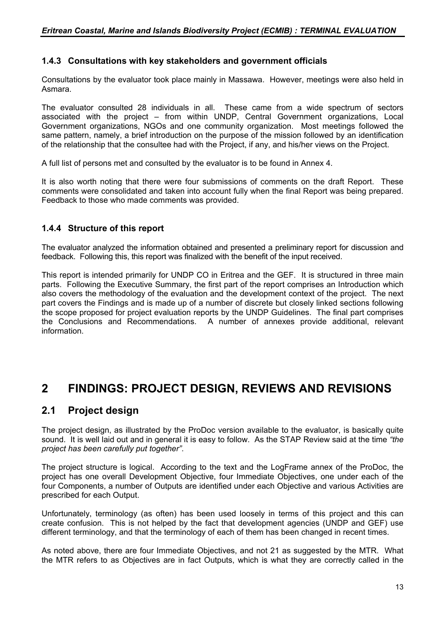# **1.4.3 Consultations with key stakeholders and government officials**

Consultations by the evaluator took place mainly in Massawa. However, meetings were also held in Asmara.

The evaluator consulted 28 individuals in all. These came from a wide spectrum of sectors associated with the project – from within UNDP, Central Government organizations, Local Government organizations, NGOs and one community organization. Most meetings followed the same pattern, namely, a brief introduction on the purpose of the mission followed by an identification of the relationship that the consultee had with the Project, if any, and his/her views on the Project.

A full list of persons met and consulted by the evaluator is to be found in Annex 4.

It is also worth noting that there were four submissions of comments on the draft Report. These comments were consolidated and taken into account fully when the final Report was being prepared. Feedback to those who made comments was provided.

# **1.4.4 Structure of this report**

The evaluator analyzed the information obtained and presented a preliminary report for discussion and feedback. Following this, this report was finalized with the benefit of the input received.

This report is intended primarily for UNDP CO in Eritrea and the GEF. It is structured in three main parts. Following the Executive Summary, the first part of the report comprises an Introduction which also covers the methodology of the evaluation and the development context of the project. The next part covers the Findings and is made up of a number of discrete but closely linked sections following the scope proposed for project evaluation reports by the UNDP Guidelines. The final part comprises the Conclusions and Recommendations. A number of annexes provide additional, relevant information.

# **2 FINDINGS: PROJECT DESIGN, REVIEWS AND REVISIONS**

# **2.1 Project design**

The project design, as illustrated by the ProDoc version available to the evaluator, is basically quite sound. It is well laid out and in general it is easy to follow. As the STAP Review said at the time *"the project has been carefully put together"*.

The project structure is logical. According to the text and the LogFrame annex of the ProDoc, the project has one overall Development Objective, four Immediate Objectives, one under each of the four Components, a number of Outputs are identified under each Objective and various Activities are prescribed for each Output.

Unfortunately, terminology (as often) has been used loosely in terms of this project and this can create confusion. This is not helped by the fact that development agencies (UNDP and GEF) use different terminology, and that the terminology of each of them has been changed in recent times.

As noted above, there are four Immediate Objectives, and not 21 as suggested by the MTR. What the MTR refers to as Objectives are in fact Outputs, which is what they are correctly called in the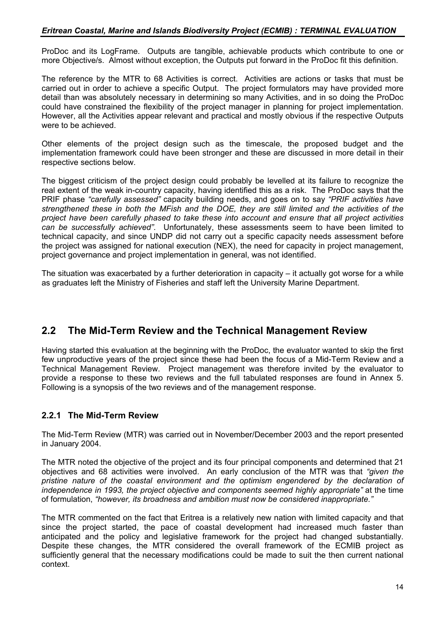ProDoc and its LogFrame. Outputs are tangible, achievable products which contribute to one or more Objective/s. Almost without exception, the Outputs put forward in the ProDoc fit this definition.

The reference by the MTR to 68 Activities is correct. Activities are actions or tasks that must be carried out in order to achieve a specific Output. The project formulators may have provided more detail than was absolutely necessary in determining so many Activities, and in so doing the ProDoc could have constrained the flexibility of the project manager in planning for project implementation. However, all the Activities appear relevant and practical and mostly obvious if the respective Outputs were to be achieved.

Other elements of the project design such as the timescale, the proposed budget and the implementation framework could have been stronger and these are discussed in more detail in their respective sections below.

The biggest criticism of the project design could probably be levelled at its failure to recognize the real extent of the weak in-country capacity, having identified this as a risk. The ProDoc says that the PRIF phase *"carefully assessed"* capacity building needs, and goes on to say *"PRIF activities have strengthened these in both the MFish and the DOE, they are still limited and the activities of the project have been carefully phased to take these into account and ensure that all project activities can be successfully achieved"*. Unfortunately, these assessments seem to have been limited to technical capacity, and since UNDP did not carry out a specific capacity needs assessment before the project was assigned for national execution (NEX), the need for capacity in project management, project governance and project implementation in general, was not identified.

The situation was exacerbated by a further deterioration in capacity  $-$  it actually got worse for a while as graduates left the Ministry of Fisheries and staff left the University Marine Department.

# **2.2 The Mid-Term Review and the Technical Management Review**

Having started this evaluation at the beginning with the ProDoc, the evaluator wanted to skip the first few unproductive years of the project since these had been the focus of a Mid-Term Review and a Technical Management Review. Project management was therefore invited by the evaluator to provide a response to these two reviews and the full tabulated responses are found in Annex 5. Following is a synopsis of the two reviews and of the management response.

# **2.2.1 The Mid-Term Review**

The Mid-Term Review (MTR) was carried out in November/December 2003 and the report presented in January 2004.

The MTR noted the objective of the project and its four principal components and determined that 21 objectives and 68 activities were involved. An early conclusion of the MTR was that *"given the*  pristine nature of the coastal environment and the optimism engendered by the declaration of *independence in 1993, the project objective and components seemed highly appropriate"* at the time of formulation, *"however, its broadness and ambition must now be considered inappropriate."*

The MTR commented on the fact that Eritrea is a relatively new nation with limited capacity and that since the project started, the pace of coastal development had increased much faster than anticipated and the policy and legislative framework for the project had changed substantially. Despite these changes, the MTR considered the overall framework of the ECMIB project as sufficiently general that the necessary modifications could be made to suit the then current national context.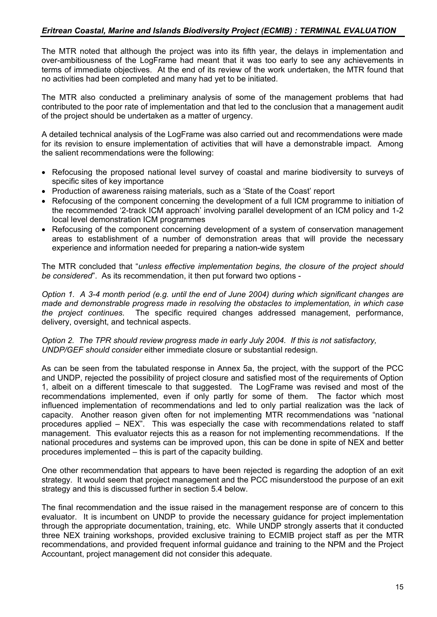The MTR noted that although the project was into its fifth year, the delays in implementation and over-ambitiousness of the LogFrame had meant that it was too early to see any achievements in terms of immediate objectives. At the end of its review of the work undertaken, the MTR found that no activities had been completed and many had yet to be initiated.

The MTR also conducted a preliminary analysis of some of the management problems that had contributed to the poor rate of implementation and that led to the conclusion that a management audit of the project should be undertaken as a matter of urgency.

A detailed technical analysis of the LogFrame was also carried out and recommendations were made for its revision to ensure implementation of activities that will have a demonstrable impact. Among the salient recommendations were the following:

- Refocusing the proposed national level survey of coastal and marine biodiversity to surveys of specific sites of key importance
- Production of awareness raising materials, such as a 'State of the Coast' report
- Refocusing of the component concerning the development of a full ICM programme to initiation of the recommended '2-track ICM approach' involving parallel development of an ICM policy and 1-2 local level demonstration ICM programmes
- Refocusing of the component concerning development of a system of conservation management areas to establishment of a number of demonstration areas that will provide the necessary experience and information needed for preparing a nation-wide system

The MTR concluded that "*unless effective implementation begins, the closure of the project should be considered*". As its recommendation, it then put forward two options -

*Option 1. A 3-4 month period (e.g. until the end of June 2004) during which significant changes are made and demonstrable progress made in resolving the obstacles to implementation, in which case the project continues.* The specific required changes addressed management, performance, delivery, oversight, and technical aspects.

*Option 2. The TPR should review progress made in early July 2004. If this is not satisfactory, UNDP/GEF should consider* either immediate closure or substantial redesign.

As can be seen from the tabulated response in Annex 5a, the project, with the support of the PCC and UNDP, rejected the possibility of project closure and satisfied most of the requirements of Option 1, albeit on a different timescale to that suggested. The LogFrame was revised and most of the recommendations implemented, even if only partly for some of them. The factor which most influenced implementation of recommendations and led to only partial realization was the lack of capacity. Another reason given often for not implementing MTR recommendations was "national procedures applied – NEX". This was especially the case with recommendations related to staff management. This evaluator rejects this as a reason for not implementing recommendations. If the national procedures and systems can be improved upon, this can be done in spite of NEX and better procedures implemented – this is part of the capacity building.

One other recommendation that appears to have been rejected is regarding the adoption of an exit strategy. It would seem that project management and the PCC misunderstood the purpose of an exit strategy and this is discussed further in section 5.4 below.

The final recommendation and the issue raised in the management response are of concern to this evaluator. It is incumbent on UNDP to provide the necessary guidance for project implementation through the appropriate documentation, training, etc. While UNDP strongly asserts that it conducted three NEX training workshops, provided exclusive training to ECMIB project staff as per the MTR recommendations, and provided frequent informal guidance and training to the NPM and the Project Accountant, project management did not consider this adequate.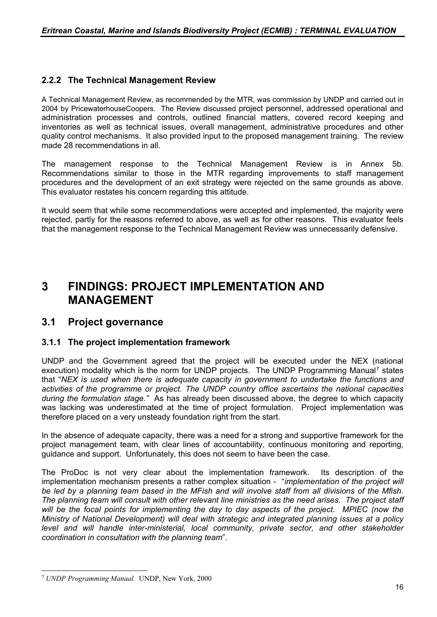# **2.2.2 The Technical Management Review**

A Technical Management Review, as recommended by the MTR, was commission by UNDP and carried out in 2004 by PricewaterhouseCoopers. The Review discussed project personnel, addressed operational and administration processes and controls, outlined financial matters, covered record keeping and inventories as well as technical issues, overall management, administrative procedures and other quality control mechanisms. It also provided input to the proposed management training. The review made 28 recommendations in all

The management response to the Technical Management Review is in Annex 5b. Recommendations similar to those in the MTR regarding improvements to staff management procedures and the development of an exit strategy were rejected on the same grounds as above. This evaluator restates his concern regarding this attitude.

It would seem that while some recommendations were accepted and implemented, the majority were rejected, partly for the reasons referred to above, as well as for other reasons. This evaluator feels that the management response to the Technical Management Review was unnecessarily defensive.

# **3 FINDINGS: PROJECT IMPLEMENTATION AND MANAGEMENT**

# **3.1 Project governance**

## **3.1.1 The project implementation framework**

UNDP and the Government agreed that the project will be executed under the NEX (national execution) modality which is the norm for UNDP projects. The UNDP Programming Manual<sup>[7](#page-15-0)</sup> states that "*NEX is used when there is adequate capacity in government to undertake the functions and activities of the programme or project. The UNDP country office ascertains the national capacities during the formulation stage."* As has already been discussed above, the degree to which capacity was lacking was underestimated at the time of project formulation. Project implementation was therefore placed on a very unsteady foundation right from the start.

In the absence of adequate capacity, there was a need for a strong and supportive framework for the project management team, with clear lines of accountability, continuous monitoring and reporting, guidance and support. Unfortunately, this does not seem to have been the case.

The ProDoc is not very clear about the implementation framework. Its description of the implementation mechanism presents a rather complex situation - "*implementation of the project will be led by a planning team based in the MFish and will involve staff from all divisions of the Mfish. The planning team will consult with other relevant line ministries as the need arises. The project staff will be the focal points for implementing the day to day aspects of the project. MPIEC (now the Ministry of National Development) will deal with strategic and integrated planning issues at a policy level and will handle inter-ministerial, local community, private sector, and other stakeholder coordination in consultation with the planning team*".

<span id="page-15-0"></span> $\overline{a}$ <sup>7</sup> *UNDP Programming Manual.* UNDP, New York, 2000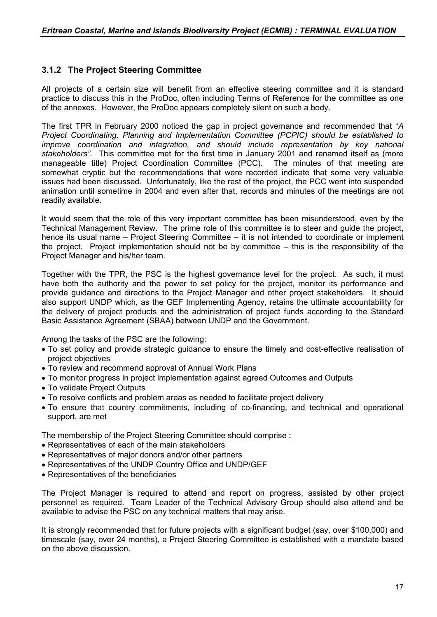# **3.1.2 The Project Steering Committee**

All projects of a certain size will benefit from an effective steering committee and it is standard practice to discuss this in the ProDoc, often including Terms of Reference for the committee as one of the annexes. However, the ProDoc appears completely silent on such a body.

The first TPR in February 2000 noticed the gap in project governance and recommended that "*A Project Coordinating, Planning and Implementation Committee (PCPIC) should be established to improve coordination and integration, and should include representation by key national stakeholders".* This committee met for the first time in January 2001 and renamed itself as (more manageable title) Project Coordination Committee (PCC). The minutes of that meeting are somewhat cryptic but the recommendations that were recorded indicate that some very valuable issues had been discussed. Unfortunately, like the rest of the project, the PCC went into suspended animation until sometime in 2004 and even after that, records and minutes of the meetings are not readily available.

It would seem that the role of this very important committee has been misunderstood, even by the Technical Management Review. The prime role of this committee is to steer and guide the project, hence its usual name – Project Steering Committee – it is not intended to coordinate or implement the project. Project implementation should not be by committee – this is the responsibility of the Project Manager and his/her team.

Together with the TPR, the PSC is the highest governance level for the project. As such, it must have both the authority and the power to set policy for the project, monitor its performance and provide guidance and directions to the Project Manager and other project stakeholders. It should also support UNDP which, as the GEF Implementing Agency, retains the ultimate accountability for the delivery of project products and the administration of project funds according to the Standard Basic Assistance Agreement (SBAA) between UNDP and the Government.

Among the tasks of the PSC are the following:

- To set policy and provide strategic guidance to ensure the timely and cost-effective realisation of project objectives
- To review and recommend approval of Annual Work Plans
- To monitor progress in project implementation against agreed Outcomes and Outputs
- To validate Project Outputs
- To resolve conflicts and problem areas as needed to facilitate project delivery
- To ensure that country commitments, including of co-financing, and technical and operational support, are met

The membership of the Project Steering Committee should comprise :

- Representatives of each of the main stakeholders
- Representatives of major donors and/or other partners
- Representatives of the UNDP Country Office and UNDP/GEF
- Representatives of the beneficiaries

The Project Manager is required to attend and report on progress, assisted by other project personnel as required. Team Leader of the Technical Advisory Group should also attend and be available to advise the PSC on any technical matters that may arise.

It is strongly recommended that for future projects with a significant budget (say, over \$100,000) and timescale (say, over 24 months), a Project Steering Committee is established with a mandate based on the above discussion.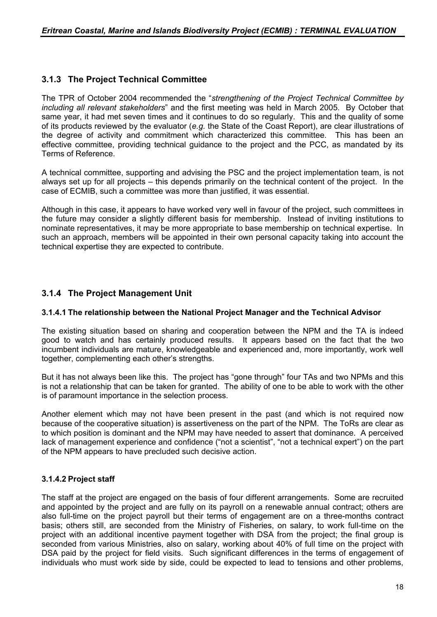# **3.1.3 The Project Technical Committee**

The TPR of October 2004 recommended the "*strengthening of the Project Technical Committee by including all relevant stakeholders*" and the first meeting was held in March 2005. By October that same year, it had met seven times and it continues to do so regularly. This and the quality of some of its products reviewed by the evaluator (*e.g.* the State of the Coast Report), are clear illustrations of the degree of activity and commitment which characterized this committee. This has been an effective committee, providing technical guidance to the project and the PCC, as mandated by its Terms of Reference.

A technical committee, supporting and advising the PSC and the project implementation team, is not always set up for all projects – this depends primarily on the technical content of the project. In the case of ECMIB, such a committee was more than justified, it was essential.

Although in this case, it appears to have worked very well in favour of the project, such committees in the future may consider a slightly different basis for membership. Instead of inviting institutions to nominate representatives, it may be more appropriate to base membership on technical expertise. In such an approach, members will be appointed in their own personal capacity taking into account the technical expertise they are expected to contribute.

# **3.1.4 The Project Management Unit**

### **3.1.4.1 The relationship between the National Project Manager and the Technical Advisor**

The existing situation based on sharing and cooperation between the NPM and the TA is indeed good to watch and has certainly produced results. It appears based on the fact that the two incumbent individuals are mature, knowledgeable and experienced and, more importantly, work well together, complementing each other's strengths.

But it has not always been like this. The project has "gone through" four TAs and two NPMs and this is not a relationship that can be taken for granted. The ability of one to be able to work with the other is of paramount importance in the selection process.

Another element which may not have been present in the past (and which is not required now because of the cooperative situation) is assertiveness on the part of the NPM. The ToRs are clear as to which position is dominant and the NPM may have needed to assert that dominance. A perceived lack of management experience and confidence ("not a scientist", "not a technical expert") on the part of the NPM appears to have precluded such decisive action.

## **3.1.4.2 Project staff**

The staff at the project are engaged on the basis of four different arrangements. Some are recruited and appointed by the project and are fully on its payroll on a renewable annual contract; others are also full-time on the project payroll but their terms of engagement are on a three-months contract basis; others still, are seconded from the Ministry of Fisheries, on salary, to work full-time on the project with an additional incentive payment together with DSA from the project; the final group is seconded from various Ministries, also on salary, working about 40% of full time on the project with DSA paid by the project for field visits. Such significant differences in the terms of engagement of individuals who must work side by side, could be expected to lead to tensions and other problems,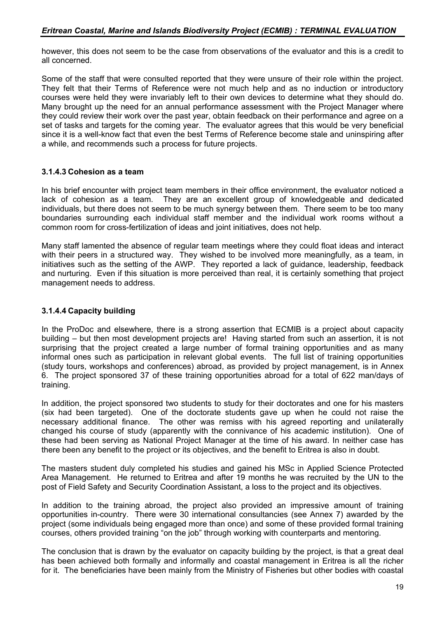however, this does not seem to be the case from observations of the evaluator and this is a credit to all concerned.

Some of the staff that were consulted reported that they were unsure of their role within the project. They felt that their Terms of Reference were not much help and as no induction or introductory courses were held they were invariably left to their own devices to determine what they should do. Many brought up the need for an annual performance assessment with the Project Manager where they could review their work over the past year, obtain feedback on their performance and agree on a set of tasks and targets for the coming year. The evaluator agrees that this would be very beneficial since it is a well-know fact that even the best Terms of Reference become stale and uninspiring after a while, and recommends such a process for future projects.

## **3.1.4.3 Cohesion as a team**

In his brief encounter with project team members in their office environment, the evaluator noticed a lack of cohesion as a team. They are an excellent group of knowledgeable and dedicated individuals, but there does not seem to be much synergy between them. There seem to be too many boundaries surrounding each individual staff member and the individual work rooms without a common room for cross-fertilization of ideas and joint initiatives, does not help.

Many staff lamented the absence of regular team meetings where they could float ideas and interact with their peers in a structured way. They wished to be involved more meaningfully, as a team, in initiatives such as the setting of the AWP. They reported a lack of guidance, leadership, feedback and nurturing. Even if this situation is more perceived than real, it is certainly something that project management needs to address.

# **3.1.4.4 Capacity building**

In the ProDoc and elsewhere, there is a strong assertion that ECMIB is a project about capacity building – but then most development projects are! Having started from such an assertion, it is not surprising that the project created a large number of formal training opportunities and as many informal ones such as participation in relevant global events. The full list of training opportunities (study tours, workshops and conferences) abroad, as provided by project management, is in Annex 6. The project sponsored 37 of these training opportunities abroad for a total of 622 man/days of training.

In addition, the project sponsored two students to study for their doctorates and one for his masters (six had been targeted). One of the doctorate students gave up when he could not raise the necessary additional finance. The other was remiss with his agreed reporting and unilaterally changed his course of study (apparently with the connivance of his academic institution). One of these had been serving as National Project Manager at the time of his award. In neither case has there been any benefit to the project or its objectives, and the benefit to Eritrea is also in doubt.

The masters student duly completed his studies and gained his MSc in Applied Science Protected Area Management. He returned to Eritrea and after 19 months he was recruited by the UN to the post of Field Safety and Security Coordination Assistant, a loss to the project and its objectives.

In addition to the training abroad, the project also provided an impressive amount of training opportunities in-country. There were 30 international consultancies (see Annex 7) awarded by the project (some individuals being engaged more than once) and some of these provided formal training courses, others provided training "on the job" through working with counterparts and mentoring.

The conclusion that is drawn by the evaluator on capacity building by the project, is that a great deal has been achieved both formally and informally and coastal management in Eritrea is all the richer for it. The beneficiaries have been mainly from the Ministry of Fisheries but other bodies with coastal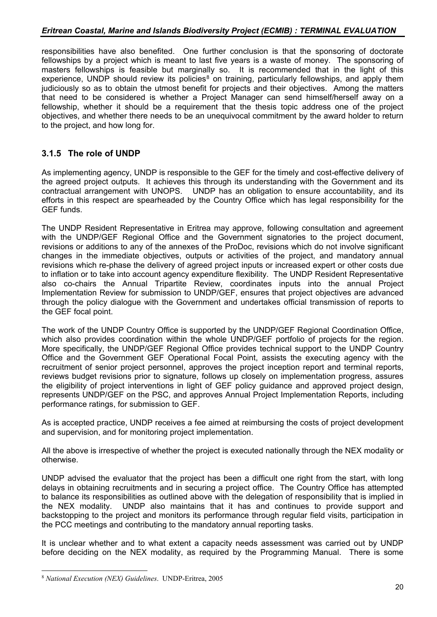responsibilities have also benefited. One further conclusion is that the sponsoring of doctorate fellowships by a project which is meant to last five years is a waste of money. The sponsoring of masters fellowships is feasible but marginally so. It is recommended that in the light of this experience, UNDP should review its policies<sup>[8](#page-19-0)</sup> on training, particularly fellowships, and apply them judiciously so as to obtain the utmost benefit for projects and their objectives. Among the matters that need to be considered is whether a Project Manager can send himself/herself away on a fellowship, whether it should be a requirement that the thesis topic address one of the project objectives, and whether there needs to be an unequivocal commitment by the award holder to return to the project, and how long for.

# **3.1.5 The role of UNDP**

As implementing agency, UNDP is responsible to the GEF for the timely and cost-effective delivery of the agreed project outputs. It achieves this through its understanding with the Government and its contractual arrangement with UNOPS. UNDP has an obligation to ensure accountability, and its efforts in this respect are spearheaded by the Country Office which has legal responsibility for the GEF funds.

The UNDP Resident Representative in Eritrea may approve, following consultation and agreement with the UNDP/GEF Regional Office and the Government signatories to the project document, revisions or additions to any of the annexes of the ProDoc, revisions which do not involve significant changes in the immediate objectives, outputs or activities of the project, and mandatory annual revisions which re-phase the delivery of agreed project inputs or increased expert or other costs due to inflation or to take into account agency expenditure flexibility. The UNDP Resident Representative also co-chairs the Annual Tripartite Review, coordinates inputs into the annual Project Implementation Review for submission to UNDP/GEF, ensures that project objectives are advanced through the policy dialogue with the Government and undertakes official transmission of reports to the GEF focal point.

The work of the UNDP Country Office is supported by the UNDP/GEF Regional Coordination Office, which also provides coordination within the whole UNDP/GEF portfolio of projects for the region. More specifically, the UNDP/GEF Regional Office provides technical support to the UNDP Country Office and the Government GEF Operational Focal Point, assists the executing agency with the recruitment of senior project personnel, approves the project inception report and terminal reports, reviews budget revisions prior to signature, follows up closely on implementation progress, assures the eligibility of project interventions in light of GEF policy guidance and approved project design, represents UNDP/GEF on the PSC, and approves Annual Project Implementation Reports, including performance ratings, for submission to GEF.

As is accepted practice, UNDP receives a fee aimed at reimbursing the costs of project development and supervision, and for monitoring project implementation.

All the above is irrespective of whether the project is executed nationally through the NEX modality or otherwise.

UNDP advised the evaluator that the project has been a difficult one right from the start, with long delays in obtaining recruitments and in securing a project office. The Country Office has attempted to balance its responsibilities as outlined above with the delegation of responsibility that is implied in the NEX modality. UNDP also maintains that it has and continues to provide support and backstopping to the project and monitors its performance through regular field visits, participation in the PCC meetings and contributing to the mandatory annual reporting tasks.

It is unclear whether and to what extent a capacity needs assessment was carried out by UNDP before deciding on the NEX modality, as required by the Programming Manual. There is some

<span id="page-19-0"></span> $\overline{a}$ <sup>8</sup> *National Execution (NEX) Guidelines*. UNDP-Eritrea, 2005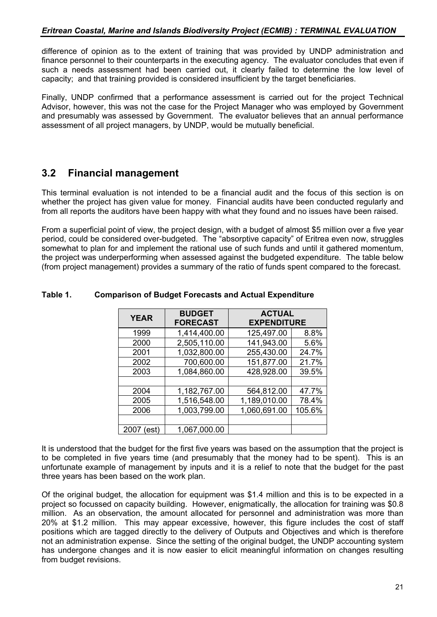difference of opinion as to the extent of training that was provided by UNDP administration and finance personnel to their counterparts in the executing agency. The evaluator concludes that even if such a needs assessment had been carried out, it clearly failed to determine the low level of capacity; and that training provided is considered insufficient by the target beneficiaries.

Finally, UNDP confirmed that a performance assessment is carried out for the project Technical Advisor, however, this was not the case for the Project Manager who was employed by Government and presumably was assessed by Government. The evaluator believes that an annual performance assessment of all project managers, by UNDP, would be mutually beneficial.

# **3.2 Financial management**

This terminal evaluation is not intended to be a financial audit and the focus of this section is on whether the project has given value for money. Financial audits have been conducted regularly and from all reports the auditors have been happy with what they found and no issues have been raised.

From a superficial point of view, the project design, with a budget of almost \$5 million over a five year period, could be considered over-budgeted. The "absorptive capacity" of Eritrea even now, struggles somewhat to plan for and implement the rational use of such funds and until it gathered momentum, the project was underperforming when assessed against the budgeted expenditure. The table below (from project management) provides a summary of the ratio of funds spent compared to the forecast.

| <b>YEAR</b>   | <b>BUDGET</b><br><b>FORECAST</b> | <b>ACTUAL</b><br><b>EXPENDITURE</b> |        |
|---------------|----------------------------------|-------------------------------------|--------|
| 1999          | 1,414,400.00                     | 125,497.00                          | 8.8%   |
| 2000          | 2,505,110.00                     | 141,943.00                          | 5.6%   |
| 2001          | 1,032,800.00                     | 255,430.00                          | 24.7%  |
| 2002          | 700,600.00                       | 151,877.00                          | 21.7%  |
| 2003          | 1,084,860.00                     | 428,928.00                          | 39.5%  |
|               |                                  |                                     |        |
| 2004          | 1,182,767.00                     | 564,812.00                          | 47.7%  |
| 2005          | 1,516,548.00                     | 1,189,010.00                        | 78.4%  |
| 2006          | 1,003,799.00                     | 1,060,691.00                        | 105.6% |
|               |                                  |                                     |        |
| 2007<br>(est) | 1,067,000.00                     |                                     |        |

## **Table 1. Comparison of Budget Forecasts and Actual Expenditure**

It is understood that the budget for the first five years was based on the assumption that the project is to be completed in five years time (and presumably that the money had to be spent). This is an unfortunate example of management by inputs and it is a relief to note that the budget for the past three years has been based on the work plan.

Of the original budget, the allocation for equipment was \$1.4 million and this is to be expected in a project so focussed on capacity building. However, enigmatically, the allocation for training was \$0.8 million. As an observation, the amount allocated for personnel and administration was more than 20% at \$1.2 million. This may appear excessive, however, this figure includes the cost of staff positions which are tagged directly to the delivery of Outputs and Objectives and which is therefore not an administration expense. Since the setting of the original budget, the UNDP accounting system has undergone changes and it is now easier to elicit meaningful information on changes resulting from budget revisions.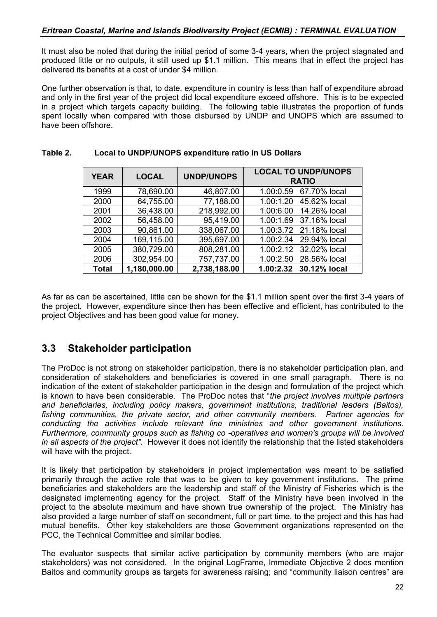It must also be noted that during the initial period of some 3-4 years, when the project stagnated and produced little or no outputs, it still used up \$1.1 million. This means that in effect the project has delivered its benefits at a cost of under \$4 million.

One further observation is that, to date, expenditure in country is less than half of expenditure abroad and only in the first year of the project did local expenditure exceed offshore. This is to be expected in a project which targets capacity building. The following table illustrates the proportion of funds spent locally when compared with those disbursed by UNDP and UNOPS which are assumed to have been offshore.

| <b>YEAR</b>  | <b>LOCAL</b> | <b>UNDP/UNOPS</b> | <b>LOCAL TO UNDP/UNOPS</b><br><b>RATIO</b> |
|--------------|--------------|-------------------|--------------------------------------------|
| 1999         | 78,690.00    | 46,807.00         | 1.00:0.59 67.70% local                     |
| 2000         | 64,755.00    | 77,188.00         | 1.00:1.20 45.62% local                     |
| 2001         | 36,438.00    | 218,992.00        | 1.00:6.00 14.26% local                     |
| 2002         | 56,458.00    | 95,419.00         | 1.00:1.69 37.16% local                     |
| 2003         | 90,861.00    | 338,067.00        | 1.00:3.72 21.18% local                     |
| 2004         | 169,115.00   | 395,697.00        | 1.00:2.34 29.94% local                     |
| 2005         | 380,729.00   | 808,281.00        | 1.00:2.12 32.02% local                     |
| 2006         | 302,954.00   | 757,737.00        | 1.00:2.50 28.56% local                     |
| <b>Total</b> | 1,180,000.00 | 2,738,188.00      | 1.00:2.32 30.12% local                     |

# **Table 2. Local to UNDP/UNOPS expenditure ratio in US Dollars**

As far as can be ascertained, little can be shown for the \$1.1 million spent over the first 3-4 years of the project. However, expenditure since then has been effective and efficient, has contributed to the project Objectives and has been good value for money.

# **3.3 Stakeholder participation**

The ProDoc is not strong on stakeholder participation, there is no stakeholder participation plan, and consideration of stakeholders and beneficiaries is covered in one small paragraph. There is no indication of the extent of stakeholder participation in the design and formulation of the project which is known to have been considerable. The ProDoc notes that "*the project involves multiple partners and beneficiaries, including policy makers, government institutions, traditional leaders (Baitos), fishing communities, the private sector, and other community members. Partner agencies for conducting the activities include relevant line ministries and other government institutions. Furthermore, community groups such as fishing co -operatives and women's groups will be involved in all aspects of the project"*. However it does not identify the relationship that the listed stakeholders will have with the project.

It is likely that participation by stakeholders in project implementation was meant to be satisfied primarily through the active role that was to be given to key government institutions. The prime beneficiaries and stakeholders are the leadership and staff of the Ministry of Fisheries which is the designated implementing agency for the project. Staff of the Ministry have been involved in the project to the absolute maximum and have shown true ownership of the project. The Ministry has also provided a large number of staff on secondment, full or part time, to the project and this has had mutual benefits. Other key stakeholders are those Government organizations represented on the PCC, the Technical Committee and similar bodies.

The evaluator suspects that similar active participation by community members (who are major stakeholders) was not considered. In the original LogFrame, Immediate Objective 2 does mention Baitos and community groups as targets for awareness raising; and "community liaison centres" are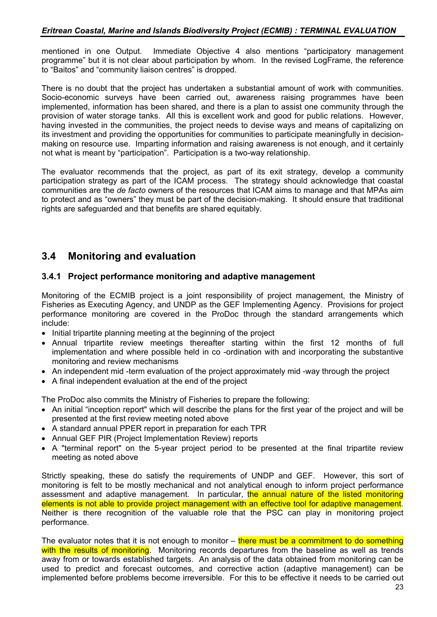mentioned in one Output. Immediate Objective 4 also mentions "participatory management programme" but it is not clear about participation by whom. In the revised LogFrame, the reference to "Baitos" and "community liaison centres" is dropped.

There is no doubt that the project has undertaken a substantial amount of work with communities. Socio-economic surveys have been carried out, awareness raising programmes have been implemented, information has been shared, and there is a plan to assist one community through the provision of water storage tanks. All this is excellent work and good for public relations. However, having invested in the communities, the project needs to devise ways and means of capitalizing on its investment and providing the opportunities for communities to participate meaningfully in decisionmaking on resource use. Imparting information and raising awareness is not enough, and it certainly not what is meant by "participation". Participation is a two-way relationship.

The evaluator recommends that the project, as part of its exit strategy, develop a community participation strategy as part of the ICAM process. The strategy should acknowledge that coastal communities are the *de facto* owners of the resources that ICAM aims to manage and that MPAs aim to protect and as "owners" they must be part of the decision-making. It should ensure that traditional rights are safeguarded and that benefits are shared equitably.

# **3.4 Monitoring and evaluation**

# **3.4.1 Project performance monitoring and adaptive management**

Monitoring of the ECMIB project is a joint responsibility of project management, the Ministry of Fisheries as Executing Agency, and UNDP as the GEF Implementing Agency. Provisions for project performance monitoring are covered in the ProDoc through the standard arrangements which include:

- Initial tripartite planning meeting at the beginning of the project
- Annual tripartite review meetings thereafter starting within the first 12 months of full implementation and where possible held in co -ordination with and incorporating the substantive monitoring and review mechanisms
- An independent mid -term evaluation of the project approximately mid -way through the project
- A final independent evaluation at the end of the project

The ProDoc also commits the Ministry of Fisheries to prepare the following:

- An initial "inception report" which will describe the plans for the first year of the project and will be presented at the first review meeting noted above
- A standard annual PPER report in preparation for each TPR
- Annual GEF PIR (Project Implementation Review) reports
- A "terminal report" on the 5-year project period to be presented at the final tripartite review meeting as noted above

Strictly speaking, these do satisfy the requirements of UNDP and GEF. However, this sort of monitoring is felt to be mostly mechanical and not analytical enough to inform project performance assessment and adaptive management. In particular, the annual nature of the listed monitoring elements is not able to provide project management with an effective tool for adaptive management. Neither is there recognition of the valuable role that the PSC can play in monitoring project performance.

The evaluator notes that it is not enough to monitor  $-$  there must be a commitment to do something with the results of monitoring. Monitoring records departures from the baseline as well as trends away from or towards established targets. An analysis of the data obtained from monitoring can be used to predict and forecast outcomes, and corrective action (adaptive management) can be implemented before problems become irreversible. For this to be effective it needs to be carried out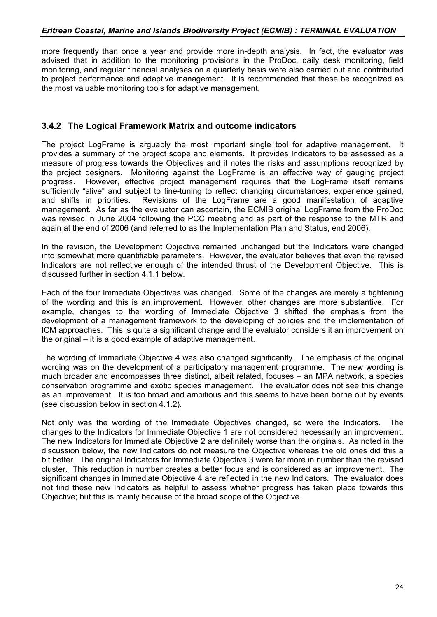more frequently than once a year and provide more in-depth analysis. In fact, the evaluator was advised that in addition to the monitoring provisions in the ProDoc, daily desk monitoring, field monitoring, and regular financial analyses on a quarterly basis were also carried out and contributed to project performance and adaptive management. It is recommended that these be recognized as the most valuable monitoring tools for adaptive management.

# **3.4.2 The Logical Framework Matrix and outcome indicators**

The project LogFrame is arguably the most important single tool for adaptive management. It provides a summary of the project scope and elements. It provides Indicators to be assessed as a measure of progress towards the Objectives and it notes the risks and assumptions recognized by the project designers. Monitoring against the LogFrame is an effective way of gauging project progress. However, effective project management requires that the LogFrame itself remains sufficiently "alive" and subject to fine-tuning to reflect changing circumstances, experience gained, and shifts in priorities. Revisions of the LogFrame are a good manifestation of adaptive management. As far as the evaluator can ascertain, the ECMIB original LogFrame from the ProDoc was revised in June 2004 following the PCC meeting and as part of the response to the MTR and again at the end of 2006 (and referred to as the Implementation Plan and Status, end 2006).

In the revision, the Development Objective remained unchanged but the Indicators were changed into somewhat more quantifiable parameters. However, the evaluator believes that even the revised Indicators are not reflective enough of the intended thrust of the Development Objective. This is discussed further in section 4.1.1 below.

Each of the four Immediate Objectives was changed. Some of the changes are merely a tightening of the wording and this is an improvement. However, other changes are more substantive. For example, changes to the wording of Immediate Objective 3 shifted the emphasis from the development of a management framework to the developing of policies and the implementation of ICM approaches. This is quite a significant change and the evaluator considers it an improvement on the original – it is a good example of adaptive management.

The wording of Immediate Objective 4 was also changed significantly. The emphasis of the original wording was on the development of a participatory management programme. The new wording is much broader and encompasses three distinct, albeit related, focuses – an MPA network, a species conservation programme and exotic species management. The evaluator does not see this change as an improvement. It is too broad and ambitious and this seems to have been borne out by events (see discussion below in section 4.1.2).

Not only was the wording of the Immediate Objectives changed, so were the Indicators. The changes to the Indicators for Immediate Objective 1 are not considered necessarily an improvement. The new Indicators for Immediate Objective 2 are definitely worse than the originals. As noted in the discussion below, the new Indicators do not measure the Objective whereas the old ones did this a bit better. The original Indicators for Immediate Objective 3 were far more in number than the revised cluster. This reduction in number creates a better focus and is considered as an improvement. The significant changes in Immediate Objective 4 are reflected in the new Indicators. The evaluator does not find these new Indicators as helpful to assess whether progress has taken place towards this Objective; but this is mainly because of the broad scope of the Objective.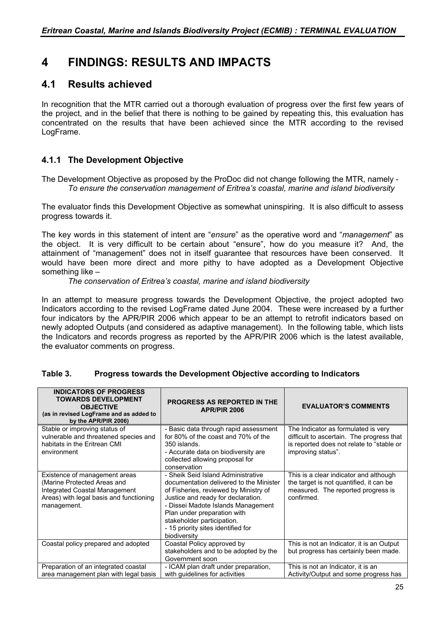# **4 FINDINGS: RESULTS AND IMPACTS**

# **4.1 Results achieved**

In recognition that the MTR carried out a thorough evaluation of progress over the first few years of the project, and in the belief that there is nothing to be gained by repeating this, this evaluation has concentrated on the results that have been achieved since the MTR according to the revised LogFrame.

# **4.1.1 The Development Objective**

The Development Objective as proposed by the ProDoc did not change following the MTR, namely - *To ensure the conservation management of Eritrea's coastal, marine and island biodiversity*

The evaluator finds this Development Objective as somewhat uninspiring. It is also difficult to assess progress towards it.

The key words in this statement of intent are "*ensure*" as the operative word and "*management*" as the object. It is very difficult to be certain about "ensure", how do you measure it? And, the attainment of "management" does not in itself guarantee that resources have been conserved. It would have been more direct and more pithy to have adopted as a Development Objective something like –

*The conservation of Eritrea's coastal, marine and island biodiversity*

In an attempt to measure progress towards the Development Objective, the project adopted two Indicators according to the revised LogFrame dated June 2004. These were increased by a further four indicators by the APR/PIR 2006 which appear to be an attempt to retrofit indicators based on newly adopted Outputs (and considered as adaptive management). In the following table, which lists the Indicators and records progress as reported by the APR/PIR 2006 which is the latest available, the evaluator comments on progress.

| <b>INDICATORS OF PROGRESS</b><br><b>TOWARDS DEVELOPMENT</b><br><b>OBJECTIVE</b><br>(as in revised LogFrame and as added to<br>by the APR/PIR 2006)      | <b>PROGRESS AS REPORTED IN THE</b><br><b>APR/PIR 2006</b>                                                                                                                                                                                                                                                             | <b>EVALUATOR'S COMMENTS</b>                                                                                                                         |
|---------------------------------------------------------------------------------------------------------------------------------------------------------|-----------------------------------------------------------------------------------------------------------------------------------------------------------------------------------------------------------------------------------------------------------------------------------------------------------------------|-----------------------------------------------------------------------------------------------------------------------------------------------------|
| Stable or improving status of<br>vulnerable and threatened species and<br>habitats in the Eritrean CMI<br>environment                                   | - Basic data through rapid assessment<br>for 80% of the coast and 70% of the<br>350 islands.<br>- Accurate data on biodiversity are<br>collected allowing proposal for<br>conservation                                                                                                                                | The Indicator as formulated is very<br>difficult to ascertain. The progress that<br>is reported does not relate to "stable or<br>improving status". |
| Existence of management areas<br>(Marine Protected Areas and<br>Integrated Coastal Management<br>Areas) with legal basis and functioning<br>management. | - Sheik Seid Island Administrative<br>documentation delivered to the Minister<br>of Fisheries, reviewed by Ministry of<br>Justice and ready for declaration.<br>- Dissei Madote Islands Management<br>Plan under preparation with<br>stakeholder participation.<br>- 15 priority sites identified for<br>biodiversity | This is a clear indicator and although<br>the target is not quantified, it can be<br>measured. The reported progress is<br>confirmed.               |
| Coastal policy prepared and adopted                                                                                                                     | Coastal Policy approved by<br>stakeholders and to be adopted by the<br>Government soon                                                                                                                                                                                                                                | This is not an Indicator, it is an Output<br>but progress has certainly been made.                                                                  |
| Preparation of an integrated coastal<br>area management plan with legal basis                                                                           | - ICAM plan draft under preparation,<br>with guidelines for activities                                                                                                                                                                                                                                                | This is not an Indicator, it is an<br>Activity/Output and some progress has                                                                         |

## **Table 3. Progress towards the Development Objective according to Indicators**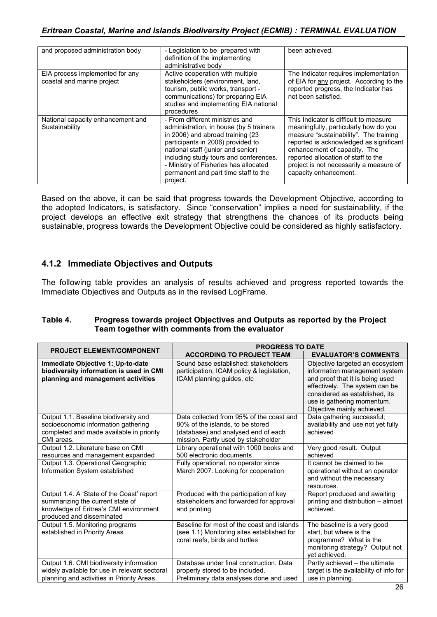| and proposed administration body                              | - Legislation to be prepared with<br>definition of the implementing<br>administrative body                                                                                                                                                                                                                                       | been achieved.                                                                                                                                                                                                                                                                                                   |
|---------------------------------------------------------------|----------------------------------------------------------------------------------------------------------------------------------------------------------------------------------------------------------------------------------------------------------------------------------------------------------------------------------|------------------------------------------------------------------------------------------------------------------------------------------------------------------------------------------------------------------------------------------------------------------------------------------------------------------|
| EIA process implemented for any<br>coastal and marine project | Active cooperation with multiple<br>stakeholders (environment, land,<br>tourism, public works, transport -<br>communications) for preparing EIA<br>studies and implementing EIA national<br>procedures                                                                                                                           | The Indicator requires implementation<br>of EIA for any project. According to the<br>reported progress, the Indicator has<br>not been satisfied.                                                                                                                                                                 |
| National capacity enhancement and<br>Sustainability           | - From different ministries and<br>administration, in house (by 5 trainers<br>in 2006) and abroad training (23<br>participants in 2006) provided to<br>national staff (junior and senior)<br>including study tours and conferences.<br>- Ministry of Fisheries has allocated<br>permanent and part time staff to the<br>project. | This Indicator is difficult to measure.<br>meaningfully, particularly how do you<br>measure "sustainability". The training<br>reported is acknowledged as significant<br>enhancement of capacity. The<br>reported allocation of staff to the<br>project is not necessarily a measure of<br>capacity enhancement. |

Based on the above, it can be said that progress towards the Development Objective, according to the adopted Indicators, is satisfactory. Since "conservation" implies a need for sustainability, if the project develops an effective exit strategy that strengthens the chances of its products being sustainable, progress towards the Development Objective could be considered as highly satisfactory.

# **4.1.2 Immediate Objectives and Outputs**

The following table provides an analysis of results achieved and progress reported towards the Immediate Objectives and Outputs as in the revised LogFrame.

| Table 4. | Progress towards project Objectives and Outputs as reported by the Project |
|----------|----------------------------------------------------------------------------|
|          | Team together with comments from the evaluator                             |

|                                                                                                                                                      | <b>PROGRESS TO DATE</b>                                                                                                                                    |                                                                                                                                                                                                                                     |  |
|------------------------------------------------------------------------------------------------------------------------------------------------------|------------------------------------------------------------------------------------------------------------------------------------------------------------|-------------------------------------------------------------------------------------------------------------------------------------------------------------------------------------------------------------------------------------|--|
| <b>PROJECT ELEMENT/COMPONENT</b>                                                                                                                     | <b>ACCORDING TO PROJECT TEAM</b>                                                                                                                           | <b>EVALUATOR'S COMMENTS</b>                                                                                                                                                                                                         |  |
| Immediate Objective 1: Up-to-date<br>biodiversity information is used in CMI<br>planning and management activities                                   | Sound base established: stakeholders<br>participation, ICAM policy & legislation,<br>ICAM planning quides, etc.                                            | Objective targeted an ecosystem<br>information management system<br>and proof that it is being used<br>effectively. The system can be<br>considered as established, its<br>use is gathering momentum.<br>Objective mainly achieved. |  |
| Output 1.1. Baseline biodiversity and<br>socioeconomic information gathering<br>completed and made available in priority<br>CMI areas.               | Data collected from 95% of the coast and<br>80% of the islands, to be stored<br>(database) and analysed end of each<br>mission. Partly used by stakeholder | Data gathering successful;<br>availability and use not yet fully<br>achieved                                                                                                                                                        |  |
| Output 1.2. Literature base on CMI<br>resources and management expanded                                                                              | Library operational with 1000 books and<br>500 electronic documents                                                                                        | Very good result. Output<br>achieved                                                                                                                                                                                                |  |
| Output 1.3. Operational Geographic<br>Information System established                                                                                 | Fully operational, no operator since<br>March 2007. Looking for cooperation                                                                                | It cannot be claimed to be<br>operational without an operator<br>and without the necessary<br>resources.                                                                                                                            |  |
| Output 1.4. A 'State of the Coast' report<br>summarizing the current state of<br>knowledge of Eritrea's CMI environment<br>produced and disseminated | Produced with the participation of key<br>stakeholders and forwarded for approval<br>and printing.                                                         | Report produced and awaiting<br>printing and distribution - almost<br>achieved.                                                                                                                                                     |  |
| Output 1.5. Monitoring programs<br>established in Priority Areas                                                                                     | Baseline for most of the coast and islands<br>(see 1.1) Monitoring sites established for<br>coral reefs, birds and turtles                                 | The baseline is a very good<br>start, but where is the<br>programme? What is the<br>monitoring strategy? Output not<br>yet achieved.                                                                                                |  |
| Output 1.6. CMI biodiversity information<br>widely available for use in relevant sectoral<br>planning and activities in Priority Areas               | Database under final construction. Data<br>properly stored to be included.<br>Preliminary data analyses done and used                                      | Partly achieved - the ultimate<br>target is the availability of info for<br>use in planning.                                                                                                                                        |  |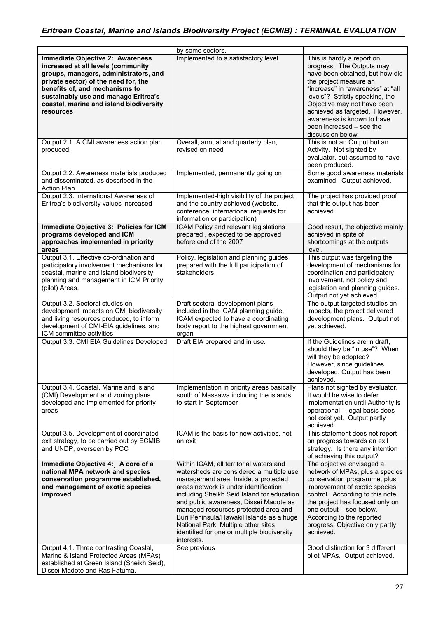|                                                                                                                                                                                                                                                                                                  | by some sectors.                                                                                                                                                                                                                                                                                                                                                                                                                                     |                                                                                                                                                                                                                                                                                                                                             |
|--------------------------------------------------------------------------------------------------------------------------------------------------------------------------------------------------------------------------------------------------------------------------------------------------|------------------------------------------------------------------------------------------------------------------------------------------------------------------------------------------------------------------------------------------------------------------------------------------------------------------------------------------------------------------------------------------------------------------------------------------------------|---------------------------------------------------------------------------------------------------------------------------------------------------------------------------------------------------------------------------------------------------------------------------------------------------------------------------------------------|
| <b>Immediate Objective 2: Awareness</b><br>increased at all levels (community<br>groups, managers, administrators, and<br>private sector) of the need for, the<br>benefits of, and mechanisms to<br>sustainably use and manage Eritrea's<br>coastal, marine and island biodiversity<br>resources | Implemented to a satisfactory level                                                                                                                                                                                                                                                                                                                                                                                                                  | This is hardly a report on<br>progress. The Outputs may<br>have been obtained, but how did<br>the project measure an<br>"increase" in "awareness" at "all<br>levels"? Strictly speaking, the<br>Objective may not have been<br>achieved as targeted. However,<br>awareness is known to have<br>been increased - see the<br>discussion below |
| Output 2.1. A CMI awareness action plan<br>produced.                                                                                                                                                                                                                                             | Overall, annual and quarterly plan,<br>revised on need                                                                                                                                                                                                                                                                                                                                                                                               | This is not an Output but an<br>Activity. Not sighted by<br>evaluator, but assumed to have<br>been produced.                                                                                                                                                                                                                                |
| Output 2.2. Awareness materials produced<br>and disseminated, as described in the<br><b>Action Plan</b>                                                                                                                                                                                          | Implemented, permanently going on                                                                                                                                                                                                                                                                                                                                                                                                                    | Some good awareness materials<br>examined. Output achieved.                                                                                                                                                                                                                                                                                 |
| Output 2.3. International Awareness of<br>Eritrea's biodiversity values increased                                                                                                                                                                                                                | Implemented-high visibility of the project<br>and the country achieved (website,<br>conference, international requests for<br>information or participation)                                                                                                                                                                                                                                                                                          | The project has provided proof<br>that this output has been<br>achieved.                                                                                                                                                                                                                                                                    |
| Immediate Objective 3: Policies for ICM<br>programs developed and ICM<br>approaches implemented in priority<br>areas                                                                                                                                                                             | ICAM Policy and relevant legislations<br>prepared, expected to be approved<br>before end of the 2007                                                                                                                                                                                                                                                                                                                                                 | Good result, the objective mainly<br>achieved in spite of<br>shortcomings at the outputs<br>level.                                                                                                                                                                                                                                          |
| Output 3.1. Effective co-ordination and<br>participatory involvement mechanisms for<br>coastal, marine and island biodiversity<br>planning and management in ICM Priority<br>(pilot) Areas.                                                                                                      | Policy, legislation and planning guides<br>prepared with the full participation of<br>stakeholders.                                                                                                                                                                                                                                                                                                                                                  | This output was targeting the<br>development of mechanisms for<br>coordination and participatory<br>involvement, not policy and<br>legislation and planning guides.<br>Output not yet achieved.                                                                                                                                             |
| Output 3.2. Sectoral studies on<br>development impacts on CMI biodiversity<br>and living resources produced, to inform<br>development of CMI-EIA guidelines, and<br>ICM committee activities                                                                                                     | Draft sectoral development plans<br>included in the ICAM planning guide,<br>ICAM expected to have a coordinating<br>body report to the highest government<br>organ                                                                                                                                                                                                                                                                                   | The output targeted studies on<br>impacts, the project delivered<br>development plans. Output not<br>yet achieved.                                                                                                                                                                                                                          |
| Output 3.3. CMI EIA Guidelines Developed                                                                                                                                                                                                                                                         | Draft EIA prepared and in use.                                                                                                                                                                                                                                                                                                                                                                                                                       | If the Guidelines are in draft,<br>should they be "in use"? When<br>will they be adopted?<br>However, since guidelines<br>developed, Output has been<br>achieved.                                                                                                                                                                           |
| Output 3.4. Coastal, Marine and Island<br>(CMI) Development and zoning plans<br>developed and implemented for priority<br>areas                                                                                                                                                                  | Implementation in priority areas basically<br>south of Massawa including the islands,<br>to start in September                                                                                                                                                                                                                                                                                                                                       | Plans not sighted by evaluator.<br>It would be wise to defer<br>implementation until Authority is<br>operational - legal basis does<br>not exist yet. Output partly<br>achieved.                                                                                                                                                            |
| Output 3.5. Development of coordinated<br>exit strategy, to be carried out by ECMIB<br>and UNDP, overseen by PCC                                                                                                                                                                                 | ICAM is the basis for new activities, not<br>an exit                                                                                                                                                                                                                                                                                                                                                                                                 | This statement does not report<br>on progress towards an exit<br>strategy. Is there any intention<br>of achieving this output?                                                                                                                                                                                                              |
| Immediate Objective 4: A core of a<br>national MPA network and species<br>conservation programme established,<br>and management of exotic species<br>improved                                                                                                                                    | Within ICAM, all territorial waters and<br>watersheds are considered a multiple use<br>management area. Inside, a protected<br>areas network is under identification<br>including Sheikh Seid Island for education<br>and public awareness, Dissei Madote as<br>managed resources protected area and<br>Buri Peninsula/Hawakil Islands as a huge<br>National Park. Multiple other sites<br>identified for one or multiple biodiversity<br>interests. | The objective envisaged a<br>network of MPAs, plus a species<br>conservation programme, plus<br>improvement of exotic species<br>control. According to this note<br>the project has focused only on<br>one output - see below.<br>According to the reported<br>progress, Objective only partly<br>achieved.                                 |
| Output 4.1. Three contrasting Coastal,<br>Marine & Island Protected Areas (MPAs)<br>established at Green Island (Sheikh Seid),<br>Dissei-Madote and Ras Fatuma.                                                                                                                                  | See previous                                                                                                                                                                                                                                                                                                                                                                                                                                         | Good distinction for 3 different<br>pilot MPAs. Output achieved.                                                                                                                                                                                                                                                                            |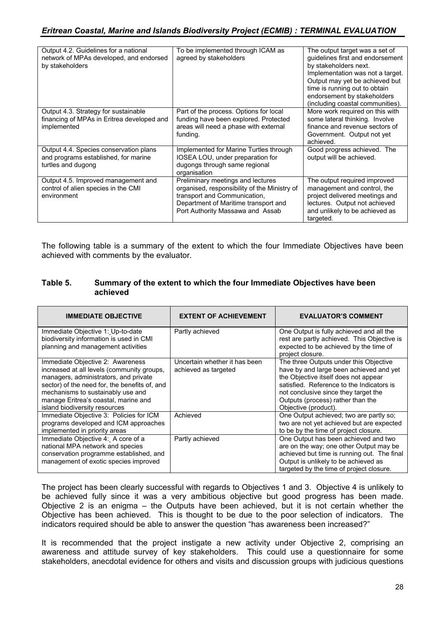| Output 4.2. Guidelines for a national<br>network of MPAs developed, and endorsed<br>by stakeholders  | To be implemented through ICAM as<br>agreed by stakeholders                                                                                                                                   | The output target was a set of<br>guidelines first and endorsement<br>by stakeholders next.<br>Implementation was not a target.<br>Output may yet be achieved but<br>time is running out to obtain<br>endorsement by stakeholders<br>(including coastal communities). |
|------------------------------------------------------------------------------------------------------|-----------------------------------------------------------------------------------------------------------------------------------------------------------------------------------------------|-----------------------------------------------------------------------------------------------------------------------------------------------------------------------------------------------------------------------------------------------------------------------|
| Output 4.3. Strategy for sustainable<br>financing of MPAs in Eritrea developed and<br>implemented    | Part of the process. Options for local<br>funding have been explored. Protected<br>areas will need a phase with external<br>funding.                                                          | More work required on this with<br>some lateral thinking. Involve<br>finance and revenue sectors of<br>Government. Output not yet<br>achieved.                                                                                                                        |
| Output 4.4. Species conservation plans<br>and programs established, for marine<br>turtles and dugong | Implemented for Marine Turtles through<br>IOSEA LOU, under preparation for<br>dugongs through same regional<br>organisation                                                                   | Good progress achieved. The<br>output will be achieved.                                                                                                                                                                                                               |
| Output 4.5. Improved management and<br>control of alien species in the CMI<br>environment            | Preliminary meetings and lectures<br>organised, responsibility of the Ministry of<br>transport and Communication,<br>Department of Maritime transport and<br>Port Authority Massawa and Assab | The output required improved<br>management and control, the<br>project delivered meetings and<br>lectures. Output not achieved<br>and unlikely to be achieved as<br>targeted.                                                                                         |

The following table is a summary of the extent to which the four Immediate Objectives have been achieved with comments by the evaluator.

#### **Table 5. Summary of the extent to which the four Immediate Objectives have been achieved**

| <b>IMMEDIATE OBJECTIVE</b>                                                                                                                                                                                                                                                             | <b>EXTENT OF ACHIEVEMENT</b>                          | <b>EVALUATOR'S COMMENT</b>                                                                                                                                                                                                                                                  |
|----------------------------------------------------------------------------------------------------------------------------------------------------------------------------------------------------------------------------------------------------------------------------------------|-------------------------------------------------------|-----------------------------------------------------------------------------------------------------------------------------------------------------------------------------------------------------------------------------------------------------------------------------|
| Immediate Objective 1: Up-to-date<br>biodiversity information is used in CMI                                                                                                                                                                                                           | Partly achieved                                       | One Output is fully achieved and all the<br>rest are partly achieved. This Objective is                                                                                                                                                                                     |
| planning and management activities                                                                                                                                                                                                                                                     |                                                       | expected to be achieved by the time of<br>project closure.                                                                                                                                                                                                                  |
| Immediate Objective 2: Awareness<br>increased at all levels (community groups,<br>managers, administrators, and private<br>sector) of the need for, the benefits of, and<br>mechanisms to sustainably use and<br>manage Eritrea's coastal, marine and<br>island biodiversity resources | Uncertain whether it has been<br>achieved as targeted | The three Outputs under this Objective<br>have by and large been achieved and yet<br>the Objective itself does not appear<br>satisfied. Reference to the Indicators is<br>not conclusive since they target the<br>Outputs (process) rather than the<br>Objective (product). |
| Immediate Objective 3: Policies for ICM<br>programs developed and ICM approaches<br>implemented in priority areas                                                                                                                                                                      | Achieved                                              | One Output achieved; two are partly so;<br>two are not yet achieved but are expected<br>to be by the time of project closure.                                                                                                                                               |
| Immediate Objective 4: A core of a<br>national MPA network and species<br>conservation programme established, and<br>management of exotic species improved                                                                                                                             | Partly achieved                                       | One Output has been achieved and two<br>are on the way; one other Output may be<br>achieved but time is running out. The final<br>Output is unlikely to be achieved as<br>targeted by the time of project closure.                                                          |

The project has been clearly successful with regards to Objectives 1 and 3. Objective 4 is unlikely to be achieved fully since it was a very ambitious objective but good progress has been made. Objective 2 is an enigma – the Outputs have been achieved, but it is not certain whether the Objective has been achieved. This is thought to be due to the poor selection of indicators. The indicators required should be able to answer the question "has awareness been increased?"

It is recommended that the project instigate a new activity under Objective 2, comprising an awareness and attitude survey of key stakeholders. This could use a questionnaire for some stakeholders, anecdotal evidence for others and visits and discussion groups with judicious questions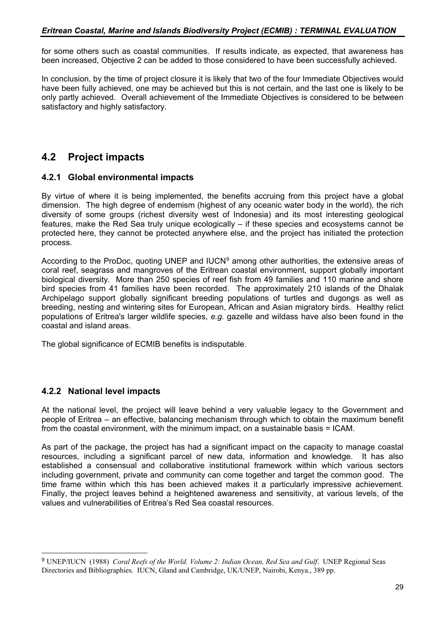for some others such as coastal communities. If results indicate, as expected, that awareness has been increased, Objective 2 can be added to those considered to have been successfully achieved.

In conclusion, by the time of project closure it is likely that two of the four Immediate Objectives would have been fully achieved, one may be achieved but this is not certain, and the last one is likely to be only partly achieved. Overall achievement of the Immediate Objectives is considered to be between satisfactory and highly satisfactory.

# **4.2 Project impacts**

# **4.2.1 Global environmental impacts**

By virtue of where it is being implemented, the benefits accruing from this project have a global dimension. The high degree of endemism (highest of any oceanic water body in the world), the rich diversity of some groups (richest diversity west of Indonesia) and its most interesting geological features, make the Red Sea truly unique ecologically – if these species and ecosystems cannot be protected here, they cannot be protected anywhere else, and the project has initiated the protection process.

According to the ProDoc, quoting UNEP and IUCN<sup>[9](#page-28-0)</sup> among other authorities, the extensive areas of coral reef, seagrass and mangroves of the Eritrean coastal environment, support globally important biological diversity. More than 250 species of reef fish from 49 families and 110 marine and shore bird species from 41 families have been recorded. The approximately 210 islands of the Dhalak Archipelago support globally significant breeding populations of turtles and dugongs as well as breeding, nesting and wintering sites for European, African and Asian migratory birds. Healthy relict populations of Eritrea's larger wildlife species, *e.g.* gazelle and wildass have also been found in the coastal and island areas.

The global significance of ECMIB benefits is indisputable.

# **4.2.2 National level impacts**

 $\overline{a}$ 

At the national level, the project will leave behind a very valuable legacy to the Government and people of Eritrea – an effective, balancing mechanism through which to obtain the maximum benefit from the coastal environment, with the minimum impact, on a sustainable basis = ICAM.

As part of the package, the project has had a significant impact on the capacity to manage coastal resources, including a significant parcel of new data, information and knowledge. It has also established a consensual and collaborative institutional framework within which various sectors including government, private and community can come together and target the common good. The time frame within which this has been achieved makes it a particularly impressive achievement. Finally, the project leaves behind a heightened awareness and sensitivity, at various levels, of the values and vulnerabilities of Eritrea's Red Sea coastal resources.

<span id="page-28-0"></span><sup>9</sup> UNEP/IUCN (1988) *Coral Reefs of the World. Volume 2: Indian Ocean, Red Sea and Gulf*. UNEP Regional Seas Directories and Bibliographies. IUCN, Gland and Cambridge, UK/UNEP, Nairobi, Kenya., 389 pp.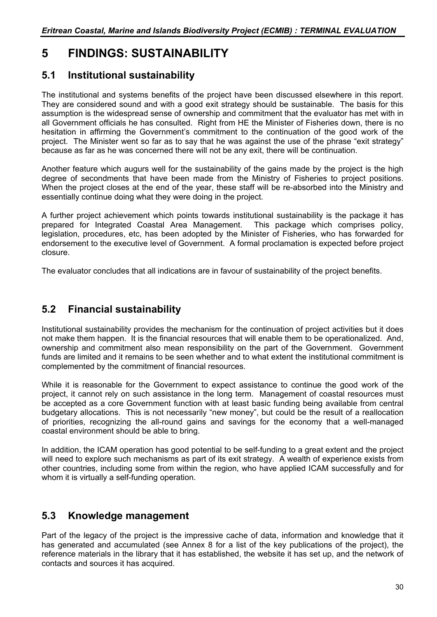# **5 FINDINGS: SUSTAINABILITY**

# **5.1 Institutional sustainability**

The institutional and systems benefits of the project have been discussed elsewhere in this report. They are considered sound and with a good exit strategy should be sustainable. The basis for this assumption is the widespread sense of ownership and commitment that the evaluator has met with in all Government officials he has consulted. Right from HE the Minister of Fisheries down, there is no hesitation in affirming the Government's commitment to the continuation of the good work of the project. The Minister went so far as to say that he was against the use of the phrase "exit strategy" because as far as he was concerned there will not be any exit, there will be continuation.

Another feature which augurs well for the sustainability of the gains made by the project is the high degree of secondments that have been made from the Ministry of Fisheries to project positions. When the project closes at the end of the year, these staff will be re-absorbed into the Ministry and essentially continue doing what they were doing in the project.

A further project achievement which points towards institutional sustainability is the package it has prepared for Integrated Coastal Area Management. This package which comprises policy, legislation, procedures, etc, has been adopted by the Minister of Fisheries, who has forwarded for endorsement to the executive level of Government. A formal proclamation is expected before project closure.

The evaluator concludes that all indications are in favour of sustainability of the project benefits.

# **5.2 Financial sustainability**

Institutional sustainability provides the mechanism for the continuation of project activities but it does not make them happen. It is the financial resources that will enable them to be operationalized. And, ownership and commitment also mean responsibility on the part of the Government. Government funds are limited and it remains to be seen whether and to what extent the institutional commitment is complemented by the commitment of financial resources.

While it is reasonable for the Government to expect assistance to continue the good work of the project, it cannot rely on such assistance in the long term. Management of coastal resources must be accepted as a core Government function with at least basic funding being available from central budgetary allocations. This is not necessarily "new money", but could be the result of a reallocation of priorities, recognizing the all-round gains and savings for the economy that a well-managed coastal environment should be able to bring.

In addition, the ICAM operation has good potential to be self-funding to a great extent and the project will need to explore such mechanisms as part of its exit strategy. A wealth of experience exists from other countries, including some from within the region, who have applied ICAM successfully and for whom it is virtually a self-funding operation.

# **5.3 Knowledge management**

Part of the legacy of the project is the impressive cache of data, information and knowledge that it has generated and accumulated (see Annex 8 for a list of the key publications of the project), the reference materials in the library that it has established, the website it has set up, and the network of contacts and sources it has acquired.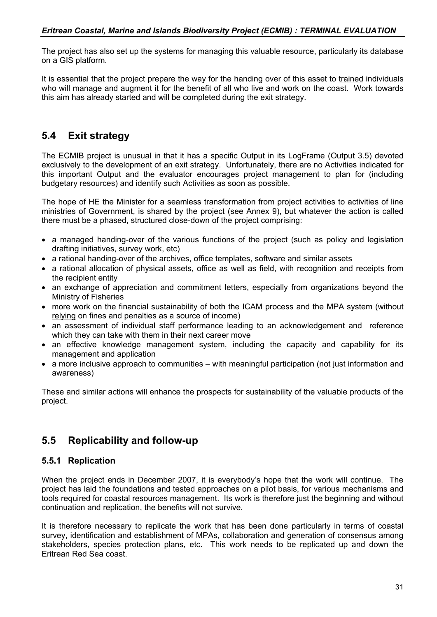The project has also set up the systems for managing this valuable resource, particularly its database on a GIS platform.

It is essential that the project prepare the way for the handing over of this asset to trained individuals who will manage and augment it for the benefit of all who live and work on the coast. Work towards this aim has already started and will be completed during the exit strategy.

# **5.4 Exit strategy**

The ECMIB project is unusual in that it has a specific Output in its LogFrame (Output 3.5) devoted exclusively to the development of an exit strategy. Unfortunately, there are no Activities indicated for this important Output and the evaluator encourages project management to plan for (including budgetary resources) and identify such Activities as soon as possible.

The hope of HE the Minister for a seamless transformation from project activities to activities of line ministries of Government, is shared by the project (see Annex 9), but whatever the action is called there must be a phased, structured close-down of the project comprising:

- a managed handing-over of the various functions of the project (such as policy and legislation drafting initiatives, survey work, etc)
- a rational handing-over of the archives, office templates, software and similar assets
- a rational allocation of physical assets, office as well as field, with recognition and receipts from the recipient entity
- an exchange of appreciation and commitment letters, especially from organizations beyond the Ministry of Fisheries
- more work on the financial sustainability of both the ICAM process and the MPA system (without relying on fines and penalties as a source of income)
- an assessment of individual staff performance leading to an acknowledgement and reference which they can take with them in their next career move
- an effective knowledge management system, including the capacity and capability for its management and application
- a more inclusive approach to communities with meaningful participation (not just information and awareness)

These and similar actions will enhance the prospects for sustainability of the valuable products of the project.

# **5.5 Replicability and follow-up**

# **5.5.1 Replication**

When the project ends in December 2007, it is everybody's hope that the work will continue. The project has laid the foundations and tested approaches on a pilot basis, for various mechanisms and tools required for coastal resources management. Its work is therefore just the beginning and without continuation and replication, the benefits will not survive.

It is therefore necessary to replicate the work that has been done particularly in terms of coastal survey, identification and establishment of MPAs, collaboration and generation of consensus among stakeholders, species protection plans, etc. This work needs to be replicated up and down the Eritrean Red Sea coast.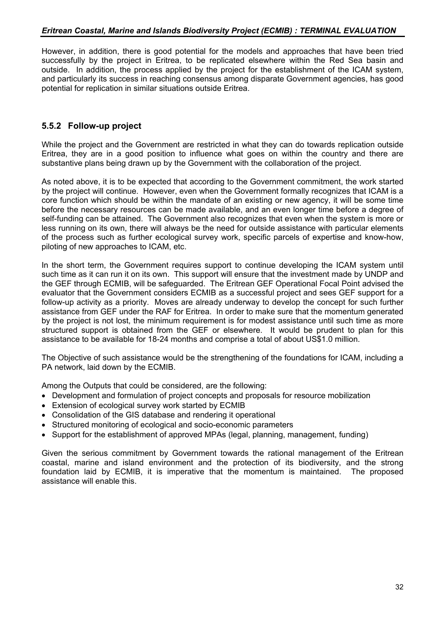However, in addition, there is good potential for the models and approaches that have been tried successfully by the project in Eritrea, to be replicated elsewhere within the Red Sea basin and outside. In addition, the process applied by the project for the establishment of the ICAM system, and particularly its success in reaching consensus among disparate Government agencies, has good potential for replication in similar situations outside Eritrea.

# **5.5.2 Follow-up project**

While the project and the Government are restricted in what they can do towards replication outside Eritrea, they are in a good position to influence what goes on within the country and there are substantive plans being drawn up by the Government with the collaboration of the project.

As noted above, it is to be expected that according to the Government commitment, the work started by the project will continue. However, even when the Government formally recognizes that ICAM is a core function which should be within the mandate of an existing or new agency, it will be some time before the necessary resources can be made available, and an even longer time before a degree of self-funding can be attained. The Government also recognizes that even when the system is more or less running on its own, there will always be the need for outside assistance with particular elements of the process such as further ecological survey work, specific parcels of expertise and know-how, piloting of new approaches to ICAM, etc.

In the short term, the Government requires support to continue developing the ICAM system until such time as it can run it on its own. This support will ensure that the investment made by UNDP and the GEF through ECMIB, will be safeguarded. The Eritrean GEF Operational Focal Point advised the evaluator that the Government considers ECMIB as a successful project and sees GEF support for a follow-up activity as a priority. Moves are already underway to develop the concept for such further assistance from GEF under the RAF for Eritrea. In order to make sure that the momentum generated by the project is not lost, the minimum requirement is for modest assistance until such time as more structured support is obtained from the GEF or elsewhere. It would be prudent to plan for this assistance to be available for 18-24 months and comprise a total of about US\$1.0 million.

The Objective of such assistance would be the strengthening of the foundations for ICAM, including a PA network, laid down by the ECMIB.

Among the Outputs that could be considered, are the following:

- Development and formulation of project concepts and proposals for resource mobilization
- Extension of ecological survey work started by ECMIB
- Consolidation of the GIS database and rendering it operational
- Structured monitoring of ecological and socio-economic parameters
- Support for the establishment of approved MPAs (legal, planning, management, funding)

Given the serious commitment by Government towards the rational management of the Eritrean coastal, marine and island environment and the protection of its biodiversity, and the strong foundation laid by ECMIB, it is imperative that the momentum is maintained. The proposed assistance will enable this.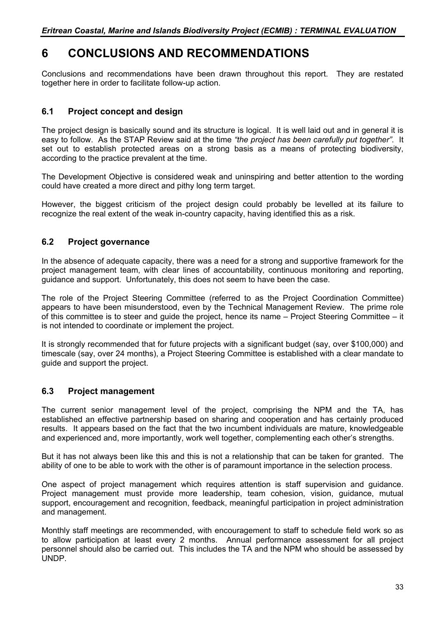# **6 CONCLUSIONS AND RECOMMENDATIONS**

Conclusions and recommendations have been drawn throughout this report. They are restated together here in order to facilitate follow-up action.

# **6.1 Project concept and design**

The project design is basically sound and its structure is logical. It is well laid out and in general it is easy to follow. As the STAP Review said at the time *"the project has been carefully put together"*. It set out to establish protected areas on a strong basis as a means of protecting biodiversity, according to the practice prevalent at the time.

The Development Objective is considered weak and uninspiring and better attention to the wording could have created a more direct and pithy long term target.

However, the biggest criticism of the project design could probably be levelled at its failure to recognize the real extent of the weak in-country capacity, having identified this as a risk.

# **6.2 Project governance**

In the absence of adequate capacity, there was a need for a strong and supportive framework for the project management team, with clear lines of accountability, continuous monitoring and reporting, guidance and support. Unfortunately, this does not seem to have been the case.

The role of the Project Steering Committee (referred to as the Project Coordination Committee) appears to have been misunderstood, even by the Technical Management Review. The prime role of this committee is to steer and guide the project, hence its name – Project Steering Committee – it is not intended to coordinate or implement the project.

It is strongly recommended that for future projects with a significant budget (say, over \$100,000) and timescale (say, over 24 months), a Project Steering Committee is established with a clear mandate to guide and support the project.

# **6.3 Project management**

The current senior management level of the project, comprising the NPM and the TA, has established an effective partnership based on sharing and cooperation and has certainly produced results. It appears based on the fact that the two incumbent individuals are mature, knowledgeable and experienced and, more importantly, work well together, complementing each other's strengths.

But it has not always been like this and this is not a relationship that can be taken for granted. The ability of one to be able to work with the other is of paramount importance in the selection process.

One aspect of project management which requires attention is staff supervision and guidance. Project management must provide more leadership, team cohesion, vision, guidance, mutual support, encouragement and recognition, feedback, meaningful participation in project administration and management.

Monthly staff meetings are recommended, with encouragement to staff to schedule field work so as to allow participation at least every 2 months. Annual performance assessment for all project personnel should also be carried out. This includes the TA and the NPM who should be assessed by UNDP.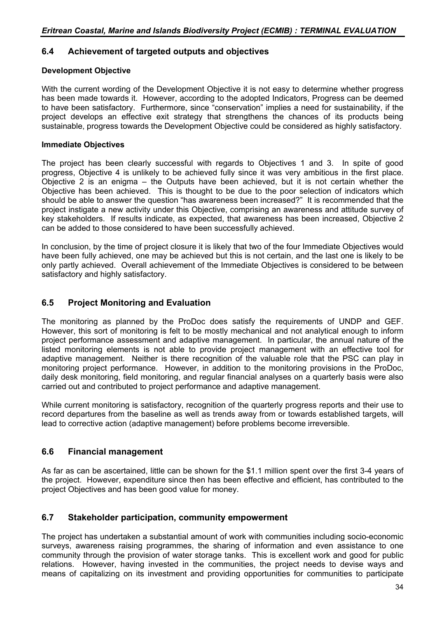# **6.4 Achievement of targeted outputs and objectives**

### **Development Objective**

With the current wording of the Development Objective it is not easy to determine whether progress has been made towards it. However, according to the adopted Indicators, Progress can be deemed to have been satisfactory. Furthermore, since "conservation" implies a need for sustainability, if the project develops an effective exit strategy that strengthens the chances of its products being sustainable, progress towards the Development Objective could be considered as highly satisfactory.

### **Immediate Objectives**

The project has been clearly successful with regards to Objectives 1 and 3. In spite of good progress, Objective 4 is unlikely to be achieved fully since it was very ambitious in the first place. Objective 2 is an enigma – the Outputs have been achieved, but it is not certain whether the Objective has been achieved. This is thought to be due to the poor selection of indicators which should be able to answer the question "has awareness been increased?" It is recommended that the project instigate a new activity under this Objective, comprising an awareness and attitude survey of key stakeholders. If results indicate, as expected, that awareness has been increased, Objective 2 can be added to those considered to have been successfully achieved.

In conclusion, by the time of project closure it is likely that two of the four Immediate Objectives would have been fully achieved, one may be achieved but this is not certain, and the last one is likely to be only partly achieved. Overall achievement of the Immediate Objectives is considered to be between satisfactory and highly satisfactory.

## **6.5 Project Monitoring and Evaluation**

The monitoring as planned by the ProDoc does satisfy the requirements of UNDP and GEF. However, this sort of monitoring is felt to be mostly mechanical and not analytical enough to inform project performance assessment and adaptive management. In particular, the annual nature of the listed monitoring elements is not able to provide project management with an effective tool for adaptive management. Neither is there recognition of the valuable role that the PSC can play in monitoring project performance. However, in addition to the monitoring provisions in the ProDoc, daily desk monitoring, field monitoring, and regular financial analyses on a quarterly basis were also carried out and contributed to project performance and adaptive management.

While current monitoring is satisfactory, recognition of the quarterly progress reports and their use to record departures from the baseline as well as trends away from or towards established targets, will lead to corrective action (adaptive management) before problems become irreversible.

## **6.6 Financial management**

As far as can be ascertained, little can be shown for the \$1.1 million spent over the first 3-4 years of the project. However, expenditure since then has been effective and efficient, has contributed to the project Objectives and has been good value for money.

# **6.7 Stakeholder participation, community empowerment**

The project has undertaken a substantial amount of work with communities including socio-economic surveys, awareness raising programmes, the sharing of information and even assistance to one community through the provision of water storage tanks. This is excellent work and good for public relations. However, having invested in the communities, the project needs to devise ways and means of capitalizing on its investment and providing opportunities for communities to participate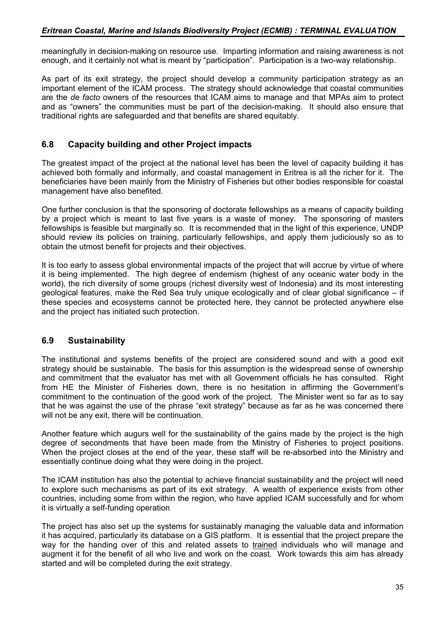meaningfully in decision-making on resource use. Imparting information and raising awareness is not enough, and it certainly not what is meant by "participation". Participation is a two-way relationship.

As part of its exit strategy, the project should develop a community participation strategy as an important element of the ICAM process. The strategy should acknowledge that coastal communities are the *de facto* owners of the resources that ICAM aims to manage and that MPAs aim to protect and as "owners" the communities must be part of the decision-making. It should also ensure that traditional rights are safeguarded and that benefits are shared equitably.

# **6.8 Capacity building and other Project impacts**

The greatest impact of the project at the national level has been the level of capacity building it has achieved both formally and informally, and coastal management in Eritrea is all the richer for it. The beneficiaries have been mainly from the Ministry of Fisheries but other bodies responsible for coastal management have also benefited.

One further conclusion is that the sponsoring of doctorate fellowships as a means of capacity building by a project which is meant to last five years is a waste of money. The sponsoring of masters fellowships is feasible but marginally so. It is recommended that in the light of this experience, UNDP should review its policies on training, particularly fellowships, and apply them judiciously so as to obtain the utmost benefit for projects and their objectives.

It is too early to assess global environmental impacts of the project that will accrue by virtue of where it is being implemented. The high degree of endemism (highest of any oceanic water body in the world), the rich diversity of some groups (richest diversity west of Indonesia) and its most interesting geological features, make the Red Sea truly unique ecologically and of clear global significance – if these species and ecosystems cannot be protected here, they cannot be protected anywhere else and the project has initiated such protection.

# **6.9 Sustainability**

The institutional and systems benefits of the project are considered sound and with a good exit strategy should be sustainable. The basis for this assumption is the widespread sense of ownership and commitment that the evaluator has met with all Government officials he has consulted. Right from HE the Minister of Fisheries down, there is no hesitation in affirming the Government's commitment to the continuation of the good work of the project. The Minister went so far as to say that he was against the use of the phrase "exit strategy" because as far as he was concerned there will not be any exit, there will be continuation.

Another feature which augurs well for the sustainability of the gains made by the project is the high degree of secondments that have been made from the Ministry of Fisheries to project positions. When the project closes at the end of the year, these staff will be re-absorbed into the Ministry and essentially continue doing what they were doing in the project.

The ICAM institution has also the potential to achieve financial sustainability and the project will need to explore such mechanisms as part of its exit strategy. A wealth of experience exists from other countries, including some from within the region, who have applied ICAM successfully and for whom it is virtually a self-funding operation

The project has also set up the systems for sustainably managing the valuable data and information it has acquired, particularly its database on a GIS platform. It is essential that the project prepare the way for the handing over of this and related assets to trained individuals who will manage and augment it for the benefit of all who live and work on the coast. Work towards this aim has already started and will be completed during the exit strategy.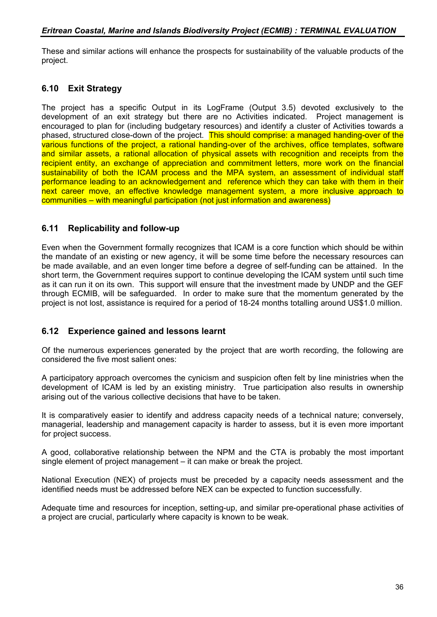These and similar actions will enhance the prospects for sustainability of the valuable products of the project.

# **6.10 Exit Strategy**

The project has a specific Output in its LogFrame (Output 3.5) devoted exclusively to the development of an exit strategy but there are no Activities indicated. Project management is encouraged to plan for (including budgetary resources) and identify a cluster of Activities towards a phased, structured close-down of the project. This should comprise: a managed handing-over of the various functions of the project, a rational handing-over of the archives, office templates, software and similar assets, a rational allocation of physical assets with recognition and receipts from the recipient entity, an exchange of appreciation and commitment letters, more work on the financial sustainability of both the ICAM process and the MPA system, an assessment of individual staff performance leading to an acknowledgement and reference which they can take with them in their next career move, an effective knowledge management system, a more inclusive approach to communities – with meaningful participation (not just information and awareness)

# **6.11 Replicability and follow-up**

Even when the Government formally recognizes that ICAM is a core function which should be within the mandate of an existing or new agency, it will be some time before the necessary resources can be made available, and an even longer time before a degree of self-funding can be attained. In the short term, the Government requires support to continue developing the ICAM system until such time as it can run it on its own. This support will ensure that the investment made by UNDP and the GEF through ECMIB, will be safeguarded. In order to make sure that the momentum generated by the project is not lost, assistance is required for a period of 18-24 months totalling around US\$1.0 million.

# **6.12 Experience gained and lessons learnt**

Of the numerous experiences generated by the project that are worth recording, the following are considered the five most salient ones:

A participatory approach overcomes the cynicism and suspicion often felt by line ministries when the development of ICAM is led by an existing ministry. True participation also results in ownership arising out of the various collective decisions that have to be taken.

It is comparatively easier to identify and address capacity needs of a technical nature; conversely, managerial, leadership and management capacity is harder to assess, but it is even more important for project success.

A good, collaborative relationship between the NPM and the CTA is probably the most important single element of project management – it can make or break the project.

National Execution (NEX) of projects must be preceded by a capacity needs assessment and the identified needs must be addressed before NEX can be expected to function successfully.

Adequate time and resources for inception, setting-up, and similar pre-operational phase activities of a project are crucial, particularly where capacity is known to be weak.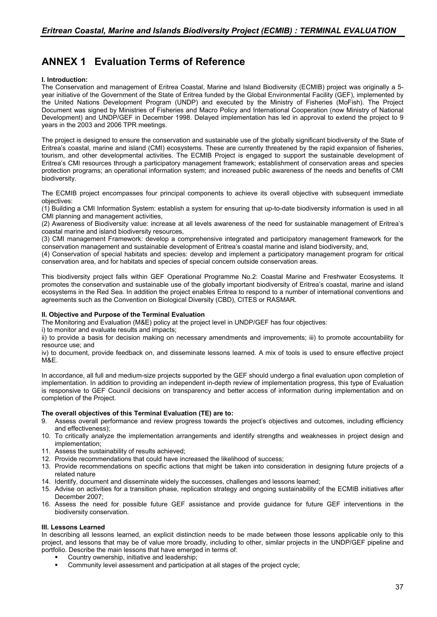# **ANNEX 1 Evaluation Terms of Reference**

#### **I. Introduction:**

The Conservation and management of Eritrea Coastal, Marine and Island Biodiversity (ECMIB) project was originally a 5 year initiative of the Government of the State of Eritrea funded by the Global Environmental Facility (GEF), implemented by the United Nations Development Program (UNDP) and executed by the Ministry of Fisheries (MoFish). The Project Document was signed by Ministries of Fisheries and Macro Policy and International Cooperation (now Ministry of National Development) and UNDP/GEF in December 1998. Delayed implementation has led in approval to extend the project to 9 years in the 2003 and 2006 TPR meetings.

The project is designed to ensure the conservation and sustainable use of the globally significant biodiversity of the State of Eritrea's coastal, marine and island (CMI) ecosystems. These are currently threatened by the rapid expansion of fisheries, tourism, and other developmental activities. The ECMIB Project is engaged to support the sustainable development of Eritrea's CMI resources through a participatory management framework; establishment of conservation areas and species protection programs; an operational information system; and increased public awareness of the needs and benefits of CMI biodiversity.

The ECMIB project encompasses four principal components to achieve its overall objective with subsequent immediate objectives:

(1) Building a CMI Information System: establish a system for ensuring that up-to-date biodiversity information is used in all CMI planning and management activities,

(2) Awareness of Biodiversity value: increase at all levels awareness of the need for sustainable management of Eritrea's coastal marine and island biodiversity resources,

(3) CMI management Framework: develop a comprehensive integrated and participatory management framework for the conservation management and sustainable development of Eritrea's coastal marine and island biodiversity, and,

(4) Conservation of special habitats and species: develop and implement a participatory management program for critical conservation area, and for habitats and species of special concern outside conservation areas.

This biodiversity project falls within GEF Operational Programme No.2: Coastal Marine and Freshwater Ecosystems. It promotes the conservation and sustainable use of the globally important biodiversity of Eritrea's coastal, marine and island ecosystems in the Red Sea. In addition the project enables Eritrea to respond to a number of international conventions and agreements such as the Convention on Biological Diversity (CBD), CITES or RASMAR.

#### **II. Objective and Purpose of the Terminal Evaluation**

The Monitoring and Evaluation (M&E) policy at the project level in UNDP/GEF has four objectives:

i) to monitor and evaluate results and impacts;

ii) to provide a basis for decision making on necessary amendments and improvements; iii) to promote accountability for resource use; and

iv) to document, provide feedback on, and disseminate lessons learned. A mix of tools is used to ensure effective project M&E.

In accordance, all full and medium-size projects supported by the GEF should undergo a final evaluation upon completion of implementation. In addition to providing an independent in-depth review of implementation progress, this type of Evaluation is responsive to GEF Council decisions on transparency and better access of information during implementation and on completion of the Project.

#### **The overall objectives of this Terminal Evaluation (TE) are to:**

- 9. Assess overall performance and review progress towards the project's objectives and outcomes, including efficiency and effectiveness);
- 10. To critically analyze the implementation arrangements and identify strengths and weaknesses in project design and implementation;
- 11. Assess the sustainability of results achieved;
- 12. Provide recommendations that could have increased the likelihood of success;
- 13. Provide recommendations on specific actions that might be taken into consideration in designing future projects of a related nature
- 14. Identify, document and disseminate widely the successes, challenges and lessons learned;
- 15. Advise on activities for a transition phase, replication strategy and ongoing sustainability of the ECMIB initiatives after December 2007;
- 16. Assess the need for possible future GEF assistance and provide guidance for future GEF interventions in the biodiversity conservation.

#### **III. Lessons Learned**

In describing all lessons learned, an explicit distinction needs to be made between those lessons applicable only to this project, and lessons that may be of value more broadly, including to other, similar projects in the UNDP/GEF pipeline and portfolio. Describe the main lessons that have emerged in terms of:

- Country ownership, initiative and leadership;
- Community level assessment and participation at all stages of the project cycle;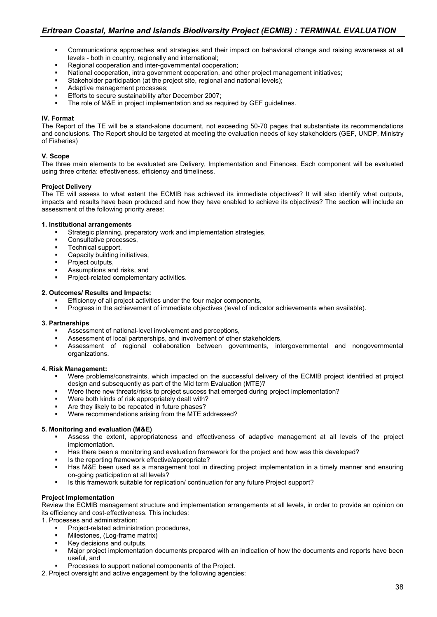- Communications approaches and strategies and their impact on behavioral change and raising awareness at all levels - both in country, regionally and international;
- **Regional cooperation and inter-governmental cooperation;**
- National cooperation, intra government cooperation, and other project management initiatives;
- Stakeholder participation (at the project site, regional and national levels);
- Adaptive management processes;
- Efforts to secure sustainability after December 2007;
- The role of M&E in project implementation and as required by GEF guidelines.

#### **IV. Format**

The Report of the TE will be a stand-alone document, not exceeding 50-70 pages that substantiate its recommendations and conclusions. The Report should be targeted at meeting the evaluation needs of key stakeholders (GEF, UNDP, Ministry of Fisheries)

#### **V. Scope**

The three main elements to be evaluated are Delivery, Implementation and Finances. Each component will be evaluated using three criteria: effectiveness, efficiency and timeliness.

#### **Project Delivery**

The TE will assess to what extent the ECMIB has achieved its immediate objectives? It will also identify what outputs, impacts and results have been produced and how they have enabled to achieve its objectives? The section will include an assessment of the following priority areas:

#### **1. Institutional arrangements**

- Strategic planning, preparatory work and implementation strategies,
- **Consultative processes,**
- **Technical support,**<br>Canacity building in
- Capacity building initiatives,
- **Project outputs,**
- Assumptions and risks, and
- Project-related complementary activities.

#### **2. Outcomes/ Results and Impacts:**

- Efficiency of all project activities under the four major components,
- Progress in the achievement of immediate objectives (level of indicator achievements when available).

#### **3. Partnerships**

- Assessment of national-level involvement and perceptions,
- Assessment of local partnerships, and involvement of other stakeholders,
- Assessment of regional collaboration between governments, intergovernmental and nongovernmental organizations.

#### **4. Risk Management:**

- Were problems/constraints, which impacted on the successful delivery of the ECMIB project identified at project design and subsequently as part of the Mid term Evaluation (MTE)?
- Were there new threats/risks to project success that emerged during project implementation?
- Were both kinds of risk appropriately dealt with?
- Are they likely to be repeated in future phases?
- Were recommendations arising from the MTE addressed?

#### **5. Monitoring and evaluation (M&E)**

- Assess the extent, appropriateness and effectiveness of adaptive management at all levels of the project implementation.
- Has there been a monitoring and evaluation framework for the project and how was this developed?
- Is the reporting framework effective/appropriate?
- Has M&E been used as a management tool in directing project implementation in a timely manner and ensuring on-going participation at all levels?
- Is this framework suitable for replication/ continuation for any future Project support?

#### **Project Implementation**

Review the ECMIB management structure and implementation arrangements at all levels, in order to provide an opinion on its efficiency and cost-effectiveness. This includes:

1. Processes and administration:

- Project-related administration procedures,
- **Milestones, (Log-frame matrix)**
- Key decisions and outputs,
- Major project implementation documents prepared with an indication of how the documents and reports have been useful, and
- Processes to support national components of the Project.
- 2. Project oversight and active engagement by the following agencies: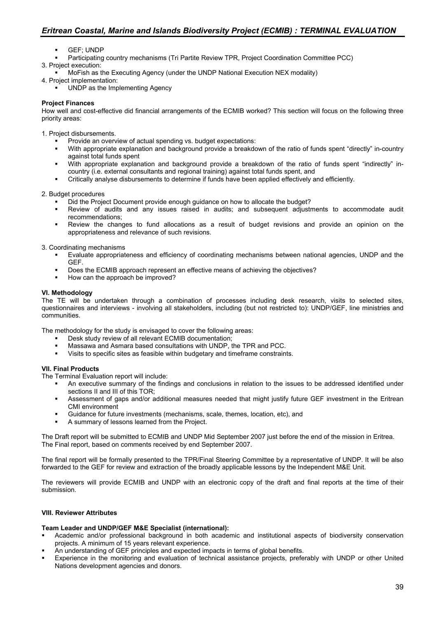- GEF; UNDP
- Participating country mechanisms (Tri Partite Review TPR, Project Coordination Committee PCC)

3. Project execution:

MoFish as the Executing Agency (under the UNDP National Execution NEX modality)

4. Project implementation:

UNDP as the Implementing Agency

#### **Project Finances**

How well and cost-effective did financial arrangements of the ECMIB worked? This section will focus on the following three priority areas:

1. Project disbursements.

- **Provide an overview of actual spending vs. budget expectations:**<br>With appropriate explanation and background provide a breakdow
- With appropriate explanation and background provide a breakdown of the ratio of funds spent "directly" in-country against total funds spent
- With appropriate explanation and background provide a breakdown of the ratio of funds spent "indirectly" incountry (i.e. external consultants and regional training) against total funds spent, and
- Critically analyse disbursements to determine if funds have been applied effectively and efficiently.

2. Budget procedures

- Did the Project Document provide enough guidance on how to allocate the budget?
- Review of audits and any issues raised in audits; and subsequent adjustments to accommodate audit recommendations;
- Review the changes to fund allocations as a result of budget revisions and provide an opinion on the appropriateness and relevance of such revisions.

3. Coordinating mechanisms

- Evaluate appropriateness and efficiency of coordinating mechanisms between national agencies, UNDP and the GEF.
- Does the ECMIB approach represent an effective means of achieving the objectives?
- How can the approach be improved?

#### **VI. Methodology**

The TE will be undertaken through a combination of processes including desk research, visits to selected sites, questionnaires and interviews - involving all stakeholders, including (but not restricted to): UNDP/GEF, line ministries and communities.

The methodology for the study is envisaged to cover the following areas:

- Desk study review of all relevant ECMIB documentation;
- Massawa and Asmara based consultations with UNDP, the TPR and PCC.
- Visits to specific sites as feasible within budgetary and timeframe constraints.

#### **VII. Final Products**

The Terminal Evaluation report will include:

- An executive summary of the findings and conclusions in relation to the issues to be addressed identified under sections II and III of this TOR;
- Assessment of gaps and/or additional measures needed that might justify future GEF investment in the Eritrean CMI environment
- Guidance for future investments (mechanisms, scale, themes, location, etc), and
- A summary of lessons learned from the Project.

The Draft report will be submitted to ECMIB and UNDP Mid September 2007 just before the end of the mission in Eritrea. The Final report, based on comments received by end September 2007.

The final report will be formally presented to the TPR/Final Steering Committee by a representative of UNDP. It will be also forwarded to the GEF for review and extraction of the broadly applicable lessons by the Independent M&E Unit.

The reviewers will provide ECMIB and UNDP with an electronic copy of the draft and final reports at the time of their submission.

#### **VIII. Reviewer Attributes**

#### **Team Leader and UNDP/GEF M&E Specialist (international):**

- Academic and/or professional background in both academic and institutional aspects of biodiversity conservation projects. A minimum of 15 years relevant experience.
- An understanding of GEF principles and expected impacts in terms of global benefits.
- Experience in the monitoring and evaluation of technical assistance projects, preferably with UNDP or other United Nations development agencies and donors.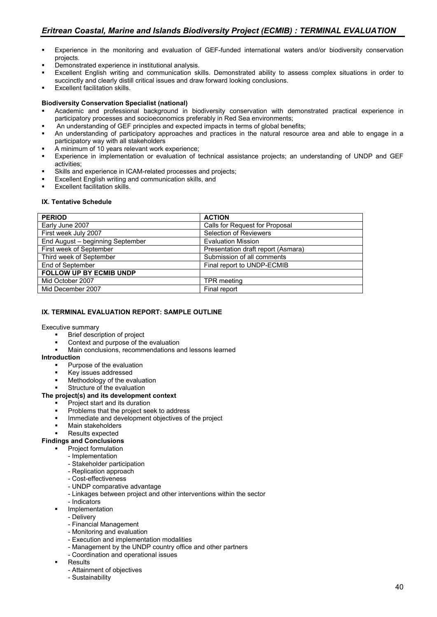- Experience in the monitoring and evaluation of GEF-funded international waters and/or biodiversity conservation projects.
- Demonstrated experience in institutional analysis.
- Excellent English writing and communication skills. Demonstrated ability to assess complex situations in order to succinctly and clearly distill critical issues and draw forward looking conclusions.
- **Excellent facilitation skills.**

#### **Biodiversity Conservation Specialist (national)**

- Academic and professional background in biodiversity conservation with demonstrated practical experience in participatory processes and socioeconomics preferably in Red Sea environments;
- An understanding of GEF principles and expected impacts in terms of global benefits;
- An understanding of participatory approaches and practices in the natural resource area and able to engage in a participatory way with all stakeholders
- A minimum of 10 years relevant work experience;
- Experience in implementation or evaluation of technical assistance projects; an understanding of UNDP and GEF activities;
- Skills and experience in ICAM-related processes and projects;
- Excellent English writing and communication skills, and
- Excellent facilitation skills.

#### **IX. Tentative Schedule**

| <b>PERIOD</b>                    | <b>ACTION</b>                      |
|----------------------------------|------------------------------------|
| Early June 2007                  | Calls for Request for Proposal     |
| First week July 2007             | <b>Selection of Reviewers</b>      |
| End August - beginning September | <b>Evaluation Mission</b>          |
| First week of September          | Presentation draft report (Asmara) |
| Third week of September          | Submission of all comments         |
| End of September                 | Final report to UNDP-ECMIB         |
| <b>FOLLOW UP BY ECMIB UNDP</b>   |                                    |
| Mid October 2007                 | <b>TPR</b> meeting                 |
| Mid December 2007                | Final report                       |

#### **IX. TERMINAL EVALUATION REPORT: SAMPLE OUTLINE**

#### Executive summary

- Brief description of project
- Context and purpose of the evaluation
- Main conclusions, recommendations and lessons learned

#### **Introduction**

- Purpose of the evaluation
- Key issues addressed
- Methodology of the evaluation
- Structure of the evaluation

#### **The project(s) and its development context**

- Project start and its duration
- Problems that the project seek to address
- Immediate and development objectives of the project
- Main stakeholders
- Results expected

#### **Findings and Conclusions**

- Project formulation
	- Implementation
		- Stakeholder participation
		- Replication approach
		- Cost-effectiveness
		- UNDP comparative advantage
		- Linkages between project and other interventions within the sector
	- Indicators
	- Implementation
	- Delivery
	- Financial Management
	- Monitoring and evaluation
	- Execution and implementation modalities
	- Management by the UNDP country office and other partners
	- Coordination and operational issues
	- **Results** 
		- Attainment of objectives
		- Sustainability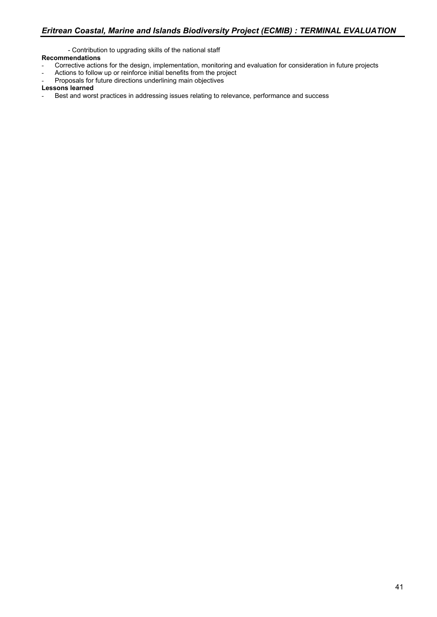- Contribution to upgrading skills of the national staff **Recommendations**

- Corrective actions for the design, implementation, monitoring and evaluation for consideration in future projects
- Actions to follow up or reinforce initial benefits from the project
- Proposals for future directions underlining main objectives

#### **Lessons learned**

Best and worst practices in addressing issues relating to relevance, performance and success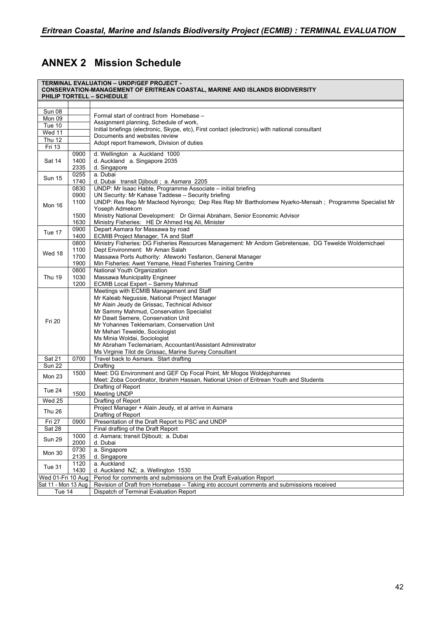# **ANNEX 2 Mission Schedule**

|                            |                              | <b>TERMINAL EVALUATION - UNDP/GEF PROJECT -</b><br><b>CONSERVATION-MANAGEMENT OF ERITREAN COASTAL, MARINE AND ISLANDS BIODIVERSITY</b><br>PHILIP TORTELL - SCHEDULE                                                                                                                                                                                                                                                                                                |
|----------------------------|------------------------------|--------------------------------------------------------------------------------------------------------------------------------------------------------------------------------------------------------------------------------------------------------------------------------------------------------------------------------------------------------------------------------------------------------------------------------------------------------------------|
|                            |                              |                                                                                                                                                                                                                                                                                                                                                                                                                                                                    |
| Sun 08                     |                              |                                                                                                                                                                                                                                                                                                                                                                                                                                                                    |
| $Mon$ 09                   |                              | Formal start of contract from Homebase -                                                                                                                                                                                                                                                                                                                                                                                                                           |
| Tue 10                     |                              | Assignment planning, Schedule of work,                                                                                                                                                                                                                                                                                                                                                                                                                             |
| Wed 11                     |                              | Initial briefings (electronic, Skype, etc), First contact (electronic) with national consultant<br>Documents and websites review                                                                                                                                                                                                                                                                                                                                   |
| <b>Thu 12</b>              |                              | Adopt report framework, Division of duties                                                                                                                                                                                                                                                                                                                                                                                                                         |
| Fri 13                     |                              |                                                                                                                                                                                                                                                                                                                                                                                                                                                                    |
| Sat 14                     | 0900<br>1400<br>2335         | d. Wellington a. Auckland 1000<br>d. Auckland a. Singapore 2035<br>d. Singapore                                                                                                                                                                                                                                                                                                                                                                                    |
| Sun 15                     | 0255<br>1740                 | a. Dubai<br>d. Dubai transit Djibouti; a. Asmara 2205                                                                                                                                                                                                                                                                                                                                                                                                              |
| Mon 16                     | 0830<br>0900<br>1100<br>1500 | UNDP: Mr Isaac Habte, Programme Associate - initial briefing<br>UN Security: Mr Kahase Taddese - Security briefing<br>UNDP: Res Rep Mr Macleod Nyirongo; Dep Res Rep Mr Bartholomew Nyarko-Mensah; Programme Specialist Mr<br>Yoseph Admekom<br>Ministry National Development: Dr Girmai Abraham, Senior Economic Advisor                                                                                                                                          |
|                            | 1630                         | Ministry Fisheries: HE Dr Ahmed Haj Ali, Minister                                                                                                                                                                                                                                                                                                                                                                                                                  |
| Tue 17                     | 0900<br>1400                 | Depart Asmara for Massawa by road<br>ECMIB Project Manager, TA and Staff                                                                                                                                                                                                                                                                                                                                                                                           |
| Wed 18                     | 0800<br>1100<br>1700<br>1900 | Ministry Fisheries: DG Fisheries Resources Management: Mr Andom Gebretensae, DG Tewelde Woldemichael<br>Dept Environment: Mr Aman Salah<br>Massawa Ports Authority: Afeworki Tesfarion, General Manager<br>Min Fisheries: Awet Yemane, Head Fisheries Training Centre                                                                                                                                                                                              |
| <b>Thu 19</b>              | 0800<br>1030<br>1200         | National Youth Organization<br>Massawa Municipality Engineer<br>ECMIB Local Expert - Sammy Mahmud                                                                                                                                                                                                                                                                                                                                                                  |
| <b>Fri 20</b>              |                              | Meetings with ECMIB Management and Staff<br>Mr Kaleab Negussie, National Project Manager<br>Mr Alain Jeudy de Grissac, Technical Advisor<br>Mr Sammy Mahmud, Conservation Specialist<br>Mr Dawit Semere, Conservation Unit<br>Mr Yohannes Teklemariam, Conservation Unit<br>Mr Mehari Tewelde, Sociologist<br>Ms Minia Woldai, Sociologist<br>Mr Abraham Teclemariam, Accountant/Assistant Administrator<br>Ms Virginie Tilot de Grissac, Marine Survey Consultant |
| <b>Sat 21</b>              | 0700                         | Travel back to Asmara. Start drafting                                                                                                                                                                                                                                                                                                                                                                                                                              |
| $\overline{\text{Sun 22}}$ |                              | Drafting                                                                                                                                                                                                                                                                                                                                                                                                                                                           |
| Mon 23                     | 1500                         | Meet: DG Environment and GEF Op Focal Point, Mr Mogos Woldejohannes<br>Meet: Zoba Coordinator, Ibrahim Hassan, National Union of Eritrean Youth and Students                                                                                                                                                                                                                                                                                                       |
| <b>Tue 24</b>              | 1500                         | Drafting of Report<br>Meeting UNDP                                                                                                                                                                                                                                                                                                                                                                                                                                 |
| <b>Wed 25</b>              |                              | Drafting of Report                                                                                                                                                                                                                                                                                                                                                                                                                                                 |
| Thu 26                     |                              | Project Manager + Alain Jeudy, et al arrive in Asmara<br>Drafting of Report                                                                                                                                                                                                                                                                                                                                                                                        |
| Fri 27                     | 0900                         | Presentation of the Draft Report to PSC and UNDP                                                                                                                                                                                                                                                                                                                                                                                                                   |
| Sat 28                     |                              | Final drafting of the Draft Report                                                                                                                                                                                                                                                                                                                                                                                                                                 |
| <b>Sun 29</b>              | 1000<br>2000                 | d. Asmara; transit Djibouti; a. Dubai<br>d. Dubai                                                                                                                                                                                                                                                                                                                                                                                                                  |
| Mon 30                     | 0730<br>2135                 | a. Singapore<br>d. Singapore                                                                                                                                                                                                                                                                                                                                                                                                                                       |
| Tue 31                     | 1120<br>1430                 | a. Auckland<br>d. Auckland NZ; a. Wellington 1530                                                                                                                                                                                                                                                                                                                                                                                                                  |
| Wed 01-Fri 10 Aug          |                              | Period for comments and submissions on the Draft Evaluation Report                                                                                                                                                                                                                                                                                                                                                                                                 |
| Sat 11 - Mon 13 Aug        |                              | Revision of Draft from Homebase – Taking into account comments and submissions received                                                                                                                                                                                                                                                                                                                                                                            |
| Tue 14                     |                              | Dispatch of Terminal Evaluation Report                                                                                                                                                                                                                                                                                                                                                                                                                             |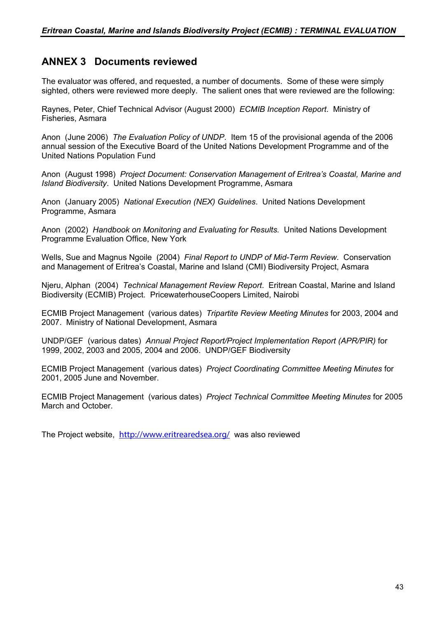# **ANNEX 3 Documents reviewed**

The evaluator was offered, and requested, a number of documents. Some of these were simply sighted, others were reviewed more deeply. The salient ones that were reviewed are the following:

Raynes, Peter, Chief Technical Advisor (August 2000) *ECMIB Inception Report*. Ministry of Fisheries, Asmara

Anon (June 2006) *The Evaluation Policy of UNDP*. Item 15 of the provisional agenda of the 2006 annual session of the Executive Board of the United Nations Development Programme and of the United Nations Population Fund

Anon (August 1998) *Project Document: Conservation Management of Eritrea's Coastal, Marine and Island Biodiversity*. United Nations Development Programme, Asmara

Anon (January 2005) *National Execution (NEX) Guidelines*. United Nations Development Programme, Asmara

Anon (2002) *Handbook on Monitoring and Evaluating for Results.* United Nations Development Programme Evaluation Office, New York

Wells, Sue and Magnus Ngoile (2004) *Final Report to UNDP of Mid-Term Review*. Conservation and Management of Eritrea's Coastal, Marine and Island (CMI) Biodiversity Project, Asmara

Njeru, Alphan (2004) *Technical Management Review Report*. Eritrean Coastal, Marine and Island Biodiversity (ECMIB) Project. PricewaterhouseCoopers Limited, Nairobi

ECMIB Project Management (various dates) *Tripartite Review Meeting Minutes* for 2003, 2004 and 2007. Ministry of National Development, Asmara

UNDP/GEF (various dates) *Annual Project Report/Project Implementation Report (APR/PIR)* for 1999, 2002, 2003 and 2005, 2004 and 2006. UNDP/GEF Biodiversity

ECMIB Project Management (various dates) *Project Coordinating Committee Meeting Minutes* for 2001, 2005 June and November.

ECMIB Project Management (various dates) *Project Technical Committee Meeting Minutes* for 2005 March and October.

The Project website, <http://www.eritrearedsea.org/> was also reviewed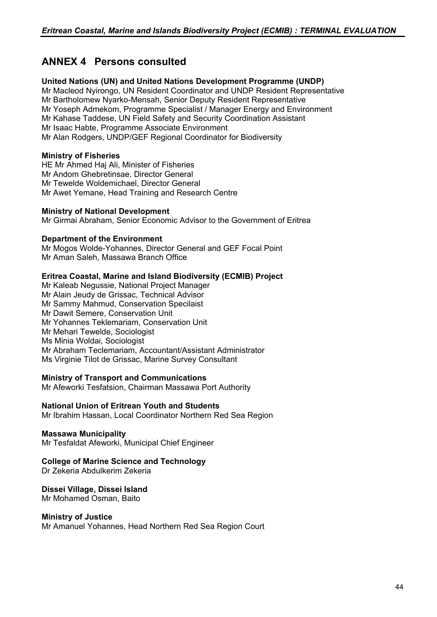# **ANNEX 4 Persons consulted**

## **United Nations (UN) and United Nations Development Programme (UNDP)**

Mr Macleod Nyirongo, UN Resident Coordinator and UNDP Resident Representative Mr Bartholomew Nyarko-Mensah, Senior Deputy Resident Representative Mr Yoseph Admekom, Programme Specialist / Manager Energy and Environment Mr Kahase Taddese, UN Field Safety and Security Coordination Assistant Mr Isaac Habte, Programme Associate Environment Mr Alan Rodgers, UNDP/GEF Regional Coordinator for Biodiversity

### **Ministry of Fisheries**

HE Mr Ahmed Haj Ali, Minister of Fisheries Mr Andom Ghebretinsae, Director General Mr Tewelde Woldemichael, Director General Mr Awet Yemane, Head Training and Research Centre

### **Ministry of National Development**

Mr Girmai Abraham, Senior Economic Advisor to the Government of Eritrea

### **Department of the Environment**

Mr Mogos Wolde-Yohannes, Director General and GEF Focal Point Mr Aman Saleh, Massawa Branch Office

### **Eritrea Coastal, Marine and Island Biodiversity (ECMIB) Project**

Mr Kaleab Negussie, National Project Manager Mr Alain Jeudy de Grissac, Technical Advisor Mr Sammy Mahmud, Conservation Specilaist Mr Dawit Semere, Conservation Unit Mr Yohannes Teklemariam, Conservation Unit Mr Mehari Tewelde, Sociologist Ms Minia Woldai, Sociologist Mr Abraham Teclemariam, Accountant/Assistant Administrator Ms Virginie Tilot de Grissac, Marine Survey Consultant

### **Ministry of Transport and Communications**

Mr Afeworki Tesfatsion, Chairman Massawa Port Authority

### **National Union of Eritrean Youth and Students**

Mr Ibrahim Hassan, Local Coordinator Northern Red Sea Region

### **Massawa Municipality**

Mr Tesfaldat Afeworki, Municipal Chief Engineer

## **College of Marine Science and Technology**

Dr Zekeria Abdulkerim Zekeria

## **Dissei Village, Dissei Island**

Mr Mohamed Osman, Baito

### **Ministry of Justice**

Mr Amanuel Yohannes, Head Northern Red Sea Region Court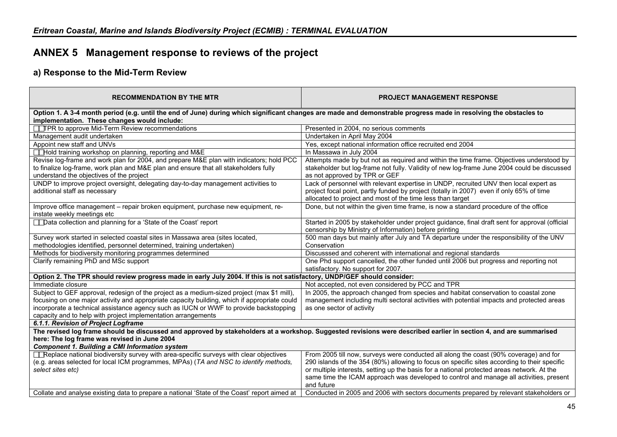# **ANNEX 5 Management response to reviews of the project**

# **a) Response to the Mid-Term Review**

| <b>RECOMMENDATION BY THE MTR</b>                                                                                                                                                                                 | <b>PROJECT MANAGEMENT RESPONSE</b>                                                             |  |  |  |  |
|------------------------------------------------------------------------------------------------------------------------------------------------------------------------------------------------------------------|------------------------------------------------------------------------------------------------|--|--|--|--|
| Option 1. A 3-4 month period (e.g. until the end of June) during which significant changes are made and demonstrable progress made in resolving the obstacles to<br>implementation. These changes would include: |                                                                                                |  |  |  |  |
| TTPR to approve Mid-Term Review recommendations                                                                                                                                                                  | Presented in 2004, no serious comments                                                         |  |  |  |  |
| Management audit undertaken                                                                                                                                                                                      | Undertaken in April May 2004                                                                   |  |  |  |  |
| Appoint new staff and UNVs                                                                                                                                                                                       | Yes, except national information office recruited end 2004                                     |  |  |  |  |
| Hold training workshop on planning, reporting and M&E                                                                                                                                                            | In Massawa in July 2004                                                                        |  |  |  |  |
| Revise log-frame and work plan for 2004, and prepare M&E plan with indicators; hold PCC                                                                                                                          | Attempts made by but not as required and within the time frame. Objectives understood by       |  |  |  |  |
| to finalize log-frame, work plan and M&E plan and ensure that all stakeholders fully                                                                                                                             | stakeholder but log-frame not fully. Validity of new log-frame June 2004 could be discussed    |  |  |  |  |
| understand the objectives of the project                                                                                                                                                                         | as not approved by TPR or GEF                                                                  |  |  |  |  |
| UNDP to improve project oversight, delegating day-to-day management activities to                                                                                                                                | Lack of personnel with relevant expertise in UNDP, recruited UNV then local expert as          |  |  |  |  |
| additional staff as necessary                                                                                                                                                                                    | project focal point, partly funded by project (totally in 2007) even if only 65% of time       |  |  |  |  |
|                                                                                                                                                                                                                  | allocated to project and most of the time less than target                                     |  |  |  |  |
| Improve office management - repair broken equipment, purchase new equipment, re-                                                                                                                                 | Done, but not within the given time frame, is now a standard procedure of the office           |  |  |  |  |
| instate weekly meetings etc                                                                                                                                                                                      |                                                                                                |  |  |  |  |
| <b>Thata collection and planning for a 'State of the Coast' report</b>                                                                                                                                           | Started in 2005 by stakeholder under project guidance, final draft sent for approval (official |  |  |  |  |
|                                                                                                                                                                                                                  | censorship by Ministry of Information) before printing                                         |  |  |  |  |
| Survey work started in selected coastal sites in Massawa area (sites located,                                                                                                                                    | 500 man days but mainly after July and TA departure under the responsibility of the UNV        |  |  |  |  |
| methodologies identified, personnel determined, training undertaken)                                                                                                                                             | Conservation                                                                                   |  |  |  |  |
| Methods for biodiversity monitoring programmes determined                                                                                                                                                        | Discusssed and coherent with international and regional standards                              |  |  |  |  |
| Clarify remaining PhD and MSc support                                                                                                                                                                            | One Phd support cancelled, the other funded until 2006 but progress and reporting not          |  |  |  |  |
|                                                                                                                                                                                                                  | satisfactory. No support for 2007.                                                             |  |  |  |  |
| Option 2. The TPR should review progress made in early July 2004. If this is not satisfactory, UNDP/GEF should consider:                                                                                         |                                                                                                |  |  |  |  |
| Immediate closure                                                                                                                                                                                                | Not accepted, not even considered by PCC and TPR                                               |  |  |  |  |
| Subject to GEF approval, redesign of the project as a medium-sized project (max \$1 mill),                                                                                                                       | In 2005, the approach changed from species and habitat conservation to coastal zone            |  |  |  |  |
| focusing on one major activity and appropriate capacity building, which if appropriate could                                                                                                                     | management including multi sectoral activities with potential impacts and protected areas      |  |  |  |  |
| incorporate a technical assistance agency such as IUCN or WWF to provide backstopping                                                                                                                            | as one sector of activity                                                                      |  |  |  |  |
| capacity and to help with project implementation arrangements                                                                                                                                                    |                                                                                                |  |  |  |  |
| 6.1.1. Revision of Project Logframe                                                                                                                                                                              |                                                                                                |  |  |  |  |
| The revised log frame should be discussed and approved by stakeholders at a workshop. Suggested revisions were described earlier in section 4, and are summarised                                                |                                                                                                |  |  |  |  |
| here: The log frame was revised in June 2004<br><b>Component 1. Building a CMI Information system</b>                                                                                                            |                                                                                                |  |  |  |  |
| Replace national biodiversity survey with area-specific surveys with clear objectives                                                                                                                            | From 2005 till now, surveys were conducted all along the coast (90% coverage) and for          |  |  |  |  |
| (e.g. areas selected for local ICM programmes, MPAs) (TA and NSC to identify methods,                                                                                                                            | 290 islands of the 354 (80%) allowing to focus on specific sites according to their specific   |  |  |  |  |
| select sites etc)                                                                                                                                                                                                | or multiple interests, setting up the basis for a national protected areas network. At the     |  |  |  |  |
|                                                                                                                                                                                                                  | same time the ICAM approach was developed to control and manage all activities, present        |  |  |  |  |
|                                                                                                                                                                                                                  | and future                                                                                     |  |  |  |  |
| Collate and analyse existing data to prepare a national 'State of the Coast' report aimed at                                                                                                                     | Conducted in 2005 and 2006 with sectors documents prepared by relevant stakeholders or         |  |  |  |  |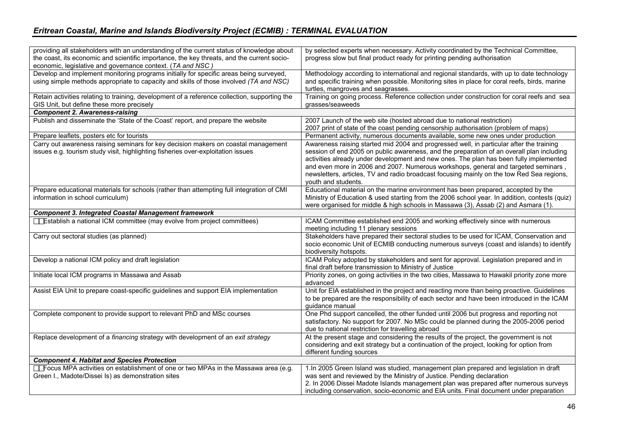| providing all stakeholders with an understanding of the current status of knowledge about<br>the coast, its economic and scientific importance, the key threats, and the current socio- | by selected experts when necessary. Activity coordinated by the Technical Committee,<br>progress slow but final product ready for printing pending authorisation                                                                                                                                                                                                                                                                                                                          |
|-----------------------------------------------------------------------------------------------------------------------------------------------------------------------------------------|-------------------------------------------------------------------------------------------------------------------------------------------------------------------------------------------------------------------------------------------------------------------------------------------------------------------------------------------------------------------------------------------------------------------------------------------------------------------------------------------|
| economic, legislative and governance context. (TA and NSC)                                                                                                                              |                                                                                                                                                                                                                                                                                                                                                                                                                                                                                           |
| Develop and implement monitoring programs initially for specific areas being surveyed,<br>using simple methods appropriate to capacity and skills of those involved (TA and NSC)        | Methodology according to international and regional standards, with up to date technology<br>and specific training when possible. Monitoring sites in place for coral reefs, birds, marine<br>turtles, mangroves and seagrasses.                                                                                                                                                                                                                                                          |
| Retain activities relating to training, development of a reference collection, supporting the<br>GIS Unit, but define these more precisely                                              | Training on going process. Reference collection under construction for coral reefs and sea<br>grasses/seaweeds                                                                                                                                                                                                                                                                                                                                                                            |
| <b>Component 2. Awareness-raising</b>                                                                                                                                                   |                                                                                                                                                                                                                                                                                                                                                                                                                                                                                           |
| Publish and disseminate the 'State of the Coast' report, and prepare the website                                                                                                        | 2007 Launch of the web site (hosted abroad due to national restriction)<br>2007 print of state of the coast pending censorship authorisation (problem of maps)                                                                                                                                                                                                                                                                                                                            |
| Prepare leaflets, posters etc for tourists                                                                                                                                              | Permanent activity, numerous documents available, some new ones under production                                                                                                                                                                                                                                                                                                                                                                                                          |
| Carry out awareness raising seminars for key decision makers on coastal management<br>issues e.g. tourism study visit, highlighting fisheries over-exploitation issues                  | Awareness raising started mid 2004 and progressed well, in particular after the training<br>session of end 2005 on public awareness, and the preparation of an overall plan including<br>activities already under development and new ones. The plan has been fully implemented<br>and even more in 2006 and 2007. Numerous workshops, general and targeted seminars,<br>newsletters, articles, TV and radio broadcast focusing mainly on the tow Red Sea regions,<br>youth and students. |
| Prepare educational materials for schools (rather than attempting full integration of CMI<br>information in school curriculum)                                                          | Educational material on the marine environment has been prepared, accepted by the<br>Ministry of Education & used starting from the 2006 school year. In addition, contests (quiz)<br>were organised for middle & high schools in Massawa (3), Assab (2) and Asmara (1).                                                                                                                                                                                                                  |
| <b>Component 3. Integrated Coastal Management framework</b>                                                                                                                             |                                                                                                                                                                                                                                                                                                                                                                                                                                                                                           |
| <b>TEstablish a national ICM committee (may evolve from project committees)</b>                                                                                                         | ICAM Committee established end 2005 and working effectively since with numerous<br>meeting including 11 plenary sessions                                                                                                                                                                                                                                                                                                                                                                  |
| Carry out sectoral studies (as planned)                                                                                                                                                 | Stakeholders have prepared their sectoral studies to be used for ICAM, Conservation and<br>socio economic Unit of ECMIB conducting numerous surveys (coast and islands) to identify<br>biodiversity hotspots.                                                                                                                                                                                                                                                                             |
| Develop a national ICM policy and draft legislation                                                                                                                                     | ICAM Policy adopted by stakeholders and sent for approval. Legislation prepared and in<br>final draft before transmission to Ministry of Justice                                                                                                                                                                                                                                                                                                                                          |
| Initiate local ICM programs in Massawa and Assab                                                                                                                                        | Priority zones, on going activities in the two cities, Massawa to Hawakil priority zone more<br>advanced                                                                                                                                                                                                                                                                                                                                                                                  |
| Assist EIA Unit to prepare coast-specific guidelines and support EIA implementation                                                                                                     | Unit for EIA established in the project and reacting more than being proactive. Guidelines<br>to be prepared are the responsibility of each sector and have been introduced in the ICAM<br>guidance manual                                                                                                                                                                                                                                                                                |
| Complete component to provide support to relevant PhD and MSc courses                                                                                                                   | One Phd support cancelled, the other funded until 2006 but progress and reporting not<br>satisfactory. No support for 2007. No MSc could be planned during the 2005-2006 period<br>due to national restriction for travelling abroad                                                                                                                                                                                                                                                      |
| Replace development of a financing strategy with development of an exit strategy                                                                                                        | At the present stage and considering the results of the project, the government is not<br>considering and exit strategy but a continuation of the project, looking for option from<br>different funding sources                                                                                                                                                                                                                                                                           |
| <b>Component 4. Habitat and Species Protection</b>                                                                                                                                      |                                                                                                                                                                                                                                                                                                                                                                                                                                                                                           |
| <b>T</b> Focus MPA activities on establishment of one or two MPAs in the Massawa area (e.g.<br>Green I., Madote/Dissei Is) as demonstration sites                                       | 1. In 2005 Green Island was studied, management plan prepared and legislation in draft<br>was sent and reviewed by the Ministry of Justice. Pending declaration<br>2. In 2006 Dissei Madote Islands management plan was prepared after numerous surveys<br>including conservation, socio-economic and EIA units. Final document under preparation                                                                                                                                         |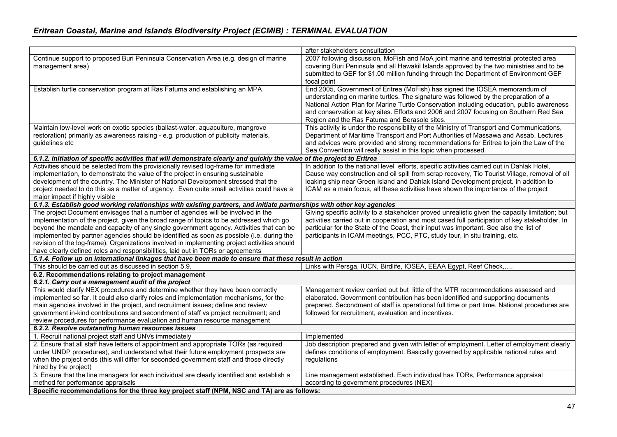|                                                                                                                                 | after stakeholders consultation                                                                 |
|---------------------------------------------------------------------------------------------------------------------------------|-------------------------------------------------------------------------------------------------|
| Continue support to proposed Buri Peninsula Conservation Area (e.g. design of marine                                            | 2007 following discussion, MoFish and MoA joint marine and terrestrial protected area           |
| management area)                                                                                                                | covering Buri Peninsula and all Hawakil Islands approved by the two ministries and to be        |
|                                                                                                                                 | submitted to GEF for \$1.00 million funding through the Department of Environment GEF           |
|                                                                                                                                 | focal point                                                                                     |
| Establish turtle conservation program at Ras Fatuma and establishing an MPA                                                     | End 2005, Government of Eritrea (MoFish) has signed the IOSEA memorandum of                     |
|                                                                                                                                 | understanding on marine turtles. The signature was followed by the preparation of a             |
|                                                                                                                                 | National Action Plan for Marine Turtle Conservation including education, public awareness       |
|                                                                                                                                 | and conservation at key sites. Efforts end 2006 and 2007 focusing on Southern Red Sea           |
|                                                                                                                                 | Region and the Ras Fatuma and Berasole sites.                                                   |
| Maintain low-level work on exotic species (ballast-water, aquaculture, mangrove                                                 | This activity is under the responsibility of the Ministry of Transport and Communications,      |
| restoration) primarily as awareness raising - e.g. production of publicity materials,                                           | Department of Maritime Transport and Port Authorities of Massawa and Assab. Lectures            |
| quidelines etc                                                                                                                  | and advices were provided and strong recommendations for Eritrea to join the Law of the         |
|                                                                                                                                 | Sea Convention will really assist in this topic when processed.                                 |
| 6.1.2. Initiation of specific activities that will demonstrate clearly and quickly the value of the project to Eritrea          |                                                                                                 |
| Activities should be selected from the provisionally revised log-frame for immediate                                            | In addition to the national level efforts, specific activities carried out in Dahlak Hotel,     |
| implementation, to demonstrate the value of the project in ensuring sustainable                                                 | Cause way construction and oil spill from scrap recovery, Tio Tourist Village, removal of oil   |
| development of the country. The Minister of National Development stressed that the                                              | leaking ship near Green Island and Dahlak Island Development project. In addition to            |
| project needed to do this as a matter of urgency. Even quite small activities could have a                                      | ICAM as a main focus, all these activities have shown the importance of the project             |
| major impact if highly visible                                                                                                  |                                                                                                 |
| 6.1.3. Establish good working relationships with existing partners, and initiate partnerships with other key agencies           |                                                                                                 |
| The project Document envisages that a number of agencies will be involved in the                                                | Giving specific activity to a stakeholder proved unrealistic given the capacity limitation; but |
| implementation of the project, given the broad range of topics to be addressed which go                                         | activities carried out in cooperation and most cased full participation of key stakeholder. In  |
| beyond the mandate and capacity of any single government agency. Activities that can be                                         | particular for the State of the Coast, their input was important. See also the list of          |
| implemented by partner agencies should be identified as soon as possible (i.e. during the                                       | participants in ICAM meetings, PCC, PTC, study tour, in situ training, etc.                     |
| revision of the log-frame). Organizations involved in implementing project activities should                                    |                                                                                                 |
| have clearly defined roles and responsibilities, laid out in TORs or agreements                                                 |                                                                                                 |
| 6.1.4. Follow up on international linkages that have been made to ensure that these result in action                            |                                                                                                 |
| This should be carried out as discussed in section 5.9.                                                                         | Links with Persga, IUCN, Birdlife, IOSEA, EEAA Egypt, Reef Check,                               |
| 6.2. Recommendations relating to project management                                                                             |                                                                                                 |
| 6.2.1. Carry out a management audit of the project                                                                              |                                                                                                 |
| This would clarify NEX procedures and determine whether they have been correctly                                                | Management review carried out but little of the MTR recommendations assessed and                |
| implemented so far. It could also clarify roles and implementation mechanisms, for the                                          | elaborated. Government contribution has been identified and supporting documents                |
| main agencies involved in the project, and recruitment issues; define and review                                                | prepared. Secondment of staff is operational full time or part time. National procedures are    |
| government in-kind contributions and secondment of staff vs project recruitment; and                                            | followed for recruitment, evaluation and incentives.                                            |
| review procedures for performance evaluation and human resource management                                                      |                                                                                                 |
| 6.2.2. Resolve outstanding human resources issues                                                                               |                                                                                                 |
| 1. Recruit national project staff and UNVs immediately                                                                          | Implemented                                                                                     |
| 2. Ensure that all staff have letters of appointment and appropriate TORs (as required                                          | Job description prepared and given with letter of employment. Letter of employment clearly      |
| under UNDP procedures), and understand what their future employment prospects are                                               | defines conditions of employment. Basically governed by applicable national rules and           |
| when the project ends (this will differ for seconded government staff and those directly                                        | regulations                                                                                     |
| hired by the project)                                                                                                           |                                                                                                 |
| 3. Ensure that the line managers for each individual are clearly identified and establish a                                     | Line management established. Each individual has TORs, Performance appraisal                    |
| method for performance appraisals<br>Specific recommendations for the three key project staff (NPM, NSC and TA) are as follows: | according to government procedures (NEX)                                                        |
|                                                                                                                                 |                                                                                                 |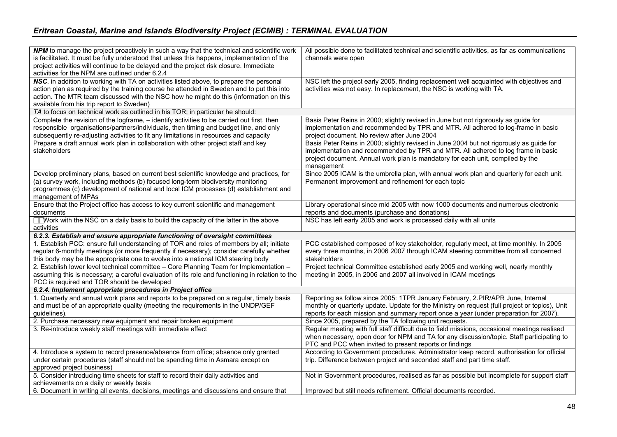| <b>NPM</b> to manage the project proactively in such a way that the technical and scientific work<br>is facilitated. It must be fully understood that unless this happens, implementation of the<br>project activities will continue to be delayed and the project risk closure. Immediate<br>activities for the NPM are outlined under 6.2.4 | All possible done to facilitated technical and scientific activities, as far as communications<br>channels were open                                                                                                                                                         |
|-----------------------------------------------------------------------------------------------------------------------------------------------------------------------------------------------------------------------------------------------------------------------------------------------------------------------------------------------|------------------------------------------------------------------------------------------------------------------------------------------------------------------------------------------------------------------------------------------------------------------------------|
| NSC, in addition to working with TA on activities listed above, to prepare the personal<br>action plan as required by the training course he attended in Sweden and to put this into<br>action. The MTR team discussed with the NSC how he might do this (information on this<br>available from his trip report to Sweden)                    | NSC left the project early 2005, finding replacement well acquainted with objectives and<br>activities was not easy. In replacement, the NSC is working with TA.                                                                                                             |
| TA to focus on technical work as outlined in his TOR; in particular he should:                                                                                                                                                                                                                                                                |                                                                                                                                                                                                                                                                              |
| Complete the revision of the logframe, - identify activities to be carried out first, then<br>responsible organisations/partners/individuals, then timing and budget line, and only<br>subsequently re-adjusting activities to fit any limitations in resources and capacity                                                                  | Basis Peter Reins in 2000; slightly revised in June but not rigorously as guide for<br>implementation and recommended by TPR and MTR. All adhered to log-frame in basic<br>project document. No review after June 2004                                                       |
| Prepare a draft annual work plan in collaboration with other project staff and key<br>stakeholders                                                                                                                                                                                                                                            | Basis Peter Reins in 2000; slightly revised in June 2004 but not rigorously as guide for<br>implementation and recommended by TPR and MTR. All adhered to log frame in basic<br>project document. Annual work plan is mandatory for each unit, compiled by the<br>management |
| Develop preliminary plans, based on current best scientific knowledge and practices, for<br>(a) survey work, including methods (b) focused long-term biodiversity monitoring<br>programmes (c) development of national and local ICM processes (d) establishment and<br>management of MPAs                                                    | Since 2005 ICAM is the umbrella plan, with annual work plan and quarterly for each unit.<br>Permanent improvement and refinement for each topic                                                                                                                              |
| Ensure that the Project office has access to key current scientific and management<br>documents                                                                                                                                                                                                                                               | Library operational since mid 2005 with now 1000 documents and numerous electronic<br>reports and documents (purchase and donations)                                                                                                                                         |
| Work with the NSC on a daily basis to build the capacity of the latter in the above<br>activities                                                                                                                                                                                                                                             | NSC has left early 2005 and work is processed daily with all units                                                                                                                                                                                                           |
| 6.2.3. Establish and ensure appropriate functioning of oversight committees                                                                                                                                                                                                                                                                   |                                                                                                                                                                                                                                                                              |
| 1. Establish PCC: ensure full understanding of TOR and roles of members by all; initiate<br>regular 6-monthly meetings (or more frequently if necessary); consider carefully whether<br>this body may be the appropriate one to evolve into a national ICM steering body                                                                      | PCC established composed of key stakeholder, regularly meet, at time monthly. In 2005<br>every three moinths, in 2006 2007 through ICAM steering committee from all concerned<br>stakeholders                                                                                |
| 2. Establish lower level technical committee - Core Planning Team for Implementation -<br>assuming this is necessary; a careful evaluation of its role and functioning in relation to the<br>PCC is required and TOR should be developed                                                                                                      | Project technical Committee established early 2005 and working well, nearly monthly<br>meeting in 2005, in 2006 and 2007 all involved in ICAM meetings                                                                                                                       |
| 6.2.4. Implement appropriate procedures in Project office                                                                                                                                                                                                                                                                                     |                                                                                                                                                                                                                                                                              |
| 1. Quarterly and annual work plans and reports to be prepared on a regular, timely basis<br>and must be of an appropriate quality (meeting the requirements in the UNDP/GEF<br>guidelines).                                                                                                                                                   | Reporting as follow since 2005: 1TPR January February, 2.PIR/APR June, Internal<br>monthly or quarterly update. Update for the Ministry on request (full project or topics), Unit<br>reports for each mission and summary report once a year (under preparation for 2007).   |
| 2. Purchase necessary new equipment and repair broken equipment                                                                                                                                                                                                                                                                               | Since 2005, prepared by the TA following unit requests.                                                                                                                                                                                                                      |
| 3. Re-introduce weekly staff meetings with immediate effect                                                                                                                                                                                                                                                                                   | Regular meeting with full staff difficult due to field missions, occasional meetings realised<br>when necessary, open door for NPM and TA for any discussion/topic. Staff participating to<br>PTC and PCC when invited to present reports or findings                        |
| 4. Introduce a system to record presence/absence from office; absence only granted<br>under certain procedures (staff should not be spending time in Asmara except on<br>approved project business)                                                                                                                                           | According to Government procedures. Administrator keep record, authorisation for official<br>trip. Difference between project and seconded staff and part time staff.                                                                                                        |
| 5. Consider introducing time sheets for staff to record their daily activities and<br>achievements on a daily or weekly basis                                                                                                                                                                                                                 | Not in Government procedures, realised as far as possible but incomplete for support staff                                                                                                                                                                                   |
| 6. Document in writing all events, decisions, meetings and discussions and ensure that                                                                                                                                                                                                                                                        | Improved but still needs refinement. Official documents recorded.                                                                                                                                                                                                            |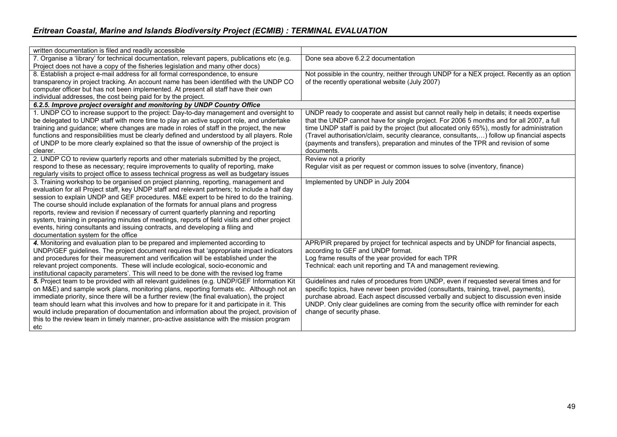| written documentation is filed and readily accessible                                         |                                                                                            |
|-----------------------------------------------------------------------------------------------|--------------------------------------------------------------------------------------------|
| 7. Organise a 'library' for technical documentation, relevant papers, publications etc (e.g.  | Done sea above 6.2.2 documentation                                                         |
| Project does not have a copy of the fisheries legislation and many other docs)                |                                                                                            |
| 8. Establish a project e-mail address for all formal correspondence, to ensure                | Not possible in the country, neither through UNDP for a NEX project. Recently as an option |
| transparency in project tracking. An account name has been identified with the UNDP CO        | of the recently operational website (July 2007)                                            |
| computer officer but has not been implemented. At present all staff have their own            |                                                                                            |
| individual addresses, the cost being paid for by the project.                                 |                                                                                            |
| 6.2.5. Improve project oversight and monitoring by UNDP Country Office                        |                                                                                            |
| 1. UNDP CO to increase support to the project: Day-to-day management and oversight to         | UNDP ready to cooperate and assist but cannot really help in details; it needs expertise   |
| be delegated to UNDP staff with more time to play an active support role, and undertake       | that the UNDP cannot have for single project. For 2006 5 months and for all 2007, a full   |
| training and guidance; where changes are made in roles of staff in the project, the new       | time UNDP staff is paid by the project (but allocated only 65%), mostly for administration |
| functions and responsibilities must be clearly defined and understood by all players. Role    | (Travel authorisation/claim, security clearance, consultants,) follow up financial aspects |
| of UNDP to be more clearly explained so that the issue of ownership of the project is         | (payments and transfers), preparation and minutes of the TPR and revision of some          |
| clearer.                                                                                      | documents.                                                                                 |
| 2. UNDP CO to review quarterly reports and other materials submitted by the project,          | Review not a priority                                                                      |
| respond to these as necessary; require improvements to quality of reporting, make             | Regular visit as per request or common issues to solve (inventory, finance)                |
| regularly visits to project office to assess technical progress as well as budgetary issues   |                                                                                            |
| 3. Training workshop to be organised on project planning, reporting, management and           | Implemented by UNDP in July 2004                                                           |
| evaluation for all Project staff, key UNDP staff and relevant partners; to include a half day |                                                                                            |
| session to explain UNDP and GEF procedures. M&E expert to be hired to do the training.        |                                                                                            |
| The course should include explanation of the formats for annual plans and progress            |                                                                                            |
| reports, review and revision if necessary of current quarterly planning and reporting         |                                                                                            |
| system, training in preparing minutes of meetings, reports of field visits and other project  |                                                                                            |
| events, hiring consultants and issuing contracts, and developing a filing and                 |                                                                                            |
| documentation system for the office                                                           |                                                                                            |
| 4. Monitoring and evaluation plan to be prepared and implemented according to                 | APR/PIR prepared by project for technical aspects and by UNDP for financial aspects,       |
| UNDP/GEF guidelines. The project document requires that 'appropriate impact indicators        | according to GEF and UNDP format.                                                          |
| and procedures for their measurement and verification will be established under the           | Log frame results of the year provided for each TPR                                        |
| relevant project components. These will include ecological, socio-economic and                | Technical: each unit reporting and TA and management reviewing.                            |
| institutional capacity parameters'. This will need to be done with the revised log frame      |                                                                                            |
| 5. Project team to be provided with all relevant guidelines (e.g. UNDP/GEF Information Kit    | Guidelines and rules of procedures from UNDP, even if requested several times and for      |
| on M&E) and sample work plans, monitoring plans, reporting formats etc. Although not an       | specific topics, have never been provided (consultants, training, travel, payments),       |
| immediate priority, since there will be a further review (the final evaluation), the project  | purchase abroad. Each aspect discussed verbally and subject to discussion even inside      |
| team should learn what this involves and how to prepare for it and participate in it. This    | UNDP. Only clear guidelines are coming from the security office with reminder for each     |
| would include preparation of documentation and information about the project, provision of    | change of security phase.                                                                  |
| this to the review team in timely manner, pro-active assistance with the mission program      |                                                                                            |
| etc                                                                                           |                                                                                            |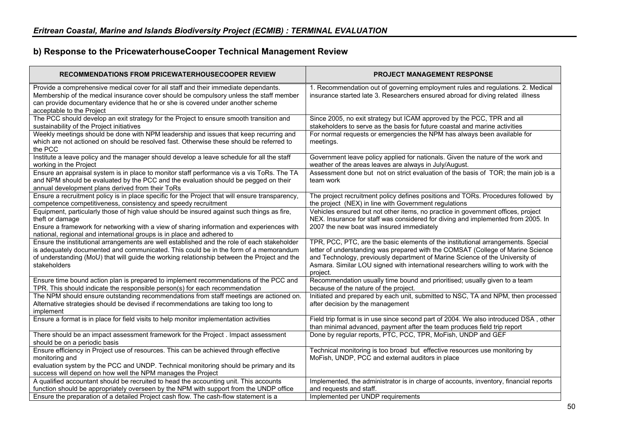# **b) Response to the PricewaterhouseCooper Technical Management Review**

| <b>RECOMMENDATIONS FROM PRICEWATERHOUSECOOPER REVIEW</b>                                                                                                                                                                                                                                           | PROJECT MANAGEMENT RESPONSE                                                                                                                                                                                                                                                                                                                           |
|----------------------------------------------------------------------------------------------------------------------------------------------------------------------------------------------------------------------------------------------------------------------------------------------------|-------------------------------------------------------------------------------------------------------------------------------------------------------------------------------------------------------------------------------------------------------------------------------------------------------------------------------------------------------|
| Provide a comprehensive medical cover for all staff and their immediate dependants.<br>Membership of the medical insurance cover should be compulsory unless the staff member<br>can provide documentary evidence that he or she is covered under another scheme<br>acceptable to the Project      | 1. Recommendation out of governing employment rules and regulations. 2. Medical<br>insurance started late 3. Researchers ensured abroad for diving related illness                                                                                                                                                                                    |
| The PCC should develop an exit strategy for the Project to ensure smooth transition and<br>sustainability of the Project initiatives                                                                                                                                                               | Since 2005, no exit strategy but ICAM approved by the PCC, TPR and all<br>stakeholders to serve as the basis for future coastal and marine activities                                                                                                                                                                                                 |
| Weekly meetings should be done with NPM leadership and issues that keep recurring and<br>which are not actioned on should be resolved fast. Otherwise these should be referred to<br>the PCC                                                                                                       | For normal requests or emergencies the NPM has always been available for<br>meetings.                                                                                                                                                                                                                                                                 |
| Institute a leave policy and the manager should develop a leave schedule for all the staff<br>working in the Project                                                                                                                                                                               | Government leave policy applied for nationals. Given the nature of the work and<br>weather of the areas leaves are always in July/August.                                                                                                                                                                                                             |
| Ensure an appraisal system is in place to monitor staff performance vis a vis ToRs. The TA<br>and NPM should be evaluated by the PCC and the evaluation should be pegged on their<br>annual development plans derived from their ToRs                                                              | Assessment done but not on strict evaluation of the basis of TOR; the main job is a<br>team work                                                                                                                                                                                                                                                      |
| Ensure a recruitment policy is in place specific for the Project that will ensure transparency,<br>competence competitiveness, consistency and speedy recruitment                                                                                                                                  | The project recruitment policy defines positions and TORs. Procedures followed by<br>the project (NEX) in line with Government regulations                                                                                                                                                                                                            |
| Equipment, particularly those of high value should be insured against such things as fire,<br>theft or damage<br>Ensure a framework for networking with a view of sharing information and experiences with<br>national, regional and international groups is in place and adhered to               | Vehicles ensured but not other items, no practice in government offices, project<br>NEX. Insurance for staff was considered for diving and implemented from 2005. In<br>2007 the new boat was insured immediately                                                                                                                                     |
| Ensure the institutional arrangements are well established and the role of each stakeholder<br>is adequately documented and communicated. This could be in the form of a memorandum<br>of understanding (MoU) that will guide the working relationship between the Project and the<br>stakeholders | TPR, PCC, PTC, are the basic elements of the institutional arrangements. Special<br>letter of understanding was prepared with the COMSAT (College of Marine Science<br>and Technology, previously department of Marine Science of the University of<br>Asmara. Similar LOU signed with international researchers willing to work with the<br>project. |
| Ensure time bound action plan is prepared to implement recommendations of the PCC and<br>TPR. This should indicate the responsible person(s) for each recommendation                                                                                                                               | Recommendation usually time bound and prioritised; usually given to a team<br>because of the nature of the project.                                                                                                                                                                                                                                   |
| The NPM should ensure outstanding recommendations from staff meetings are actioned on.<br>Alternative strategies should be devised if recommendations are taking too long to<br>implement                                                                                                          | Initiated and prepared by each unit, submitted to NSC, TA and NPM, then processed<br>after decision by the management                                                                                                                                                                                                                                 |
| Ensure a format is in place for field visits to help monitor implementation activities                                                                                                                                                                                                             | Field trip format is in use since second part of 2004. We also introduced DSA, other<br>than minimal advanced, payment after the team produces field trip report                                                                                                                                                                                      |
| There should be an impact assessment framework for the Project . Impact assessment<br>should be on a periodic basis                                                                                                                                                                                | Done by regular reports, PTC, PCC, TPR, MoFish, UNDP and GEF                                                                                                                                                                                                                                                                                          |
| Ensure efficiency in Project use of resources. This can be achieved through effective<br>monitoring and<br>evaluation system by the PCC and UNDP. Technical monitoring should be primary and its<br>success will depend on how well the NPM manages the Project                                    | Technical monitoring is too broad but effective resources use monitoring by<br>MoFish, UNDP, PCC and external auditors in place                                                                                                                                                                                                                       |
| A qualified accountant should be recruited to head the accounting unit. This accounts                                                                                                                                                                                                              | Implemented, the administrator is in charge of accounts, inventory, financial reports                                                                                                                                                                                                                                                                 |
| function should be appropriately overseen by the NPM with support from the UNDP office<br>Ensure the preparation of a detailed Project cash flow. The cash-flow statement is a                                                                                                                     | and requests and staff.<br>Implemented per UNDP requirements                                                                                                                                                                                                                                                                                          |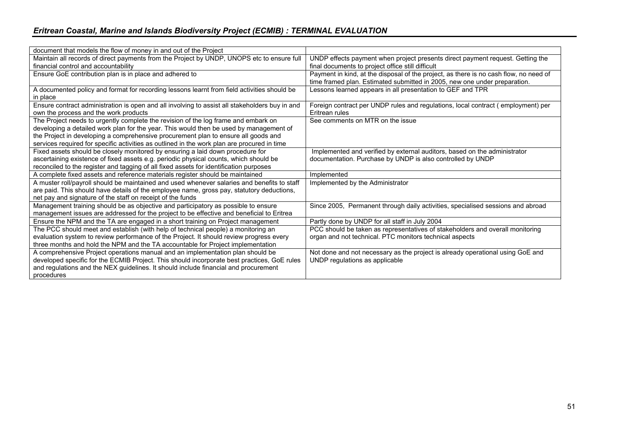| document that models the flow of money in and out of the Project                               |                                                                                       |
|------------------------------------------------------------------------------------------------|---------------------------------------------------------------------------------------|
| Maintain all records of direct payments from the Project by UNDP, UNOPS etc to ensure full     | UNDP effects payment when project presents direct payment request. Getting the        |
| financial control and accountability                                                           | final documents to project office still difficult                                     |
| Ensure GoE contribution plan is in place and adhered to                                        | Payment in kind, at the disposal of the project, as there is no cash flow, no need of |
|                                                                                                | time framed plan. Estimated submitted in 2005, new one under preparation.             |
| A documented policy and format for recording lessons learnt from field activities should be    | Lessons learned appears in all presentation to GEF and TPR                            |
| in place                                                                                       |                                                                                       |
| Ensure contract administration is open and all involving to assist all stakeholders buy in and | Foreign contract per UNDP rules and regulations, local contract (employment) per      |
| own the process and the work products                                                          | Eritrean rules                                                                        |
| The Project needs to urgently complete the revision of the log frame and embark on             | See comments on MTR on the issue                                                      |
| developing a detailed work plan for the year. This would then be used by management of         |                                                                                       |
| the Project in developing a comprehensive procurement plan to ensure all goods and             |                                                                                       |
| services required for specific activities as outlined in the work plan are procured in time    |                                                                                       |
| Fixed assets should be closely monitored by ensuring a laid down procedure for                 | Implemented and verified by external auditors, based on the administrator             |
| ascertaining existence of fixed assets e.g. periodic physical counts, which should be          | documentation. Purchase by UNDP is also controlled by UNDP                            |
| reconciled to the register and tagging of all fixed assets for identification purposes         |                                                                                       |
| A complete fixed assets and reference materials register should be maintained                  | Implemented                                                                           |
| A muster roll/payroll should be maintained and used whenever salaries and benefits to staff    | Implemented by the Administrator                                                      |
| are paid. This should have details of the employee name, gross pay, statutory deductions,      |                                                                                       |
| net pay and signature of the staff on receipt of the funds                                     |                                                                                       |
| Management training should be as objective and participatory as possible to ensure             | Since 2005, Permanent through daily activities, specialised sessions and abroad       |
| management issues are addressed for the project to be effective and beneficial to Eritrea      |                                                                                       |
| Ensure the NPM and the TA are engaged in a short training on Project management                | Partly done by UNDP for all staff in July 2004                                        |
| The PCC should meet and establish (with help of technical people) a monitoring an              | PCC should be taken as representatives of stakeholders and overall monitoring         |
| evaluation system to review performance of the Project. It should review progress every        | organ and not technical. PTC monitors technical aspects                               |
| three months and hold the NPM and the TA accountable for Project implementation                |                                                                                       |
| A comprehensive Project operations manual and an implementation plan should be                 | Not done and not necessary as the project is already operational using GoE and        |
| developed specific for the ECMIB Project. This should incorporate best practices, GoE rules    | UNDP regulations as applicable                                                        |
| and regulations and the NEX guidelines. It should include financial and procurement            |                                                                                       |
| procedures                                                                                     |                                                                                       |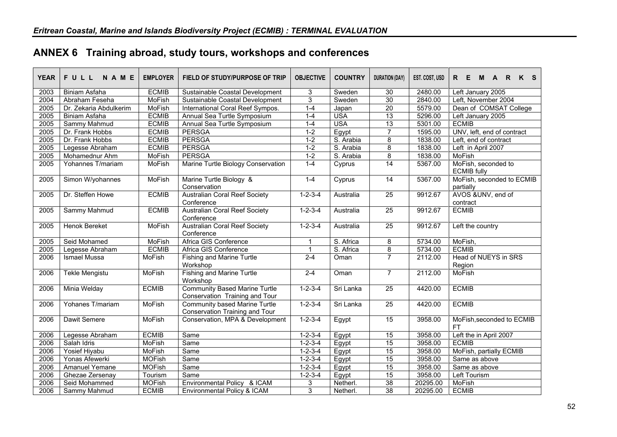| <b>YEAR</b> | FULL<br><b>NAME</b>    | <b>EMPLOYER</b>                                                    | FIELD OF STUDY/PURPOSE OF TRIP                                                | <b>OBJECTIVE</b> | <b>COUNTRY</b> | <b>DURATION (DAY)</b> | EST. COST, USD | E<br>R<br>K S<br>R.<br>M<br><b>A</b>      |
|-------------|------------------------|--------------------------------------------------------------------|-------------------------------------------------------------------------------|------------------|----------------|-----------------------|----------------|-------------------------------------------|
| 2003        | <b>Biniam Asfaha</b>   | <b>ECMIB</b>                                                       | Sustainable Coastal Development                                               | 3                | Sweden         | 30                    | 2480.00        | Left January 2005                         |
| 2004        | Abraham Feseha         | <b>MoFish</b>                                                      | Sustainable Coastal Development                                               | $\overline{3}$   | Sweden         | 30                    | 2840.00        | Left, November 2004                       |
| 2005        | Dr. Zekaria Abdulkerim | MoFish                                                             | International Coral Reef Sympos.                                              | $1-4$            | Japan          | 20                    | 5579.00        | Dean of COMSAT College                    |
| 2005        | <b>Biniam Asfaha</b>   | <b>ECMIB</b>                                                       | Annual Sea Turtle Symposium                                                   | $1 - 4$          | <b>USA</b>     | 13                    | 5296.00        | Left January 2005                         |
| 2005        | Sammy Mahmud           | <b>ECMIB</b>                                                       | Annual Sea Turtle Symposium                                                   | $1-4$            | <b>USA</b>     | $\overline{13}$       | 5301.00        | <b>ECMIB</b>                              |
| 2005        | Dr. Frank Hobbs        | <b>ECMIB</b>                                                       | <b>PERSGA</b>                                                                 | $1 - 2$          | Egypt          | $\overline{7}$        | 1595.00        | UNV, left, end of contract                |
| 2005        | Dr. Frank Hobbs        | <b>ECMIB</b>                                                       | <b>PERSGA</b>                                                                 | $1-2$            | S. Arabia      | 8                     | 1838.00        | Left, end of contract                     |
| 2005        | Legesse Abraham        | <b>ECMIB</b>                                                       | <b>PERSGA</b>                                                                 | $1-2$            | S. Arabia      | $\overline{8}$        | 1838.00        | Left in April 2007                        |
| 2005        | Mohamednur Ahm         | <b>MoFish</b>                                                      | <b>PERSGA</b>                                                                 | $1 - 2$          | S. Arabia      | $\overline{8}$        | 1838.00        | <b>MoFish</b>                             |
| 2005        | Yohannes T/mariam      | <b>MoFish</b>                                                      | Marine Turtle Biology Conservation                                            | $1-4$            | Cyprus         | $\overline{14}$       | 5367.00        | MoFish, seconded to<br><b>ECMIB</b> fully |
| 2005        | Simon W/yohannes       | MoFish                                                             | Marine Turtle Biology &<br>Conservation                                       | $7 - 4$          | Cyprus         | 14                    | 5367.00        | MoFish, seconded to ECMIB<br>partially    |
| 2005        | Dr. Steffen Howe       | <b>ECMIB</b>                                                       | <b>Australian Coral Reef Society</b><br>Conference                            | $1 - 2 - 3 - 4$  | Australia      | $\overline{25}$       | 9912.67        | AVOS &UNV, end of<br>contract             |
| 2005        | Sammy Mahmud           | <b>Australian Coral Reef Society</b><br><b>ECMIB</b><br>Conference |                                                                               | $1 - 2 - 3 - 4$  | Australia      | $\overline{25}$       | 9912.67        | <b>ECMIB</b>                              |
| 2005        | Henok Bereket          | <b>MoFish</b>                                                      | <b>Australian Coral Reef Society</b><br>Conference                            | $1 - 2 - 3 - 4$  | Australia      | $\overline{25}$       | 9912.67        | Left the country                          |
| 2005        | Seid Mohamed           | <b>MoFish</b>                                                      | Africa GIS Conference                                                         |                  | S. Africa      | 8                     | 5734.00        | MoFish,                                   |
| 2005        | Legesse Abraham        | <b>ECMIB</b>                                                       | Africa GIS Conference                                                         | $\mathbf{1}$     | S. Africa      | 8                     | 5734.00        | <b>ECMIB</b>                              |
| 2006        | <b>Ismael Mussa</b>    | MoFish                                                             | <b>Fishing and Marine Turtle</b><br>Workshop                                  | $2 - 4$          | Oman           | $\overline{7}$        | 2112.00        | Head of NUEYS in SRS<br>Region            |
| 2006        | Tekle Mengistu         | <b>MoFish</b>                                                      | <b>Fishing and Marine Turtle</b><br>Workshop                                  | $2-4$            | Oman           | $\overline{7}$        | 2112.00        | <b>MoFish</b>                             |
| 2006        | Minia Welday           | <b>ECMIB</b>                                                       | <b>Community Based Marine Turtle</b><br>Conservation Training and Tour        | $1 - 2 - 3 - 4$  | Sri Lanka      | 25                    | 4420.00        | <b>ECMIB</b>                              |
| 2006        | Yohanes T/mariam       | <b>MoFish</b>                                                      | <b>Community based Marine Turtle</b><br><b>Conservation Training and Tour</b> | $1 - 2 - 3 - 4$  | Sri Lanka      | $\overline{25}$       | 4420.00        | <b>ECMIB</b>                              |
| 2006        | Dawit Semere           | <b>MoFish</b>                                                      | Conservation, MPA & Development                                               | $1 - 2 - 3 - 4$  | Egypt          | $\overline{15}$       | 3958.00        | MoFish, seconded to ECMIB<br><b>FT</b>    |
| 2006        | Legesse Abraham        | <b>ECMIB</b>                                                       | Same                                                                          | $1 - 2 - 3 - 4$  | Egypt          | 15                    | 3958.00        | Left the in April 2007                    |
| 2006        | Salah Idris            | <b>MoFish</b>                                                      | Same                                                                          | $1 - 2 - 3 - 4$  | Egypt          | 15                    | 3958.00        | <b>ECMIB</b>                              |
| 2006        | <b>Yosief Hiyabu</b>   | <b>MoFish</b>                                                      | Same                                                                          | $1 - 2 - 3 - 4$  | Egypt          | 15                    | 3958.00        | MoFish, partially ECMIB                   |
| 2006        | Yonas Afewerki         | <b>MOFish</b>                                                      | Same                                                                          | $1 - 2 - 3 - 4$  | Egypt          | 15                    | 3958.00        | Same as above                             |
| 2006        | <b>Amanuel Yemane</b>  | <b>MOFish</b>                                                      | Same                                                                          | $1 - 2 - 3 - 4$  | Egypt          | 15                    | 3958.00        | Same as above                             |
| 2006        | Ghezae Zersenay        | Tourism                                                            | Same                                                                          | $1 - 2 - 3 - 4$  | Egypt          | 15                    | 3958.00        | Left Tourism                              |
| 2006        | Seid Mohammed          | <b>MOFish</b>                                                      | Environmental Policy & ICAM                                                   | 3                | Netherl.       | 38                    | 20295.00       | MoFish                                    |
| 2006        | Sammy Mahmud           | <b>ECMIB</b>                                                       | Environmental Policy & ICAM                                                   | $\overline{3}$   | Netherl.       | 38                    | 20295.00       | <b>ECMIB</b>                              |

# **ANNEX 6 Training abroad, study tours, workshops and conferences**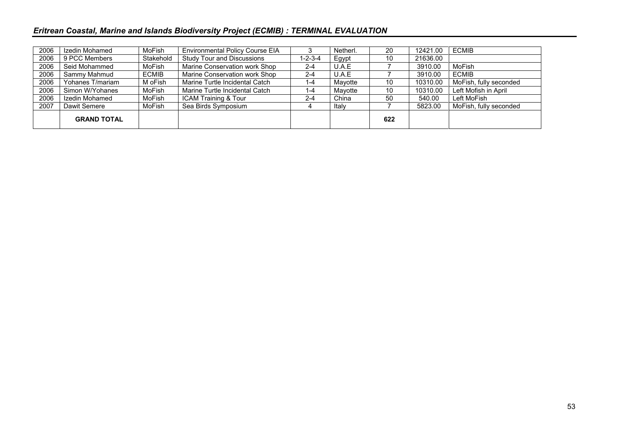| 2006 | Izedin Mohamed     | MoFish       | <b>Environmental Policy Course EIA</b> |                 | Netherl. | 20  | 12421.00 | <b>ECMIB</b>           |
|------|--------------------|--------------|----------------------------------------|-----------------|----------|-----|----------|------------------------|
| 2006 | 9 PCC Members      | Stakehold    | <b>Study Tour and Discussions</b>      | $1 - 2 - 3 - 4$ | Egypt    | 10  | 21636.00 |                        |
| 2006 | Seid Mohammed      | MoFish       | Marine Conservation work Shop          | $2 - 4$         | U.A.E    |     | 3910.00  | MoFish                 |
| 2006 | Sammy Mahmud       | <b>ECMIB</b> | Marine Conservation work Shop          | $2 - 4$         | U.A.E    |     | 3910.00  | <b>ECMIB</b>           |
| 2006 | Yohanes T/mariam   | M oFish      | Marine Turtle Incidental Catch         | 1-4             | Mayotte  | 10  | 10310.00 | MoFish, fully seconded |
| 2006 | Simon W/Yohanes    | MoFish       | Marine Turtle Incidental Catch         | 1-4             | Mayotte  | 10  | 10310.00 | Left Mofish in April   |
| 2006 | Izedin Mohamed     | MoFish       | ICAM Training & Tour                   | $2 - 4$         | China    | 50  | 540.00   | Left MoFish            |
| 2007 | Dawit Semere       | MoFish       | Sea Birds Symposium                    |                 | Italy    |     | 5823.00  | MoFish, fully seconded |
|      | <b>GRAND TOTAL</b> |              |                                        |                 |          | 622 |          |                        |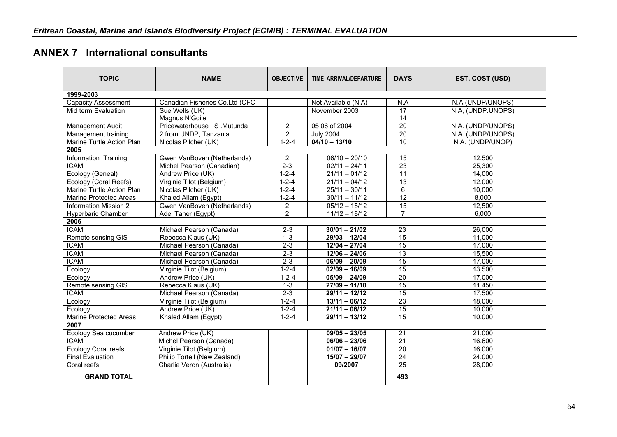# **ANNEX 7 International consultants**

| <b>TOPIC</b>                  | <b>NAME</b>                    | <b>OBJECTIVE</b><br>TIME ARRIVAL/DEPARTURE |                     | <b>DAYS</b>     | EST. COST (USD)   |
|-------------------------------|--------------------------------|--------------------------------------------|---------------------|-----------------|-------------------|
| 1999-2003                     |                                |                                            |                     |                 |                   |
| <b>Capacity Assessment</b>    | Canadian Fisheries Co.Ltd (CFC |                                            | Not Available (N.A) | N.A             | N.A (UNDP/UNOPS)  |
| Mid term Evaluation           | Sue Wells (UK)                 |                                            | November 2003       | 17              | N.A. (UNDP.UNOPS) |
|                               | Magnus N'Goile                 |                                            |                     | 14              |                   |
| Management Audit              | Pricewaterhouse S.Mutunda      | $\overline{2}$                             | 05 06 of 2004       | 20              | N.A. (UNDP/UNOPS) |
| Management training           | 2 from UNDP, Tanzania          | 2                                          | <b>July 2004</b>    | 20              | N.A. (UNDP/UNOPS) |
| Marine Turtle Action Plan     | Nicolas Pilcher (UK)           | $1 - 2 - 4$                                | $04/10 - 13/10$     | 10              | N.A. (UNDP/UNOP)  |
| 2005                          |                                |                                            |                     |                 |                   |
| Information Training          | Gwen VanBoven (Netherlands)    | $\overline{2}$                             | $06/10 - 20/10$     | 15              | 12,500            |
| <b>ICAM</b>                   | Michel Pearson (Canadian)      | $2 - 3$                                    | $02/11 - 24/11$     | $\overline{23}$ | 25,300            |
| Ecology (Geneal)              | Andrew Price (UK)              | $1 - 2 - 4$                                | $21/11 - 01/12$     | 11              | 14,000            |
| Ecology (Coral Reefs)         | Virginie Tilot (Belgium)       | $1 - 2 - 4$                                | $21/11 - 04/12$     | $\overline{13}$ | 12,000            |
| Marine Turtle Action Plan     | Nicolas Pilcher (UK)           | $1 - 2 - 4$                                | $25/11 - 30/11$     | 6               | 10,000            |
| <b>Marine Protected Areas</b> | Khaled Allam (Egypt)           | $1 - 2 - 4$                                | $30/11 - 11/12$     | $\overline{12}$ | 8,000             |
| <b>Information Mission 2</b>  | Gwen VanBoven (Netherlands)    | $\overline{2}$                             | $05/12 - 15/12$     | $\overline{15}$ | 12,500            |
| <b>Hyperbaric Chamber</b>     | Adel Taher (Egypt)             | $\overline{2}$                             | $11/12 - 18/12$     | $\overline{7}$  | 6.000             |
| 2006                          |                                |                                            |                     |                 |                   |
| <b>ICAM</b>                   | Michael Pearson (Canada)       | $2 - 3$                                    | $30/01 - 21/02$     | 23              | 26,000            |
| Remote sensing GIS            | Rebecca Klaus (UK)             | $1 - 3$                                    | $29/03 - 12/04$     | 15              | 11,000            |
| <b>ICAM</b>                   | Michael Pearson (Canada)       | $2 - 3$                                    | $12/04 - 27/04$     | 15              | 17,000            |
| <b>ICAM</b>                   | Michael Pearson (Canada)       | $2 - 3$                                    | $12/06 - 24/06$     | $\overline{13}$ | 15,500            |
| <b>ICAM</b>                   | Michael Pearson (Canada)       | $2 - 3$                                    | $06/09 - 20/09$     | $\overline{15}$ | 17,000            |
| Ecology                       | Virginie Tilot (Belgium)       | $1 - 2 - 4$                                | $02/09 - 16/09$     | 15              | 13,500            |
| Ecology                       | Andrew Price (UK)              | $1 - 2 - 4$                                | $05/09 - 24/09$     | 20              | 17,000            |
| <b>Remote sensing GIS</b>     | Rebecca Klaus (UK)             | $1 - 3$                                    | $27/09 - 11/10$     | 15              | 11,450            |
| <b>ICAM</b>                   | Michael Pearson (Canada)       | $2 - 3$                                    | $29/11 - 12/12$     | $\overline{15}$ | 17,500            |
| Ecology                       | Virginie Tilot (Belgium)       | $1 - 2 - 4$                                | $13/11 - 06/12$     | $\overline{23}$ | 18,000            |
| Ecology                       | Andrew Price (UK)              | $1 - 2 - 4$                                | $21/11 - 06/12$     | 15              | 10,000            |
| <b>Marine Protected Areas</b> | Khaled Allam (Egypt)           | $1 - 2 - 4$                                | $29/11 - 13/12$     | 15              | 10,000            |
| 2007                          |                                |                                            |                     |                 |                   |
| Ecology Sea cucumber          | Andrew Price (UK)              |                                            | $09/05 - 23/05$     | 21              | 21,000            |
| <b>ICAM</b>                   | Michel Pearson (Canada)        |                                            | $06/06 - 23/06$     | $\overline{21}$ | 16,600            |
| <b>Ecology Coral reefs</b>    | Virginie Tilot (Belgium)       |                                            | $01/07 - 16/07$     | $\overline{20}$ | 16,000            |
| <b>Final Evaluation</b>       | Philip Tortell (New Zealand)   |                                            | $15/07 - 29/07$     | 24              | 24,000            |
| Coral reefs                   | Charlie Veron (Australia)      |                                            | 09/2007             | 25              | 28,000            |
| <b>GRAND TOTAL</b>            |                                |                                            |                     | 493             |                   |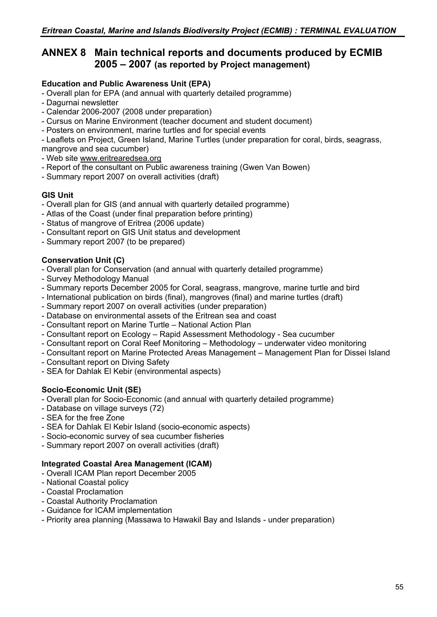# **ANNEX 8 Main technical reports and documents produced by ECMIB 2005 – 2007 (as reported by Project management)**

# **Education and Public Awareness Unit (EPA)**

- Overall plan for EPA (and annual with quarterly detailed programme)
- Dagurnai newsletter
- Calendar 2006-2007 (2008 under preparation)
- Cursus on Marine Environment (teacher document and student document)
- Posters on environment, marine turtles and for special events

- Leaflets on Project, Green Island, Marine Turtles (under preparation for coral, birds, seagrass, mangrove and sea cucumber)

- Web site [www.eritrearedsea.org](http://www.eritrearedsea.org/)
- Report of the consultant on Public awareness training (Gwen Van Bowen)
- Summary report 2007 on overall activities (draft)

### **GIS Unit**

- Overall plan for GIS (and annual with quarterly detailed programme)
- Atlas of the Coast (under final preparation before printing)
- Status of mangrove of Eritrea (2006 update)
- Consultant report on GIS Unit status and development
- Summary report 2007 (to be prepared)

## **Conservation Unit (C)**

- Overall plan for Conservation (and annual with quarterly detailed programme)
- Survey Methodology Manual
- Summary reports December 2005 for Coral, seagrass, mangrove, marine turtle and bird
- International publication on birds (final), mangroves (final) and marine turtles (draft)
- Summary report 2007 on overall activities (under preparation)
- Database on environmental assets of the Eritrean sea and coast
- Consultant report on Marine Turtle National Action Plan
- Consultant report on Ecology Rapid Assessment Methodology Sea cucumber
- Consultant report on Coral Reef Monitoring Methodology underwater video monitoring
- Consultant report on Marine Protected Areas Management Management Plan for Dissei Island
- Consultant report on Diving Safety
- SEA for Dahlak El Kebir (environmental aspects)

## **Socio-Economic Unit (SE)**

- Overall plan for Socio-Economic (and annual with quarterly detailed programme)
- Database on village surveys (72)
- SEA for the free Zone
- SEA for Dahlak El Kebir Island (socio-economic aspects)
- Socio-economic survey of sea cucumber fisheries
- Summary report 2007 on overall activities (draft)

## **Integrated Coastal Area Management (ICAM)**

- Overall ICAM Plan report December 2005
- National Coastal policy
- Coastal Proclamation
- Coastal Authority Proclamation
- Guidance for ICAM implementation
- Priority area planning (Massawa to Hawakil Bay and Islands under preparation)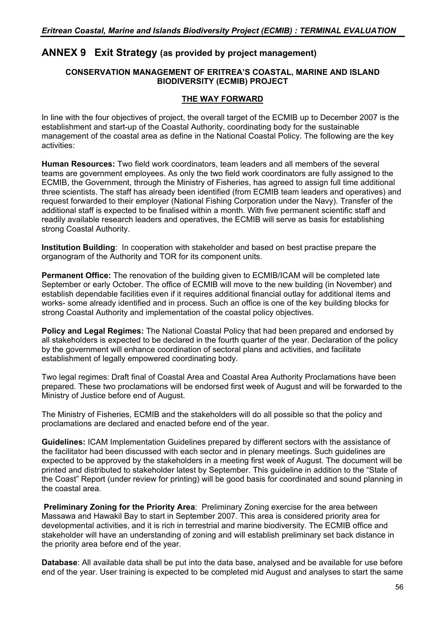# **ANNEX 9 Exit Strategy (as provided by project management)**

### **CONSERVATION MANAGEMENT OF ERITREA'S COASTAL, MARINE AND ISLAND BIODIVERSITY (ECMIB) PROJECT**

### **THE WAY FORWARD**

In line with the four objectives of project, the overall target of the ECMIB up to December 2007 is the establishment and start-up of the Coastal Authority, coordinating body for the sustainable management of the coastal area as define in the National Coastal Policy. The following are the key activities:

**Human Resources:** Two field work coordinators, team leaders and all members of the several teams are government employees. As only the two field work coordinators are fully assigned to the ECMIB, the Government, through the Ministry of Fisheries, has agreed to assign full time additional three scientists. The staff has already been identified (from ECMIB team leaders and operatives) and request forwarded to their employer (National Fishing Corporation under the Navy). Transfer of the additional staff is expected to be finalised within a month. With five permanent scientific staff and readily available research leaders and operatives, the ECMIB will serve as basis for establishing strong Coastal Authority.

**Institution Building**: In cooperation with stakeholder and based on best practise prepare the organogram of the Authority and TOR for its component units.

**Permanent Office:** The renovation of the building given to ECMIB/ICAM will be completed late September or early October. The office of ECMIB will move to the new building (in November) and establish dependable facilities even if it requires additional financial outlay for additional items and works- some already identified and in process. Such an office is one of the key building blocks for strong Coastal Authority and implementation of the coastal policy objectives.

**Policy and Legal Regimes:** The National Coastal Policy that had been prepared and endorsed by all stakeholders is expected to be declared in the fourth quarter of the year. Declaration of the policy by the government will enhance coordination of sectoral plans and activities, and facilitate establishment of legally empowered coordinating body.

Two legal regimes: Draft final of Coastal Area and Coastal Area Authority Proclamations have been prepared. These two proclamations will be endorsed first week of August and will be forwarded to the Ministry of Justice before end of August.

The Ministry of Fisheries, ECMIB and the stakeholders will do all possible so that the policy and proclamations are declared and enacted before end of the year.

**Guidelines:** ICAM Implementation Guidelines prepared by different sectors with the assistance of the facilitator had been discussed with each sector and in plenary meetings. Such guidelines are expected to be approved by the stakeholders in a meeting first week of August. The document will be printed and distributed to stakeholder latest by September. This guideline in addition to the "State of the Coast" Report (under review for printing) will be good basis for coordinated and sound planning in the coastal area.

**Preliminary Zoning for the Priority Area**: Preliminary Zoning exercise for the area between Massawa and Hawakil Bay to start in September 2007. This area is considered priority area for developmental activities, and it is rich in terrestrial and marine biodiversity. The ECMIB office and stakeholder will have an understanding of zoning and will establish preliminary set back distance in the priority area before end of the year.

**Database**: All available data shall be put into the data base, analysed and be available for use before end of the year. User training is expected to be completed mid August and analyses to start the same